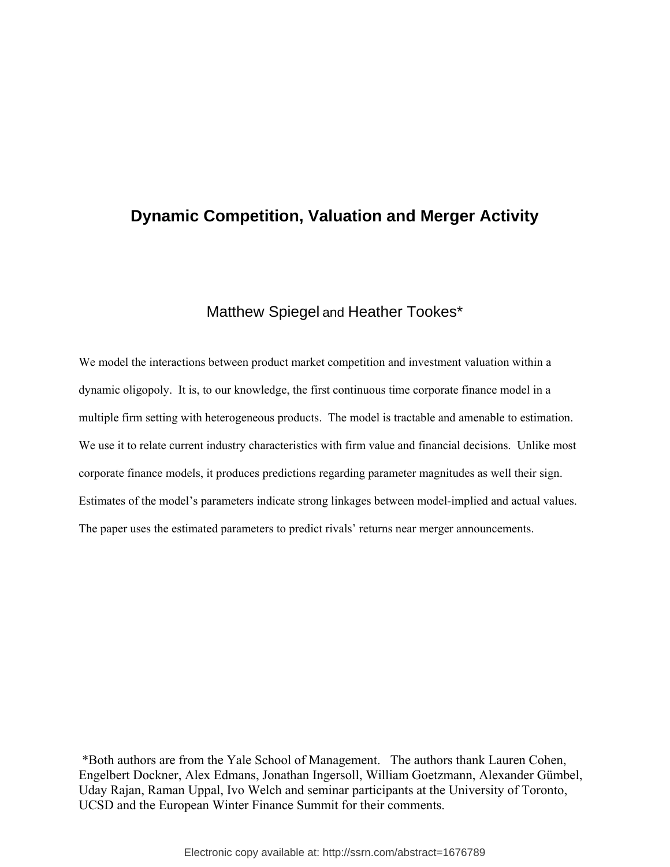# **Dynamic Competition, Valuation and Merger Activity**

# Matthew Spiegel and Heather Tookes\*

We model the interactions between product market competition and investment valuation within a dynamic oligopoly. It is, to our knowledge, the first continuous time corporate finance model in a multiple firm setting with heterogeneous products. The model is tractable and amenable to estimation. We use it to relate current industry characteristics with firm value and financial decisions. Unlike most corporate finance models, it produces predictions regarding parameter magnitudes as well their sign. Estimates of the model's parameters indicate strong linkages between model-implied and actual values. The paper uses the estimated parameters to predict rivals' returns near merger announcements.

 \*Both authors are from the Yale School of Management. The authors thank Lauren Cohen, Engelbert Dockner, Alex Edmans, Jonathan Ingersoll, William Goetzmann, Alexander Gümbel, Uday Rajan, Raman Uppal, Ivo Welch and seminar participants at the University of Toronto, UCSD and the European Winter Finance Summit for their comments.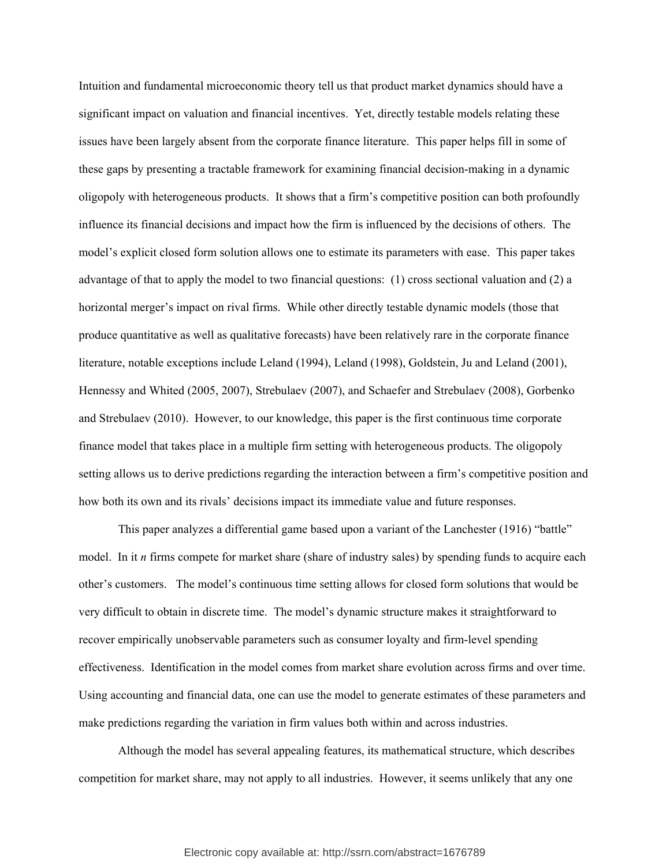Intuition and fundamental microeconomic theory tell us that product market dynamics should have a significant impact on valuation and financial incentives. Yet, directly testable models relating these issues have been largely absent from the corporate finance literature. This paper helps fill in some of these gaps by presenting a tractable framework for examining financial decision-making in a dynamic oligopoly with heterogeneous products. It shows that a firm's competitive position can both profoundly influence its financial decisions and impact how the firm is influenced by the decisions of others. The model's explicit closed form solution allows one to estimate its parameters with ease. This paper takes advantage of that to apply the model to two financial questions: (1) cross sectional valuation and (2) a horizontal merger's impact on rival firms. While other directly testable dynamic models (those that produce quantitative as well as qualitative forecasts) have been relatively rare in the corporate finance literature, notable exceptions include Leland (1994), Leland (1998), Goldstein, Ju and Leland (2001), Hennessy and Whited (2005, 2007), Strebulaev (2007), and Schaefer and Strebulaev (2008), Gorbenko and Strebulaev (2010). However, to our knowledge, this paper is the first continuous time corporate finance model that takes place in a multiple firm setting with heterogeneous products. The oligopoly setting allows us to derive predictions regarding the interaction between a firm's competitive position and how both its own and its rivals' decisions impact its immediate value and future responses.

This paper analyzes a differential game based upon a variant of the Lanchester (1916) "battle" model. In it *n* firms compete for market share (share of industry sales) by spending funds to acquire each other's customers. The model's continuous time setting allows for closed form solutions that would be very difficult to obtain in discrete time. The model's dynamic structure makes it straightforward to recover empirically unobservable parameters such as consumer loyalty and firm-level spending effectiveness. Identification in the model comes from market share evolution across firms and over time. Using accounting and financial data, one can use the model to generate estimates of these parameters and make predictions regarding the variation in firm values both within and across industries.

Although the model has several appealing features, its mathematical structure, which describes competition for market share, may not apply to all industries. However, it seems unlikely that any one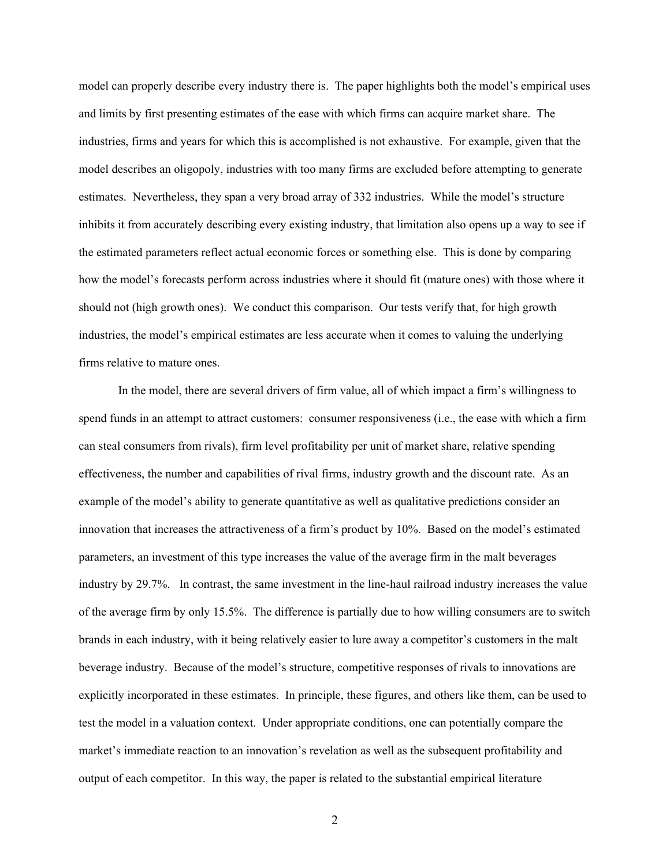model can properly describe every industry there is. The paper highlights both the model's empirical uses and limits by first presenting estimates of the ease with which firms can acquire market share. The industries, firms and years for which this is accomplished is not exhaustive. For example, given that the model describes an oligopoly, industries with too many firms are excluded before attempting to generate estimates. Nevertheless, they span a very broad array of 332 industries. While the model's structure inhibits it from accurately describing every existing industry, that limitation also opens up a way to see if the estimated parameters reflect actual economic forces or something else. This is done by comparing how the model's forecasts perform across industries where it should fit (mature ones) with those where it should not (high growth ones). We conduct this comparison. Our tests verify that, for high growth industries, the model's empirical estimates are less accurate when it comes to valuing the underlying firms relative to mature ones.

In the model, there are several drivers of firm value, all of which impact a firm's willingness to spend funds in an attempt to attract customers: consumer responsiveness (i.e., the ease with which a firm can steal consumers from rivals), firm level profitability per unit of market share, relative spending effectiveness, the number and capabilities of rival firms, industry growth and the discount rate. As an example of the model's ability to generate quantitative as well as qualitative predictions consider an innovation that increases the attractiveness of a firm's product by 10%. Based on the model's estimated parameters, an investment of this type increases the value of the average firm in the malt beverages industry by 29.7%. In contrast, the same investment in the line-haul railroad industry increases the value of the average firm by only 15.5%. The difference is partially due to how willing consumers are to switch brands in each industry, with it being relatively easier to lure away a competitor's customers in the malt beverage industry. Because of the model's structure, competitive responses of rivals to innovations are explicitly incorporated in these estimates. In principle, these figures, and others like them, can be used to test the model in a valuation context. Under appropriate conditions, one can potentially compare the market's immediate reaction to an innovation's revelation as well as the subsequent profitability and output of each competitor. In this way, the paper is related to the substantial empirical literature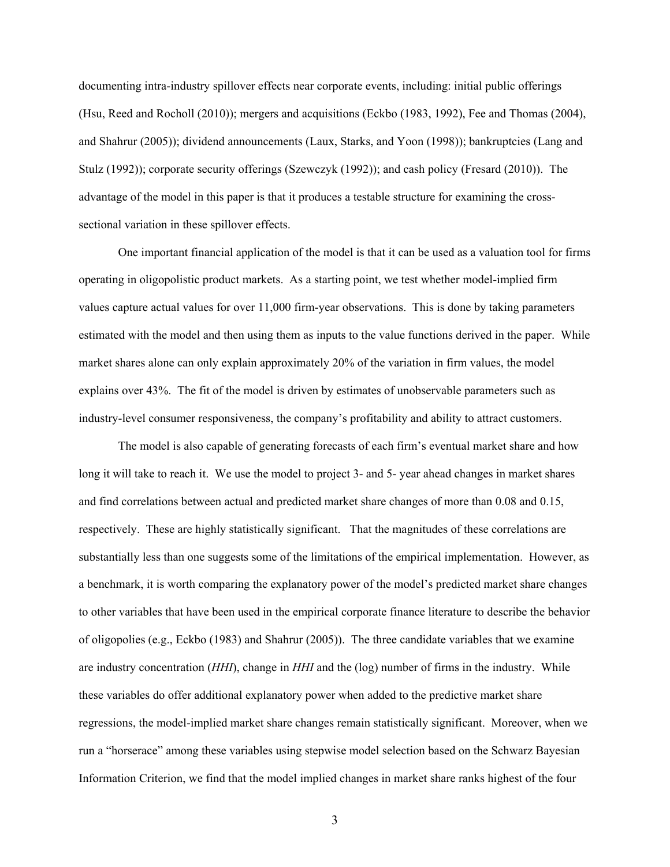documenting intra-industry spillover effects near corporate events, including: initial public offerings (Hsu, Reed and Rocholl (2010)); mergers and acquisitions (Eckbo (1983, 1992), Fee and Thomas (2004), and Shahrur (2005)); dividend announcements (Laux, Starks, and Yoon (1998)); bankruptcies (Lang and Stulz (1992)); corporate security offerings (Szewczyk (1992)); and cash policy (Fresard (2010)). The advantage of the model in this paper is that it produces a testable structure for examining the crosssectional variation in these spillover effects.

One important financial application of the model is that it can be used as a valuation tool for firms operating in oligopolistic product markets. As a starting point, we test whether model-implied firm values capture actual values for over 11,000 firm-year observations. This is done by taking parameters estimated with the model and then using them as inputs to the value functions derived in the paper. While market shares alone can only explain approximately 20% of the variation in firm values, the model explains over 43%. The fit of the model is driven by estimates of unobservable parameters such as industry-level consumer responsiveness, the company's profitability and ability to attract customers.

The model is also capable of generating forecasts of each firm's eventual market share and how long it will take to reach it. We use the model to project 3- and 5- year ahead changes in market shares and find correlations between actual and predicted market share changes of more than 0.08 and 0.15, respectively. These are highly statistically significant. That the magnitudes of these correlations are substantially less than one suggests some of the limitations of the empirical implementation. However, as a benchmark, it is worth comparing the explanatory power of the model's predicted market share changes to other variables that have been used in the empirical corporate finance literature to describe the behavior of oligopolies (e.g., Eckbo (1983) and Shahrur (2005)). The three candidate variables that we examine are industry concentration (*HHI*), change in *HHI* and the (log) number of firms in the industry. While these variables do offer additional explanatory power when added to the predictive market share regressions, the model-implied market share changes remain statistically significant. Moreover, when we run a "horserace" among these variables using stepwise model selection based on the Schwarz Bayesian Information Criterion, we find that the model implied changes in market share ranks highest of the four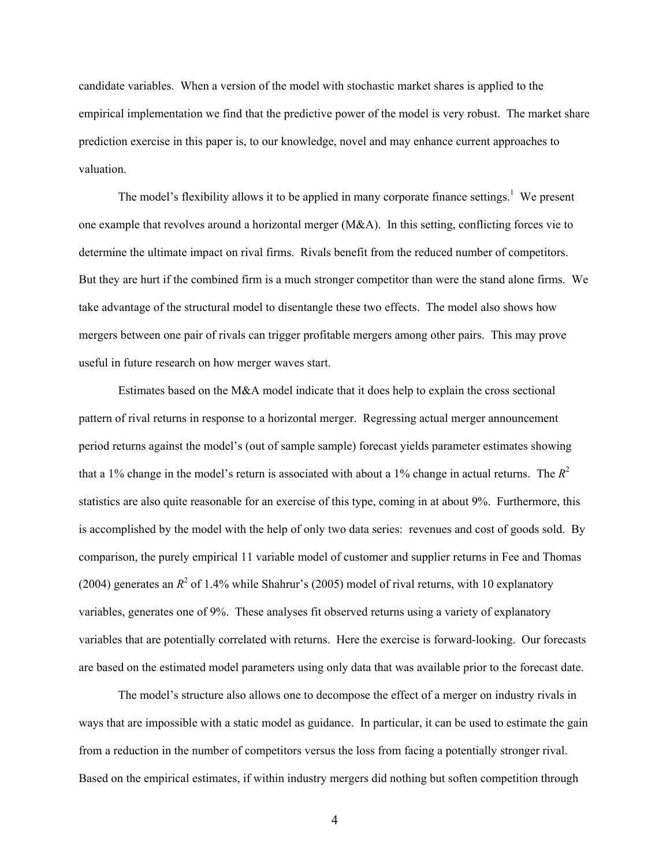candidate variables. When a version of the model with stochastic market shares is applied to the empirical implementation we find that the predictive power of the model is very robust. The market share prediction exercise in this paper is, to our knowledge, novel and may enhance current approaches to valuation.

The model's flexibility allows it to be applied in many corporate finance settings.<sup>1</sup> We present one example that revolves around a horizontal merger  $(M&A)$ . In this setting, conflicting forces vie to determine the ultimate impact on rival firms. Rivals benefit from the reduced number of competitors. But they are hurt if the combined firm is a much stronger competitor than were the stand alone firms. We take advantage of the structural model to disentangle these two effects. The model also shows how mergers between one pair of rivals can trigger profitable mergers among other pairs. This may prove useful in future research on how merger waves start.

Estimates based on the M&A model indicate that it does help to explain the cross sectional pattern of rival returns in response to a horizontal merger. Regressing actual merger announcement period returns against the model's (out of sample sample) forecast yields parameter estimates showing that a 1% change in the model's return is associated with about a 1% change in actual returns. The  $R^2$ statistics are also quite reasonable for an exercise of this type, coming in at about 9%. Furthermore, this is accomplished by the model with the help of only two data series: revenues and cost of goods sold. By comparison, the purely empirical 11 variable model of customer and supplier returns in Fee and Thomas (2004) generates an  $R^2$  of 1.4% while Shahrur's (2005) model of rival returns, with 10 explanatory variables, generates one of 9%. These analyses fit observed returns using a variety of explanatory variables that are potentially correlated with returns. Here the exercise is forward-looking. Our forecasts are based on the estimated model parameters using only data that was available prior to the forecast date.

The model's structure also allows one to decompose the effect of a merger on industry rivals in ways that are impossible with a static model as guidance. In particular, it can be used to estimate the gain from a reduction in the number of competitors versus the loss from facing a potentially stronger rival. Based on the empirical estimates, if within industry mergers did nothing but soften competition through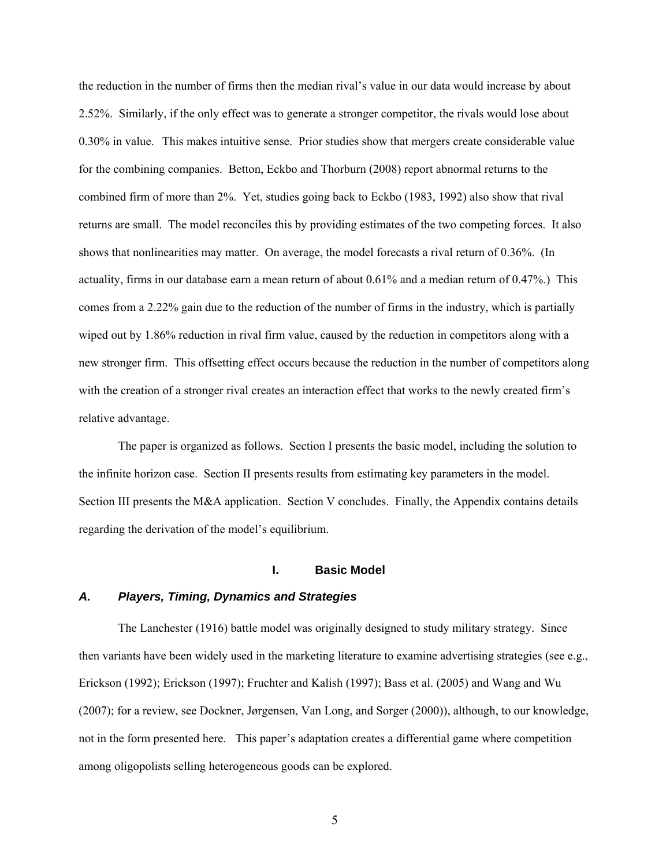the reduction in the number of firms then the median rival's value in our data would increase by about 2.52%. Similarly, if the only effect was to generate a stronger competitor, the rivals would lose about 0.30% in value. This makes intuitive sense. Prior studies show that mergers create considerable value for the combining companies. Betton, Eckbo and Thorburn (2008) report abnormal returns to the combined firm of more than 2%. Yet, studies going back to Eckbo (1983, 1992) also show that rival returns are small. The model reconciles this by providing estimates of the two competing forces. It also shows that nonlinearities may matter. On average, the model forecasts a rival return of 0.36%. (In actuality, firms in our database earn a mean return of about 0.61% and a median return of 0.47%.) This comes from a 2.22% gain due to the reduction of the number of firms in the industry, which is partially wiped out by 1.86% reduction in rival firm value, caused by the reduction in competitors along with a new stronger firm. This offsetting effect occurs because the reduction in the number of competitors along with the creation of a stronger rival creates an interaction effect that works to the newly created firm's relative advantage.

The paper is organized as follows. Section I presents the basic model, including the solution to the infinite horizon case. Section II presents results from estimating key parameters in the model. Section III presents the M&A application. Section V concludes. Finally, the Appendix contains details regarding the derivation of the model's equilibrium.

#### **I. Basic Model**

# *A. Players, Timing, Dynamics and Strategies*

The Lanchester (1916) battle model was originally designed to study military strategy. Since then variants have been widely used in the marketing literature to examine advertising strategies (see e.g., Erickson (1992); Erickson (1997); Fruchter and Kalish (1997); Bass et al. (2005) and Wang and Wu (2007); for a review, see Dockner, Jørgensen, Van Long, and Sorger (2000)), although, to our knowledge, not in the form presented here. This paper's adaptation creates a differential game where competition among oligopolists selling heterogeneous goods can be explored.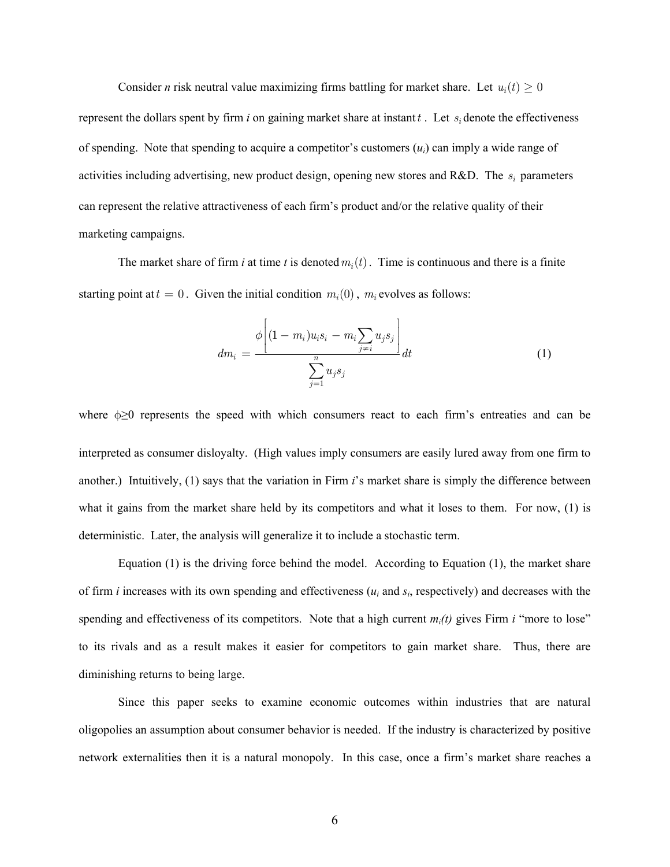Consider *n* risk neutral value maximizing firms battling for market share. Let  $u_i(t) \geq 0$ represent the dollars spent by firm  $i$  on gaining market share at instant  $t$ . Let  $s_i$  denote the effectiveness of spending. Note that spending to acquire a competitor's customers  $(u_i)$  can imply a wide range of activities including advertising, new product design, opening new stores and R&D. The *si* parameters can represent the relative attractiveness of each firm's product and/or the relative quality of their marketing campaigns.

The market share of firm *i* at time *t* is denoted  $m_i(t)$ . Time is continuous and there is a finite starting point at  $t = 0$ . Given the initial condition  $m_i(0)$ ,  $m_i$  evolves as follows:

$$
dm_i = \frac{\phi\left[(1-m_i)u_i s_i - m_i \sum_{j \neq i} u_j s_j\right]}{\sum_{j=1}^n u_j s_j} dt
$$
 (1)

where  $\phi \geq 0$  represents the speed with which consumers react to each firm's entreaties and can be interpreted as consumer disloyalty. (High values imply consumers are easily lured away from one firm to another.) Intuitively, (1) says that the variation in Firm *i*'s market share is simply the difference between what it gains from the market share held by its competitors and what it loses to them. For now, (1) is deterministic. Later, the analysis will generalize it to include a stochastic term.

Equation (1) is the driving force behind the model. According to Equation (1), the market share of firm *i* increases with its own spending and effectiveness (*ui* and *si*, respectively) and decreases with the spending and effectiveness of its competitors. Note that a high current  $m_i(t)$  gives Firm *i* "more to lose" to its rivals and as a result makes it easier for competitors to gain market share. Thus, there are diminishing returns to being large.

Since this paper seeks to examine economic outcomes within industries that are natural oligopolies an assumption about consumer behavior is needed. If the industry is characterized by positive network externalities then it is a natural monopoly. In this case, once a firm's market share reaches a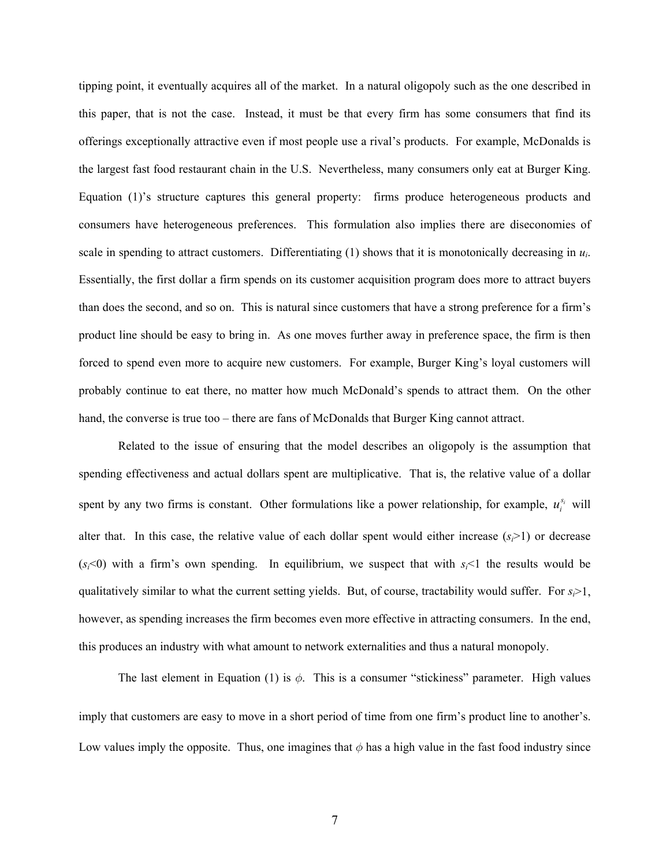tipping point, it eventually acquires all of the market. In a natural oligopoly such as the one described in this paper, that is not the case. Instead, it must be that every firm has some consumers that find its offerings exceptionally attractive even if most people use a rival's products. For example, McDonalds is the largest fast food restaurant chain in the U.S. Nevertheless, many consumers only eat at Burger King. Equation (1)'s structure captures this general property: firms produce heterogeneous products and consumers have heterogeneous preferences. This formulation also implies there are diseconomies of scale in spending to attract customers. Differentiating  $(1)$  shows that it is monotonically decreasing in  $u_i$ . Essentially, the first dollar a firm spends on its customer acquisition program does more to attract buyers than does the second, and so on. This is natural since customers that have a strong preference for a firm's product line should be easy to bring in. As one moves further away in preference space, the firm is then forced to spend even more to acquire new customers. For example, Burger King's loyal customers will probably continue to eat there, no matter how much McDonald's spends to attract them. On the other hand, the converse is true too – there are fans of McDonalds that Burger King cannot attract.

Related to the issue of ensuring that the model describes an oligopoly is the assumption that spending effectiveness and actual dollars spent are multiplicative. That is, the relative value of a dollar spent by any two firms is constant. Other formulations like a power relationship, for example,  $u_i^{s_i}$  will alter that. In this case, the relative value of each dollar spent would either increase  $(s_i>1)$  or decrease  $(s<sub>i</sub><0)$  with a firm's own spending. In equilibrium, we suspect that with  $s<sub>i</sub><1$  the results would be qualitatively similar to what the current setting yields. But, of course, tractability would suffer. For  $s_i > 1$ , however, as spending increases the firm becomes even more effective in attracting consumers. In the end, this produces an industry with what amount to network externalities and thus a natural monopoly.

The last element in Equation (1) is  $\phi$ . This is a consumer "stickiness" parameter. High values imply that customers are easy to move in a short period of time from one firm's product line to another's. Low values imply the opposite. Thus, one imagines that  $\phi$  has a high value in the fast food industry since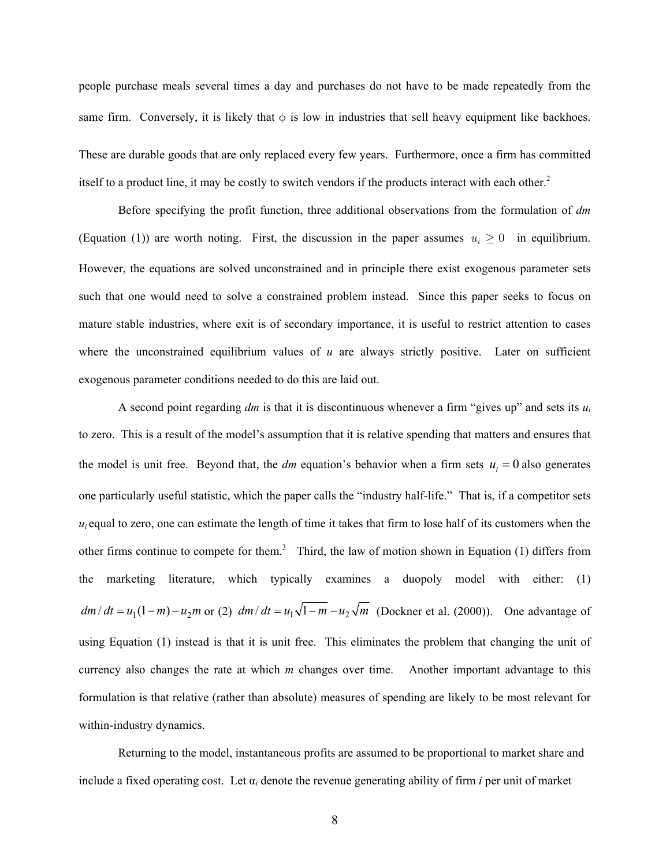people purchase meals several times a day and purchases do not have to be made repeatedly from the same firm. Conversely, it is likely that  $\phi$  is low in industries that sell heavy equipment like backhoes. These are durable goods that are only replaced every few years. Furthermore, once a firm has committed itself to a product line, it may be costly to switch vendors if the products interact with each other.<sup>2</sup>

Before specifying the profit function, three additional observations from the formulation of *dm* (Equation (1)) are worth noting. First, the discussion in the paper assumes  $u_i \geq 0$  in equilibrium. However, the equations are solved unconstrained and in principle there exist exogenous parameter sets such that one would need to solve a constrained problem instead. Since this paper seeks to focus on mature stable industries, where exit is of secondary importance, it is useful to restrict attention to cases where the unconstrained equilibrium values of  $u$  are always strictly positive. Later on sufficient exogenous parameter conditions needed to do this are laid out.

A second point regarding  $dm$  is that it is discontinuous whenever a firm "gives up" and sets its  $u_i$ to zero. This is a result of the model's assumption that it is relative spending that matters and ensures that the model is unit free. Beyond that, the *dm* equation's behavior when a firm sets  $u_i = 0$  also generates one particularly useful statistic, which the paper calls the "industry half-life." That is, if a competitor sets  $u_i$  equal to zero, one can estimate the length of time it takes that firm to lose half of its customers when the other firms continue to compete for them.<sup>3</sup> Third, the law of motion shown in Equation  $(1)$  differs from the marketing literature, which typically examines a duopoly model with either: (1)  $dm/dt = u_1(1-m) - u_2m$  or (2)  $dm/dt = u_1\sqrt{1-m} - u_2\sqrt{m}$  (Dockner et al. (2000)). One advantage of using Equation (1) instead is that it is unit free. This eliminates the problem that changing the unit of currency also changes the rate at which *m* changes over time. Another important advantage to this formulation is that relative (rather than absolute) measures of spending are likely to be most relevant for within-industry dynamics.

 Returning to the model, instantaneous profits are assumed to be proportional to market share and include a fixed operating cost. Let  $\alpha_i$  denote the revenue generating ability of firm *i* per unit of market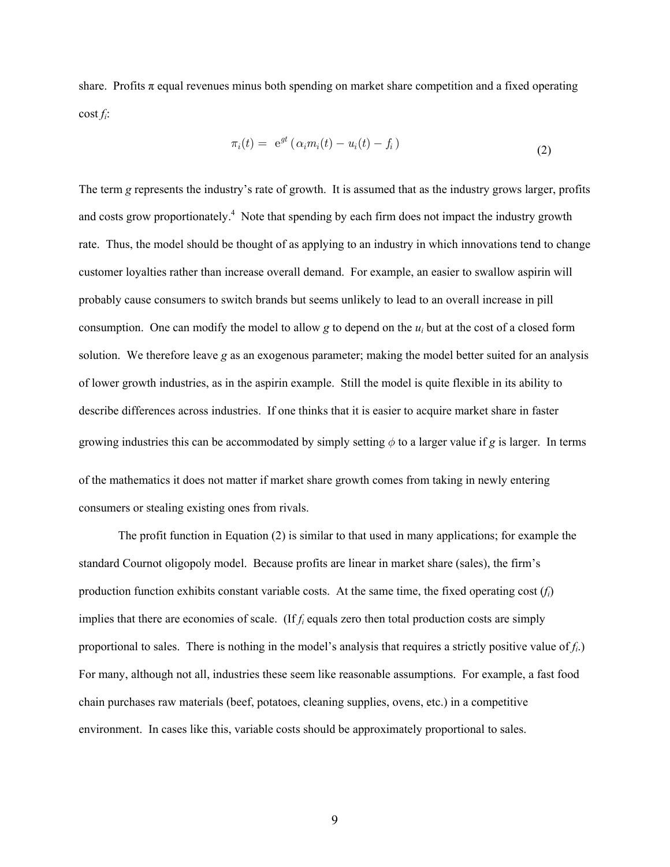share. Profits  $\pi$  equal revenues minus both spending on market share competition and a fixed operating cost *fi*:

$$
\pi_i(t) = e^{gt} (\alpha_i m_i(t) - u_i(t) - f_i)
$$
\n(2)

The term *g* represents the industry's rate of growth. It is assumed that as the industry grows larger, profits and costs grow proportionately.<sup>4</sup> Note that spending by each firm does not impact the industry growth rate. Thus, the model should be thought of as applying to an industry in which innovations tend to change customer loyalties rather than increase overall demand. For example, an easier to swallow aspirin will probably cause consumers to switch brands but seems unlikely to lead to an overall increase in pill consumption. One can modify the model to allow *g* to depend on the *ui* but at the cost of a closed form solution. We therefore leave *g* as an exogenous parameter; making the model better suited for an analysis of lower growth industries, as in the aspirin example. Still the model is quite flexible in its ability to describe differences across industries. If one thinks that it is easier to acquire market share in faster growing industries this can be accommodated by simply setting *φ* to a larger value if *g* is larger. In terms of the mathematics it does not matter if market share growth comes from taking in newly entering consumers or stealing existing ones from rivals.

 The profit function in Equation (2) is similar to that used in many applications; for example the standard Cournot oligopoly model. Because profits are linear in market share (sales), the firm's production function exhibits constant variable costs. At the same time, the fixed operating cost (*fi*) implies that there are economies of scale. (If  $f_i$  equals zero then total production costs are simply proportional to sales. There is nothing in the model's analysis that requires a strictly positive value of *fi*.) For many, although not all, industries these seem like reasonable assumptions. For example, a fast food chain purchases raw materials (beef, potatoes, cleaning supplies, ovens, etc.) in a competitive environment. In cases like this, variable costs should be approximately proportional to sales.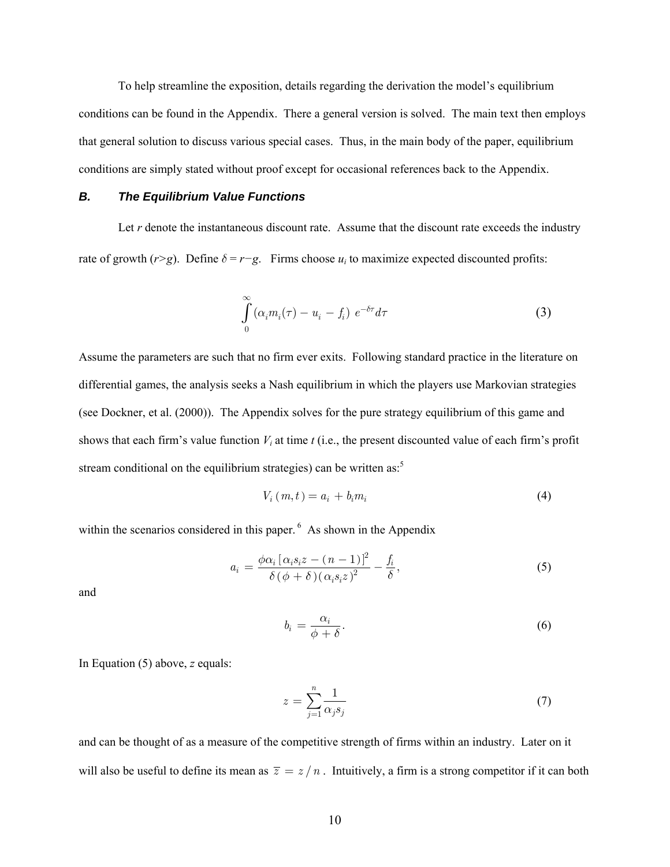To help streamline the exposition, details regarding the derivation the model's equilibrium conditions can be found in the Appendix. There a general version is solved. The main text then employs that general solution to discuss various special cases. Thus, in the main body of the paper, equilibrium conditions are simply stated without proof except for occasional references back to the Appendix.

### *B. The Equilibrium Value Functions*

Let *r* denote the instantaneous discount rate. Assume that the discount rate exceeds the industry rate of growth ( $r > g$ ). Define  $\delta = r - g$ . Firms choose  $u_i$  to maximize expected discounted profits:

$$
\int_{0}^{\infty} (\alpha_i m_i(\tau) - u_i - f_i) e^{-\delta \tau} d\tau
$$
 (3)

Assume the parameters are such that no firm ever exits. Following standard practice in the literature on differential games, the analysis seeks a Nash equilibrium in which the players use Markovian strategies (see Dockner, et al. (2000)). The Appendix solves for the pure strategy equilibrium of this game and shows that each firm's value function  $V_i$  at time  $t$  (i.e., the present discounted value of each firm's profit stream conditional on the equilibrium strategies) can be written as:<sup>5</sup>

$$
V_i(m,t) = a_i + b_i m_i \tag{4}
$$

within the scenarios considered in this paper.<sup>6</sup> As shown in the Appendix

$$
a_i = \frac{\phi \alpha_i \left[ \alpha_i s_i z - (n-1) \right]^2}{\delta (\phi + \delta) (\alpha_i s_i z)^2} - \frac{f_i}{\delta},\tag{5}
$$

and

$$
b_i = \frac{\alpha_i}{\phi + \delta}.\tag{6}
$$

In Equation (5) above, *z* equals:

$$
z = \sum_{j=1}^{n} \frac{1}{\alpha_j s_j} \tag{7}
$$

and can be thought of as a measure of the competitive strength of firms within an industry. Later on it will also be useful to define its mean as  $\overline{z} = z/n$ . Intuitively, a firm is a strong competitor if it can both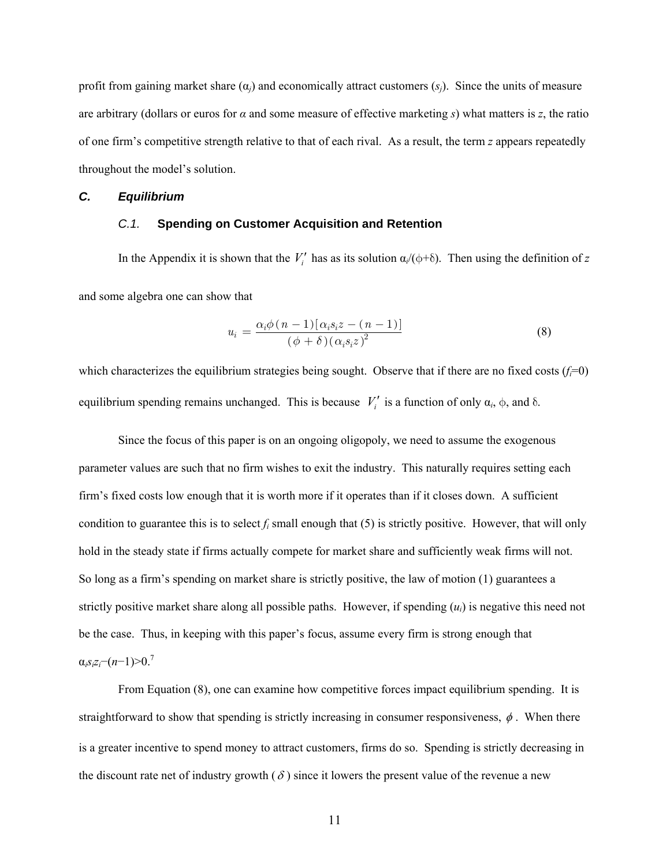profit from gaining market share (α*j*) and economically attract customers (*sj*). Since the units of measure are arbitrary (dollars or euros for *α* and some measure of effective marketing *s*) what matters is *z*, the ratio of one firm's competitive strength relative to that of each rival. As a result, the term *z* appears repeatedly throughout the model's solution.

## *C. Equilibrium*

# *C.1.* **Spending on Customer Acquisition and Retention**

In the Appendix it is shown that the  $V_i'$  has as its solution  $\alpha_i/(\phi+\delta)$ . Then using the definition of *z* and some algebra one can show that

$$
u_i = \frac{\alpha_i \phi(n-1) [\alpha_i s_i z - (n-1)]}{(\phi + \delta) (\alpha_i s_i z)^2}
$$
\n(8)

which characterizes the equilibrium strategies being sought. Observe that if there are no fixed costs  $(f_i=0)$ equilibrium spending remains unchanged. This is because  $V_i'$  is a function of only  $\alpha_i$ ,  $\varphi$ , and  $\delta$ .

 Since the focus of this paper is on an ongoing oligopoly, we need to assume the exogenous parameter values are such that no firm wishes to exit the industry. This naturally requires setting each firm's fixed costs low enough that it is worth more if it operates than if it closes down. A sufficient condition to guarantee this is to select  $f_i$  small enough that  $(5)$  is strictly positive. However, that will only hold in the steady state if firms actually compete for market share and sufficiently weak firms will not. So long as a firm's spending on market share is strictly positive, the law of motion (1) guarantees a strictly positive market share along all possible paths. However, if spending  $(u_i)$  is negative this need not be the case. Thus, in keeping with this paper's focus, assume every firm is strong enough that  $\alpha_i s_i z_i$ <sup>-</sup>(*n*-1)>0.<sup>7</sup>

From Equation (8), one can examine how competitive forces impact equilibrium spending. It is straightforward to show that spending is strictly increasing in consumer responsiveness,  $\phi$ . When there is a greater incentive to spend money to attract customers, firms do so. Spending is strictly decreasing in the discount rate net of industry growth  $(\delta)$  since it lowers the present value of the revenue a new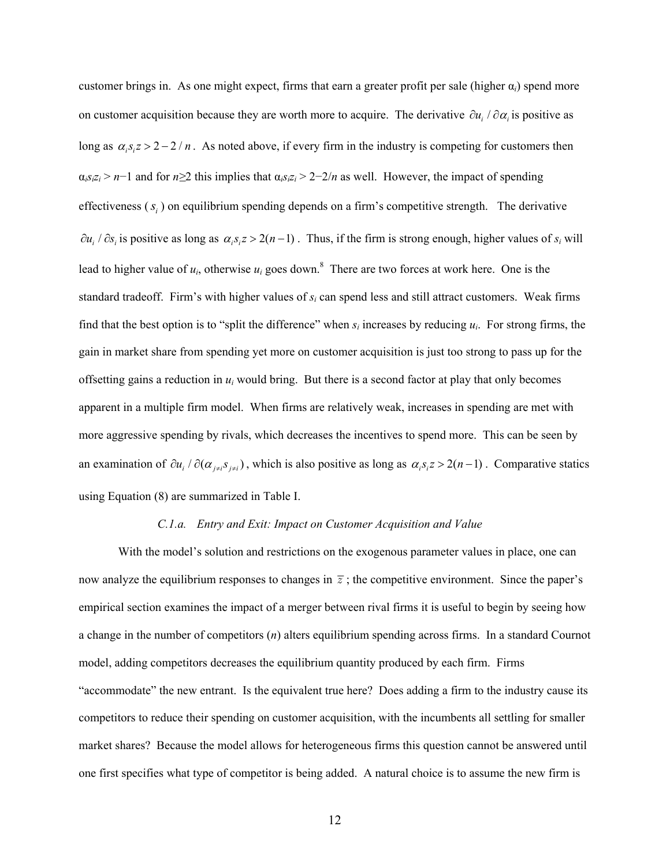customer brings in. As one might expect, firms that earn a greater profit per sale (higher  $\alpha_i$ ) spend more on customer acquisition because they are worth more to acquire. The derivative  $\partial u_i / \partial \alpha_i$  is positive as long as  $\alpha_i s_i z > 2 - 2/n$ . As noted above, if every firm in the industry is competing for customers then  $\alpha_i s_i z_i > n-1$  and for  $n \ge 2$  this implies that  $\alpha_i s_i z_i > 2-2/n$  as well. However, the impact of spending effectiveness  $(s<sub>i</sub>)$  on equilibrium spending depends on a firm's competitive strength. The derivative  $\partial u_i / \partial s_i$  is positive as long as  $\alpha_i s_i z > 2(n-1)$ . Thus, if the firm is strong enough, higher values of  $s_i$  will lead to higher value of  $u_i$ , otherwise  $u_i$  goes down.<sup>8</sup> There are two forces at work here. One is the standard tradeoff. Firm's with higher values of  $s_i$  can spend less and still attract customers. Weak firms find that the best option is to "split the difference" when  $s_i$  increases by reducing  $u_i$ . For strong firms, the gain in market share from spending yet more on customer acquisition is just too strong to pass up for the offsetting gains a reduction in  $u_i$  would bring. But there is a second factor at play that only becomes apparent in a multiple firm model. When firms are relatively weak, increases in spending are met with more aggressive spending by rivals, which decreases the incentives to spend more. This can be seen by an examination of  $\partial u_i / \partial (\alpha_{i \neq i} s_{i \neq i})$ , which is also positive as long as  $\alpha_i s_i z > 2(n-1)$ . Comparative statics using Equation (8) are summarized in Table I.

## *C.1.a. Entry and Exit: Impact on Customer Acquisition and Value*

With the model's solution and restrictions on the exogenous parameter values in place, one can now analyze the equilibrium responses to changes in  $\overline{z}$ ; the competitive environment. Since the paper's empirical section examines the impact of a merger between rival firms it is useful to begin by seeing how a change in the number of competitors (*n*) alters equilibrium spending across firms. In a standard Cournot model, adding competitors decreases the equilibrium quantity produced by each firm. Firms "accommodate" the new entrant. Is the equivalent true here? Does adding a firm to the industry cause its competitors to reduce their spending on customer acquisition, with the incumbents all settling for smaller market shares? Because the model allows for heterogeneous firms this question cannot be answered until one first specifies what type of competitor is being added. A natural choice is to assume the new firm is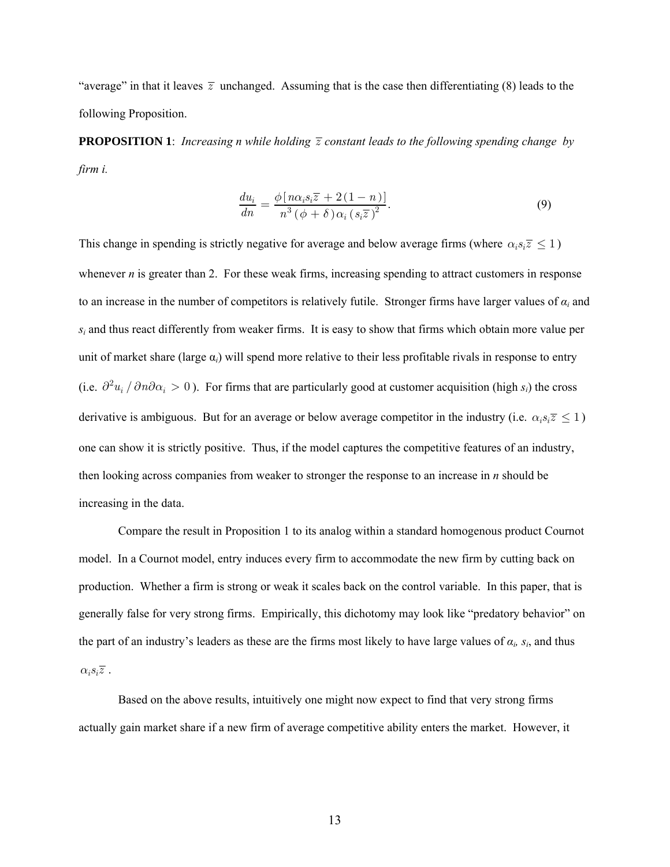"average" in that it leaves  $\bar{z}$  unchanged. Assuming that is the case then differentiating (8) leads to the following Proposition.

**PROPOSITION 1**: *Increasing n while holding*  $\overline{z}$  *constant leads to the following spending change by firm i.* 

$$
\frac{du_i}{dn} = \frac{\phi[n\alpha_i s_i \overline{z} + 2(1-n)]}{n^3 (\phi + \delta) \alpha_i (s_i \overline{z})^2}.
$$
\n(9)

This change in spending is strictly negative for average and below average firms (where  $\alpha_i s_i \overline{z} \leq 1$ ) whenever *n* is greater than 2. For these weak firms, increasing spending to attract customers in response to an increase in the number of competitors is relatively futile. Stronger firms have larger values of  $\alpha_i$  and  $s_i$  and thus react differently from weaker firms. It is easy to show that firms which obtain more value per unit of market share (large  $\alpha_i$ ) will spend more relative to their less profitable rivals in response to entry (i.e.  $\partial^2 u_i / \partial n \partial \alpha_i > 0$ ). For firms that are particularly good at customer acquisition (high *s<sub>i</sub>*) the cross derivative is ambiguous. But for an average or below average competitor in the industry (i.e.  $\alpha_i s_i \overline{z} \leq 1$ ) one can show it is strictly positive. Thus, if the model captures the competitive features of an industry, then looking across companies from weaker to stronger the response to an increase in *n* should be increasing in the data.

Compare the result in Proposition 1 to its analog within a standard homogenous product Cournot model. In a Cournot model, entry induces every firm to accommodate the new firm by cutting back on production. Whether a firm is strong or weak it scales back on the control variable. In this paper, that is generally false for very strong firms. Empirically, this dichotomy may look like "predatory behavior" on the part of an industry's leaders as these are the firms most likely to have large values of  $\alpha_i$ ,  $s_i$ , and thus  $\alpha_i s_i \overline{z}$  .

 Based on the above results, intuitively one might now expect to find that very strong firms actually gain market share if a new firm of average competitive ability enters the market. However, it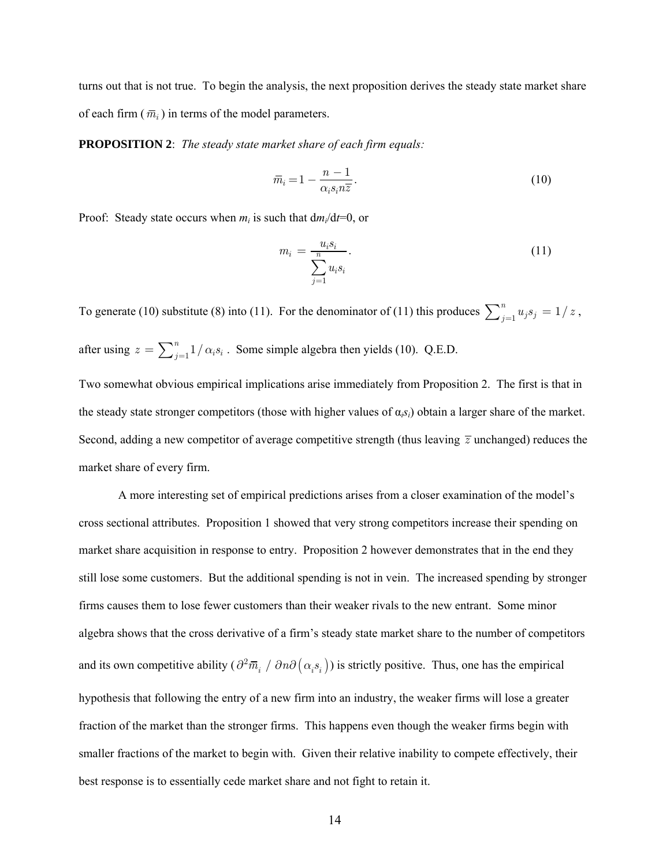turns out that is not true. To begin the analysis, the next proposition derives the steady state market share of each firm  $(\bar{m}_i)$  in terms of the model parameters.

**PROPOSITION 2**: *The steady state market share of each firm equals:* 

$$
\overline{m}_i = 1 - \frac{n-1}{\alpha_i s_i n \overline{z}}.
$$
\n(10)

Proof: Steady state occurs when  $m_i$  is such that  $dm_i/dt=0$ , or

$$
m_i = \frac{u_i s_i}{\sum_{j=1}^n u_i s_i}.
$$
\n
$$
(11)
$$

To generate (10) substitute (8) into (11). For the denominator of (11) this produces  $\sum_{j=1}^{n} u_j s_j = 1/z$ , after using  $z = \sum_{j=1}^{n} 1/\alpha_i s_i$ . Some simple algebra then yields (10). Q.E.D.

Two somewhat obvious empirical implications arise immediately from Proposition 2. The first is that in the steady state stronger competitors (those with higher values of  $\alpha_i s_i$ ) obtain a larger share of the market. Second, adding a new competitor of average competitive strength (thus leaving  $\bar{z}$  unchanged) reduces the market share of every firm.

A more interesting set of empirical predictions arises from a closer examination of the model's cross sectional attributes. Proposition 1 showed that very strong competitors increase their spending on market share acquisition in response to entry. Proposition 2 however demonstrates that in the end they still lose some customers. But the additional spending is not in vein. The increased spending by stronger firms causes them to lose fewer customers than their weaker rivals to the new entrant. Some minor algebra shows that the cross derivative of a firm's steady state market share to the number of competitors and its own competitive ability ( $\partial^2 \overline{m}_i / \partial n \partial (\alpha_i s_i)$ ) is strictly positive. Thus, one has the empirical hypothesis that following the entry of a new firm into an industry, the weaker firms will lose a greater fraction of the market than the stronger firms. This happens even though the weaker firms begin with smaller fractions of the market to begin with. Given their relative inability to compete effectively, their best response is to essentially cede market share and not fight to retain it.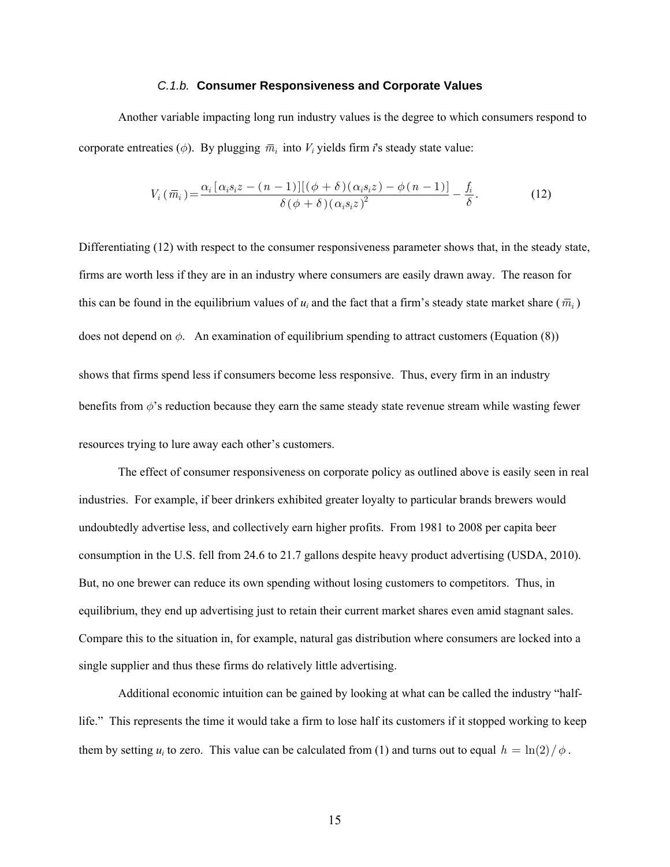#### *C.1.b.* **Consumer Responsiveness and Corporate Values**

Another variable impacting long run industry values is the degree to which consumers respond to corporate entreaties ( $\phi$ ). By plugging  $\bar{m}_i$  into  $V_i$  yields firm *i*'s steady state value:

$$
V_i\left(\bar{m}_i\right) = \frac{\alpha_i\left[\alpha_i s_i z - (n-1)\right]\left[(\phi+\delta)(\alpha_i s_i z) - \phi(n-1)\right]}{\delta(\phi+\delta)(\alpha_i s_i z)^2} - \frac{f_i}{\delta}.\tag{12}
$$

Differentiating (12) with respect to the consumer responsiveness parameter shows that, in the steady state, firms are worth less if they are in an industry where consumers are easily drawn away. The reason for this can be found in the equilibrium values of *u<sub>i</sub>* and the fact that a firm's steady state market share  $(\bar{m}_i)$ does not depend on *φ*. An examination of equilibrium spending to attract customers (Equation (8)) shows that firms spend less if consumers become less responsive. Thus, every firm in an industry benefits from *φ*'s reduction because they earn the same steady state revenue stream while wasting fewer resources trying to lure away each other's customers.

The effect of consumer responsiveness on corporate policy as outlined above is easily seen in real industries. For example, if beer drinkers exhibited greater loyalty to particular brands brewers would undoubtedly advertise less, and collectively earn higher profits. From 1981 to 2008 per capita beer consumption in the U.S. fell from 24.6 to 21.7 gallons despite heavy product advertising (USDA, 2010). But, no one brewer can reduce its own spending without losing customers to competitors. Thus, in equilibrium, they end up advertising just to retain their current market shares even amid stagnant sales. Compare this to the situation in, for example, natural gas distribution where consumers are locked into a single supplier and thus these firms do relatively little advertising.

Additional economic intuition can be gained by looking at what can be called the industry "halflife." This represents the time it would take a firm to lose half its customers if it stopped working to keep them by setting  $u_i$  to zero. This value can be calculated from (1) and turns out to equal  $h = \ln(2)/\phi$ .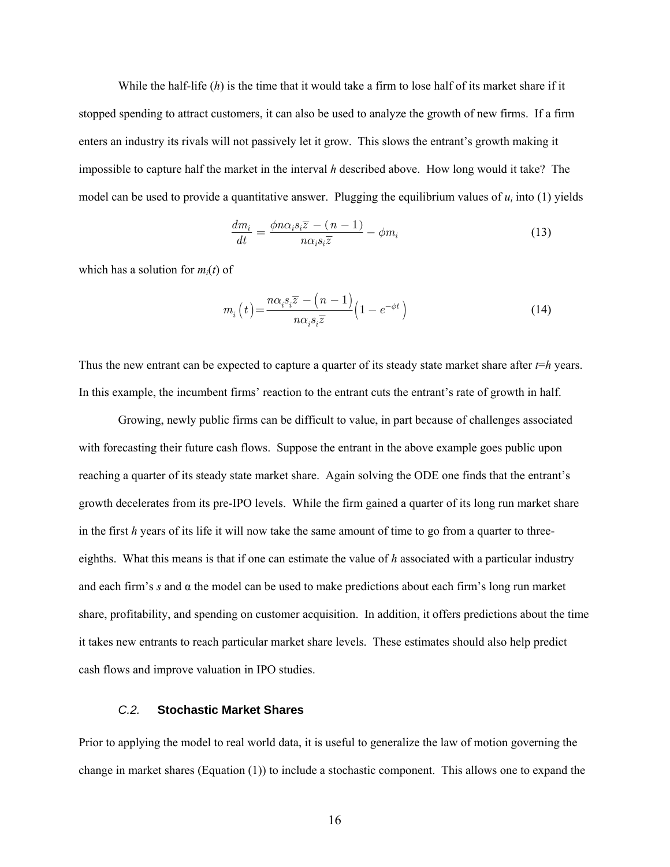While the half-life (*h*) is the time that it would take a firm to lose half of its market share if it stopped spending to attract customers, it can also be used to analyze the growth of new firms. If a firm enters an industry its rivals will not passively let it grow. This slows the entrant's growth making it impossible to capture half the market in the interval *h* described above. How long would it take? The model can be used to provide a quantitative answer. Plugging the equilibrium values of  $u_i$  into (1) yields

$$
\frac{dm_i}{dt} = \frac{\phi n \alpha_i s_i \overline{z} - (n-1)}{n \alpha_i s_i \overline{z}} - \phi m_i
$$
\n(13)

which has a solution for  $m_i(t)$  of

$$
m_i(t) = \frac{n\alpha_i s_i \overline{z} - (n-1)}{n\alpha_i s_i \overline{z}} \left(1 - e^{-\phi t}\right)
$$
\n(14)

Thus the new entrant can be expected to capture a quarter of its steady state market share after *t*=*h* years. In this example, the incumbent firms' reaction to the entrant cuts the entrant's rate of growth in half.

Growing, newly public firms can be difficult to value, in part because of challenges associated with forecasting their future cash flows. Suppose the entrant in the above example goes public upon reaching a quarter of its steady state market share. Again solving the ODE one finds that the entrant's growth decelerates from its pre-IPO levels. While the firm gained a quarter of its long run market share in the first *h* years of its life it will now take the same amount of time to go from a quarter to threeeighths. What this means is that if one can estimate the value of *h* associated with a particular industry and each firm's  $s$  and  $\alpha$  the model can be used to make predictions about each firm's long run market share, profitability, and spending on customer acquisition. In addition, it offers predictions about the time it takes new entrants to reach particular market share levels. These estimates should also help predict cash flows and improve valuation in IPO studies.

## *C.2.* **Stochastic Market Shares**

Prior to applying the model to real world data, it is useful to generalize the law of motion governing the change in market shares (Equation (1)) to include a stochastic component. This allows one to expand the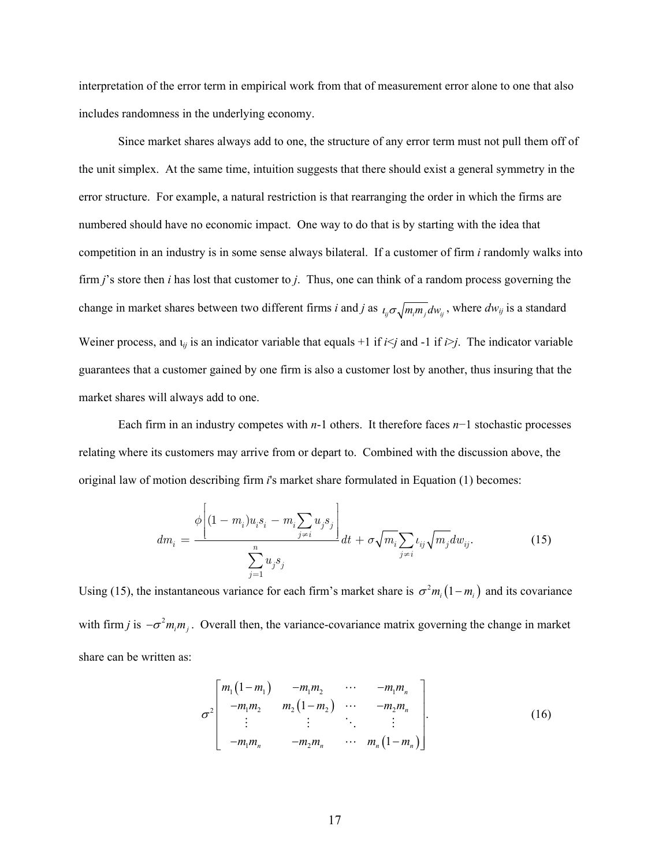interpretation of the error term in empirical work from that of measurement error alone to one that also includes randomness in the underlying economy.

 Since market shares always add to one, the structure of any error term must not pull them off of the unit simplex. At the same time, intuition suggests that there should exist a general symmetry in the error structure. For example, a natural restriction is that rearranging the order in which the firms are numbered should have no economic impact. One way to do that is by starting with the idea that competition in an industry is in some sense always bilateral. If a customer of firm *i* randomly walks into firm *j*'s store then *i* has lost that customer to *j*. Thus, one can think of a random process governing the change in market shares between two different firms *i* and *j* as  $l_{ij}\sigma\sqrt{m_im_j}dw_{ji}$ , where  $dw_{ij}$  is a standard Weiner process, and  $\iota_{ij}$  is an indicator variable that equals +1 if *i* $\leq j$  and -1 if *i* $\geq j$ . The indicator variable guarantees that a customer gained by one firm is also a customer lost by another, thus insuring that the market shares will always add to one.

 Each firm in an industry competes with *n*-1 others. It therefore faces *n*−1 stochastic processes relating where its customers may arrive from or depart to. Combined with the discussion above, the original law of motion describing firm *i*'s market share formulated in Equation (1) becomes:

$$
dm_i = \frac{\phi\left[ (1 - m_i)u_i s_i - m_i \sum_{j \neq i} u_j s_j \right]}{\sum_{j=1}^n u_j s_j} dt + \sigma \sqrt{m_i} \sum_{j \neq i} \iota_{ij} \sqrt{m_j} dw_{ij}.
$$
 (15)

Using (15), the instantaneous variance for each firm's market share is  $\sigma^2 m_i (1 - m_i)$  and its covariance with firm *j* is  $-\sigma^2 m_i m_j$ . Overall then, the variance-covariance matrix governing the change in market share can be written as:

$$
\sigma^2 \begin{bmatrix} m_1(1-m_1) & -m_1m_2 & \cdots & -m_1m_n \\ -m_1m_2 & m_2(1-m_2) & \cdots & -m_2m_n \\ \vdots & \vdots & \ddots & \vdots \\ -m_1m_n & -m_2m_n & \cdots & m_n(1-m_n) \end{bmatrix} .
$$
 (16)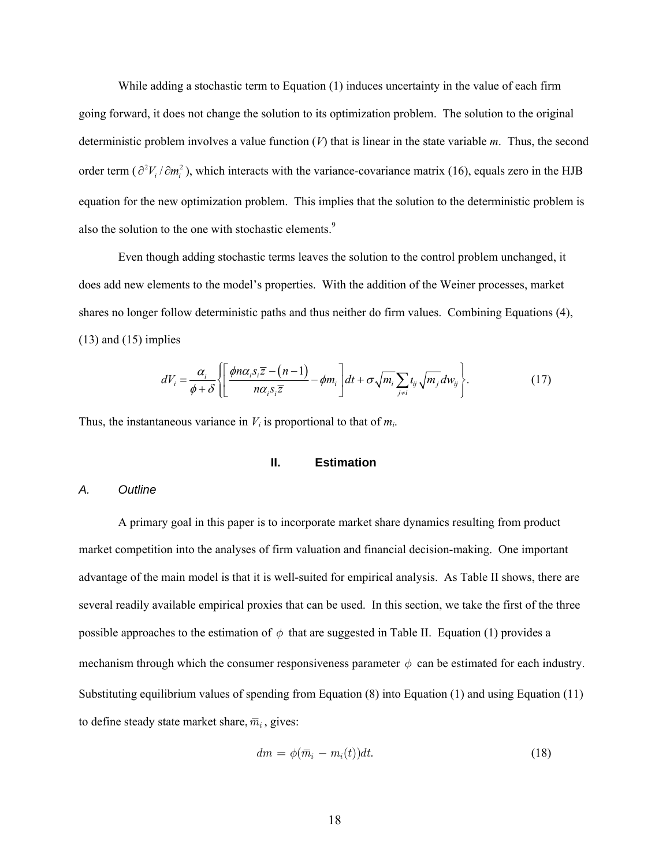While adding a stochastic term to Equation (1) induces uncertainty in the value of each firm going forward, it does not change the solution to its optimization problem. The solution to the original deterministic problem involves a value function (*V*) that is linear in the state variable *m*. Thus, the second order term ( $\partial^2 V_i / \partial m_i^2$ ), which interacts with the variance-covariance matrix (16), equals zero in the HJB equation for the new optimization problem. This implies that the solution to the deterministic problem is also the solution to the one with stochastic elements.<sup>9</sup>

 Even though adding stochastic terms leaves the solution to the control problem unchanged, it does add new elements to the model's properties. With the addition of the Weiner processes, market shares no longer follow deterministic paths and thus neither do firm values. Combining Equations (4),  $(13)$  and  $(15)$  implies

$$
dV_i = \frac{\alpha_i}{\phi + \delta} \left\{ \left[ \frac{\phi n \alpha_i s_i \overline{z} - (n-1)}{n \alpha_i s_i \overline{z}} - \phi m_i \right] dt + \sigma \sqrt{m_i} \sum_{j \neq i} t_{ij} \sqrt{m_j} dw_{ij} \right\}.
$$
 (17)

Thus, the instantaneous variance in  $V_i$  is proportional to that of  $m_i$ .

#### **II. Estimation**

#### *A. Outline*

A primary goal in this paper is to incorporate market share dynamics resulting from product market competition into the analyses of firm valuation and financial decision-making. One important advantage of the main model is that it is well-suited for empirical analysis. As Table II shows, there are several readily available empirical proxies that can be used. In this section, we take the first of the three possible approaches to the estimation of  $\phi$  that are suggested in Table II. Equation (1) provides a mechanism through which the consumer responsiveness parameter  $\phi$  can be estimated for each industry. Substituting equilibrium values of spending from Equation (8) into Equation (1) and using Equation (11) to define steady state market share,  $\overline{m}_i$ , gives:

$$
dm = \phi(\overline{m}_i - m_i(t))dt.
$$
\n(18)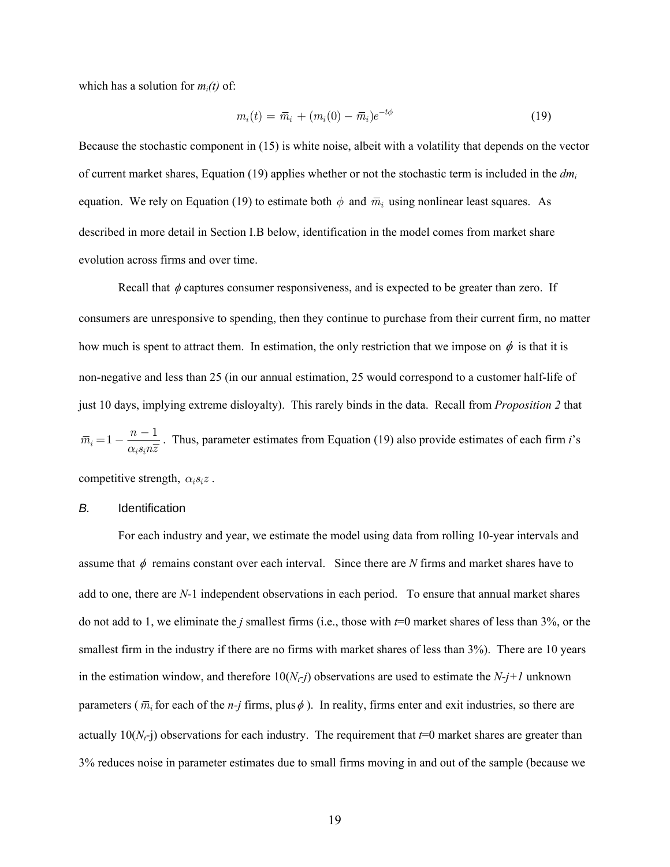which has a solution for  $m_i(t)$  of:

$$
m_i(t) = \bar{m}_i + (m_i(0) - \bar{m}_i)e^{-t\phi}
$$
\n(19)

Because the stochastic component in (15) is white noise, albeit with a volatility that depends on the vector of current market shares, Equation (19) applies whether or not the stochastic term is included in the  $dm_i$ equation. We rely on Equation (19) to estimate both  $\phi$  and  $\overline{m}_i$  using nonlinear least squares. As described in more detail in Section I.B below, identification in the model comes from market share evolution across firms and over time.

Recall that  $\phi$  captures consumer responsiveness, and is expected to be greater than zero. If consumers are unresponsive to spending, then they continue to purchase from their current firm, no matter how much is spent to attract them. In estimation, the only restriction that we impose on  $\phi$  is that it is non-negative and less than 25 (in our annual estimation, 25 would correspond to a customer half-life of just 10 days, implying extreme disloyalty). This rarely binds in the data. Recall from *Proposition 2* that  $\sum_{i=1}^{n}$  –  $\frac{n-1}{\alpha_i s_i n \overline{z}}$  $\overline{m}_i = 1 - \frac{n-1}{\alpha_i s_i n \overline{z}}$ . Thus, parameter estimates from Equation (19) also provide estimates of each firm *i*'s

competitive strength,  $\alpha_i s_i z$ .

## *B.* Identification

For each industry and year, we estimate the model using data from rolling 10-year intervals and assume that  $\phi$  remains constant over each interval. Since there are *N* firms and market shares have to add to one, there are *N*-1 independent observations in each period. To ensure that annual market shares do not add to 1, we eliminate the *j* smallest firms (i.e., those with *t*=0 market shares of less than 3%, or the smallest firm in the industry if there are no firms with market shares of less than 3%). There are 10 years in the estimation window, and therefore  $10(N_f)$  observations are used to estimate the  $N_f+1$  unknown parameters ( $\bar{m}_i$  for each of the *n-j* firms, plus  $\phi$ ). In reality, firms enter and exit industries, so there are actually  $10(N<sub>t</sub>-i)$  observations for each industry. The requirement that  $t=0$  market shares are greater than 3% reduces noise in parameter estimates due to small firms moving in and out of the sample (because we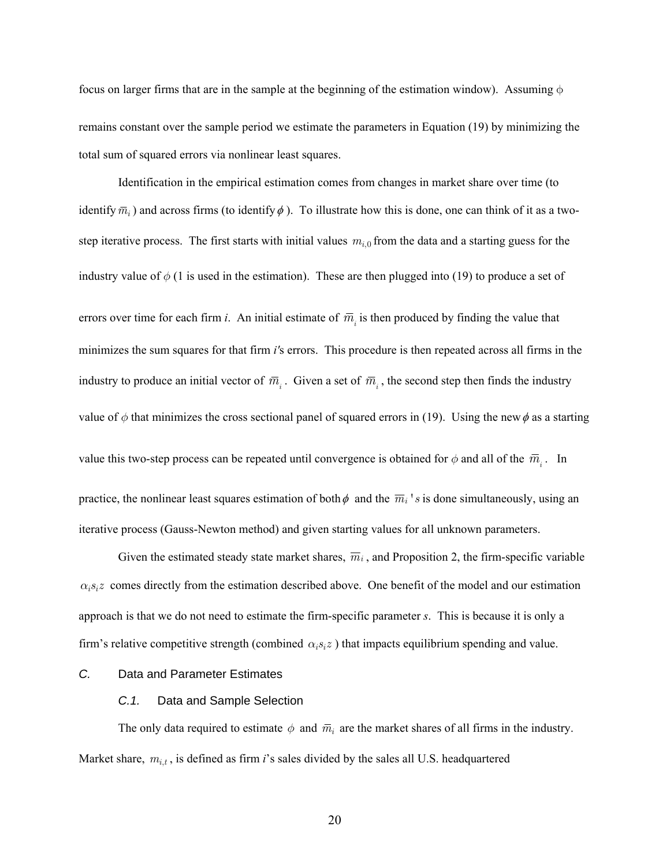focus on larger firms that are in the sample at the beginning of the estimation window). Assuming  $\phi$ remains constant over the sample period we estimate the parameters in Equation (19) by minimizing the total sum of squared errors via nonlinear least squares.

Identification in the empirical estimation comes from changes in market share over time (to identify  $\bar{m}_i$ ) and across firms (to identify  $\phi$ ). To illustrate how this is done, one can think of it as a twostep iterative process. The first starts with initial values  $m_{i,0}$  from the data and a starting guess for the industry value of  $\phi$  (1 is used in the estimation). These are then plugged into (19) to produce a set of errors over time for each firm *i*. An initial estimate of  $\overline{m}_i$  is then produced by finding the value that minimizes the sum squares for that firm *i'*s errors. This procedure is then repeated across all firms in the industry to produce an initial vector of  $\overline{m}_i$ . Given a set of  $\overline{m}_i$ , the second step then finds the industry value of  $\phi$  that minimizes the cross sectional panel of squared errors in (19). Using the new  $\phi$  as a starting value this two-step process can be repeated until convergence is obtained for  $\phi$  and all of the  $\bar{m}_i$ . In practice, the nonlinear least squares estimation of both  $\phi$  and the  $\overline{m}_i$  's is done simultaneously, using an iterative process (Gauss-Newton method) and given starting values for all unknown parameters.

Given the estimated steady state market shares,  $\overline{m}_i$ , and Proposition 2, the firm-specific variable  $\alpha_i s_i z$  comes directly from the estimation described above. One benefit of the model and our estimation approach is that we do not need to estimate the firm-specific parameter *s*. This is because it is only a firm's relative competitive strength (combined  $\alpha_i s_i z$ ) that impacts equilibrium spending and value.

### *C.* Data and Parameter Estimates

# *C.1.* Data and Sample Selection

The only data required to estimate  $\phi$  and  $\overline{m}_i$  are the market shares of all firms in the industry. Market share,  $m_{i,t}$ , is defined as firm *i*'s sales divided by the sales all U.S. headquartered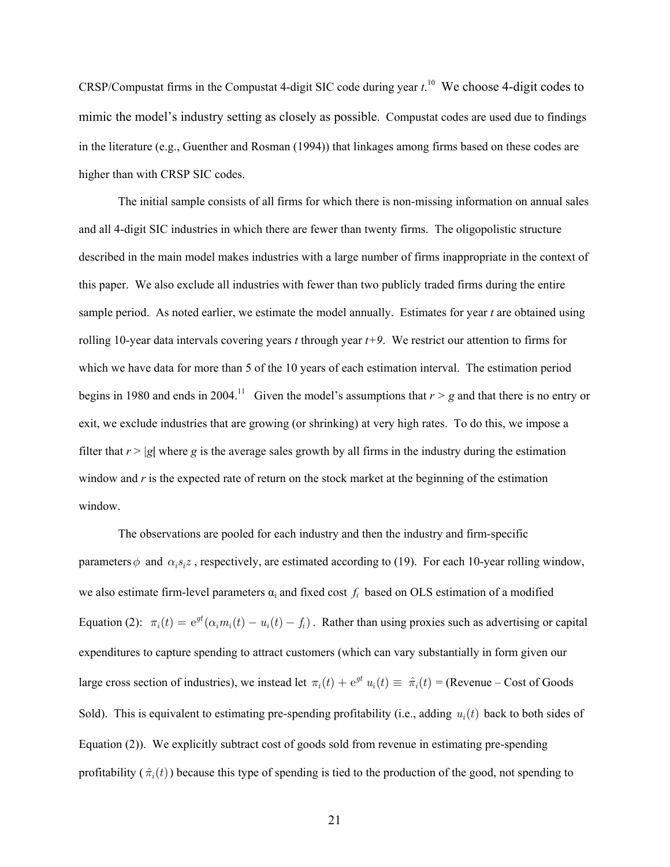CRSP/Compustat firms in the Compustat 4-digit SIC code during year  $t$ <sup>10</sup>. We choose 4-digit codes to mimic the model's industry setting as closely as possible. Compustat codes are used due to findings in the literature (e.g., Guenther and Rosman (1994)) that linkages among firms based on these codes are higher than with CRSP SIC codes.

The initial sample consists of all firms for which there is non-missing information on annual sales and all 4-digit SIC industries in which there are fewer than twenty firms. The oligopolistic structure described in the main model makes industries with a large number of firms inappropriate in the context of this paper. We also exclude all industries with fewer than two publicly traded firms during the entire sample period. As noted earlier, we estimate the model annually. Estimates for year *t* are obtained using rolling 10-year data intervals covering years *t* through year *t+9*. We restrict our attention to firms for which we have data for more than 5 of the 10 years of each estimation interval. The estimation period begins in 1980 and ends in 2004.<sup>11</sup> Given the model's assumptions that  $r > g$  and that there is no entry or exit, we exclude industries that are growing (or shrinking) at very high rates. To do this, we impose a filter that  $r > |g|$  where g is the average sales growth by all firms in the industry during the estimation window and *r* is the expected rate of return on the stock market at the beginning of the estimation window.

The observations are pooled for each industry and then the industry and firm-specific parameters  $\phi$  and  $\alpha_i s_i z$ , respectively, are estimated according to (19). For each 10-year rolling window, we also estimate firm-level parameters  $\alpha_i$  and fixed cost  $f_i$  based on OLS estimation of a modified Equation (2):  $\pi_i(t) = e^{gt} (\alpha_i m_i(t) - u_i(t) - f_i)$ . Rather than using proxies such as advertising or capital expenditures to capture spending to attract customers (which can vary substantially in form given our large cross section of industries), we instead let  $\pi_i(t) + e^{gt} u_i(t) \equiv \hat{\pi}_i(t) =$  (Revenue – Cost of Goods Sold). This is equivalent to estimating pre-spending profitability (i.e., adding  $u_i(t)$  back to both sides of Equation (2)). We explicitly subtract cost of goods sold from revenue in estimating pre-spending profitability  $(\hat{\pi}_i(t))$  because this type of spending is tied to the production of the good, not spending to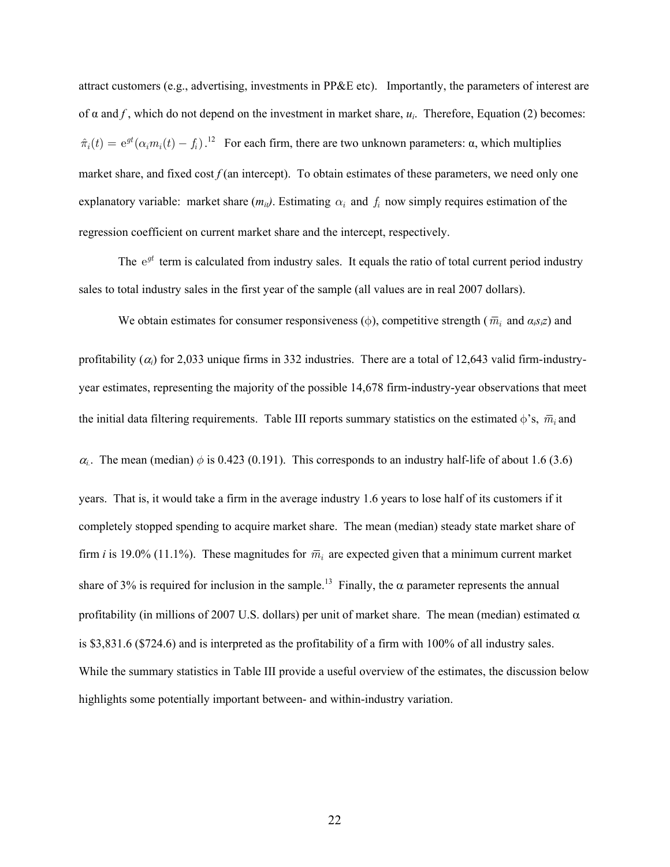attract customers (e.g., advertising, investments in PP&E etc). Importantly, the parameters of interest are of α and *f*, which do not depend on the investment in market share,  $u_i$ . Therefore, Equation (2) becomes:  $\hat{\pi}_i(t) = e^{gt} (\alpha_i m_i(t) - f_i).$ <sup>12</sup> For each firm, there are two unknown parameters:  $\alpha$ , which multiplies market share, and fixed cost *f* (an intercept). To obtain estimates of these parameters, we need only one explanatory variable: market share  $(m_{ii})$ . Estimating  $\alpha_i$  and  $f_i$  now simply requires estimation of the regression coefficient on current market share and the intercept, respectively.

The  $e^{gt}$  term is calculated from industry sales. It equals the ratio of total current period industry sales to total industry sales in the first year of the sample (all values are in real 2007 dollars).

We obtain estimates for consumer responsiveness ( $\phi$ ), competitive strength ( $\overline{m}_i$  and  $\alpha_i s_i z$ ) and profitability  $(\alpha_i)$  for 2,033 unique firms in 332 industries. There are a total of 12,643 valid firm-industryyear estimates, representing the majority of the possible 14,678 firm-industry-year observations that meet the initial data filtering requirements. Table III reports summary statistics on the estimated  $\phi$ 's,  $\bar{m}$  and

 $\alpha_i$ . The mean (median)  $\phi$  is 0.423 (0.191). This corresponds to an industry half-life of about 1.6 (3.6)

years. That is, it would take a firm in the average industry 1.6 years to lose half of its customers if it completely stopped spending to acquire market share. The mean (median) steady state market share of firm *i* is 19.0% (11.1%). These magnitudes for  $\overline{m}_i$  are expected given that a minimum current market share of 3% is required for inclusion in the sample.<sup>13</sup> Finally, the  $\alpha$  parameter represents the annual profitability (in millions of 2007 U.S. dollars) per unit of market share. The mean (median) estimated  $\alpha$ is \$3,831.6 (\$724.6) and is interpreted as the profitability of a firm with 100% of all industry sales. While the summary statistics in Table III provide a useful overview of the estimates, the discussion below highlights some potentially important between- and within-industry variation.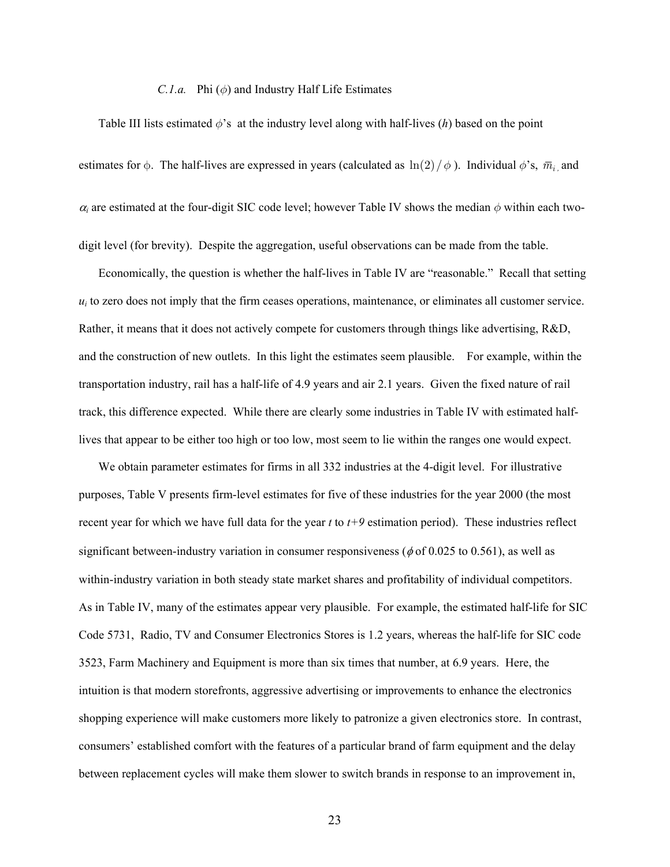#### *C.1.a.* Phi (*φ*) and Industry Half Life Estimates

Table III lists estimated *φ*'s at the industry level along with half-lives (*h*) based on the point

estimates for φ. The half-lives are expressed in years (calculated as  $\ln(2)/\phi$ ). Individual  $\phi$ 's,  $\bar{m}_i$  and  $\alpha_i$  are estimated at the four-digit SIC code level; however Table IV shows the median  $\phi$  within each twodigit level (for brevity). Despite the aggregation, useful observations can be made from the table.

Economically, the question is whether the half-lives in Table IV are "reasonable." Recall that setting  $u_i$  to zero does not imply that the firm ceases operations, maintenance, or eliminates all customer service. Rather, it means that it does not actively compete for customers through things like advertising, R&D, and the construction of new outlets. In this light the estimates seem plausible. For example, within the transportation industry, rail has a half-life of 4.9 years and air 2.1 years. Given the fixed nature of rail track, this difference expected. While there are clearly some industries in Table IV with estimated halflives that appear to be either too high or too low, most seem to lie within the ranges one would expect.

We obtain parameter estimates for firms in all 332 industries at the 4-digit level. For illustrative purposes, Table V presents firm-level estimates for five of these industries for the year 2000 (the most recent year for which we have full data for the year *t* to *t+9* estimation period). These industries reflect significant between-industry variation in consumer responsiveness ( $\phi$  of 0.025 to 0.561), as well as within-industry variation in both steady state market shares and profitability of individual competitors. As in Table IV, many of the estimates appear very plausible. For example, the estimated half-life for SIC Code 5731, Radio, TV and Consumer Electronics Stores is 1.2 years, whereas the half-life for SIC code 3523, Farm Machinery and Equipment is more than six times that number, at 6.9 years. Here, the intuition is that modern storefronts, aggressive advertising or improvements to enhance the electronics shopping experience will make customers more likely to patronize a given electronics store. In contrast, consumers' established comfort with the features of a particular brand of farm equipment and the delay between replacement cycles will make them slower to switch brands in response to an improvement in,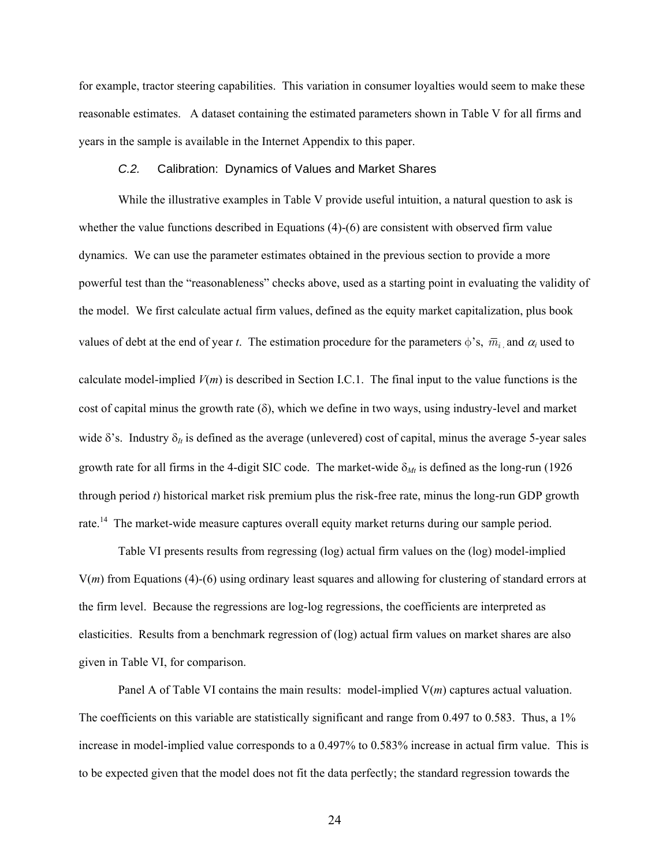for example, tractor steering capabilities. This variation in consumer loyalties would seem to make these reasonable estimates. A dataset containing the estimated parameters shown in Table V for all firms and years in the sample is available in the Internet Appendix to this paper.

# *C.2.* Calibration: Dynamics of Values and Market Shares

While the illustrative examples in Table V provide useful intuition, a natural question to ask is whether the value functions described in Equations (4)-(6) are consistent with observed firm value dynamics. We can use the parameter estimates obtained in the previous section to provide a more powerful test than the "reasonableness" checks above, used as a starting point in evaluating the validity of the model. We first calculate actual firm values, defined as the equity market capitalization, plus book values of debt at the end of year *t*. The estimation procedure for the parameters  $\phi$ 's,  $\overline{m}_i$  and  $\alpha_i$  used to calculate model-implied  $V(m)$  is described in Section I.C.1. The final input to the value functions is the cost of capital minus the growth rate (δ), which we define in two ways, using industry-level and market wide  $\delta$ 's. Industry  $\delta_{lt}$  is defined as the average (unlevered) cost of capital, minus the average 5-year sales growth rate for all firms in the 4-digit SIC code. The market-wide  $\delta_{Mt}$  is defined as the long-run (1926 through period *t*) historical market risk premium plus the risk-free rate, minus the long-run GDP growth rate.<sup>14</sup> The market-wide measure captures overall equity market returns during our sample period.

Table VI presents results from regressing (log) actual firm values on the (log) model-implied V(*m*) from Equations (4)-(6) using ordinary least squares and allowing for clustering of standard errors at the firm level. Because the regressions are log-log regressions, the coefficients are interpreted as elasticities. Results from a benchmark regression of (log) actual firm values on market shares are also given in Table VI, for comparison.

Panel A of Table VI contains the main results: model-implied V(*m*) captures actual valuation. The coefficients on this variable are statistically significant and range from 0.497 to 0.583. Thus, a 1% increase in model-implied value corresponds to a 0.497% to 0.583% increase in actual firm value. This is to be expected given that the model does not fit the data perfectly; the standard regression towards the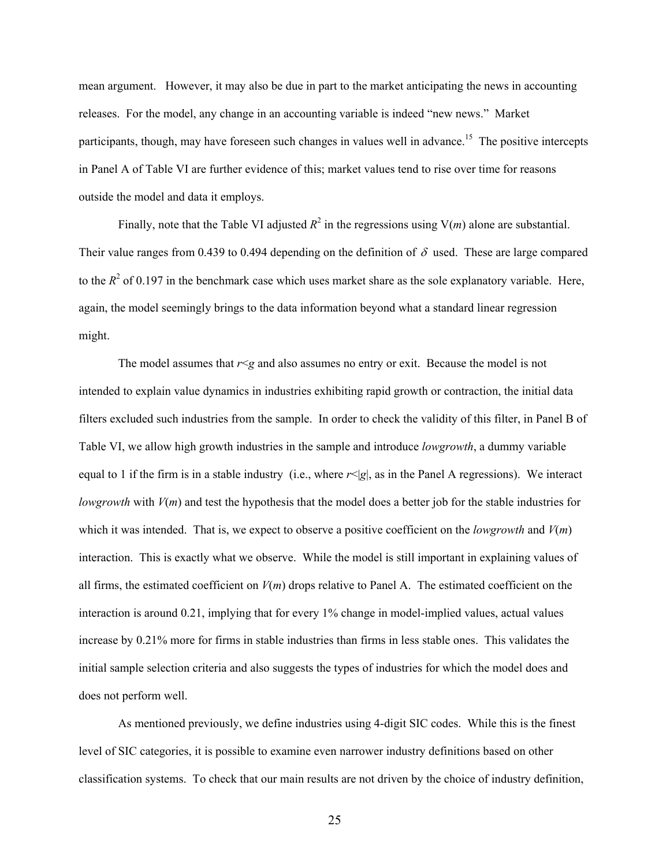mean argument. However, it may also be due in part to the market anticipating the news in accounting releases. For the model, any change in an accounting variable is indeed "new news." Market participants, though, may have foreseen such changes in values well in advance.<sup>15</sup> The positive intercepts in Panel A of Table VI are further evidence of this; market values tend to rise over time for reasons outside the model and data it employs.

Finally, note that the Table VI adjusted  $R^2$  in the regressions using  $V(m)$  alone are substantial. Their value ranges from 0.439 to 0.494 depending on the definition of  $\delta$  used. These are large compared to the  $R^2$  of 0.197 in the benchmark case which uses market share as the sole explanatory variable. Here, again, the model seemingly brings to the data information beyond what a standard linear regression might.

The model assumes that *r*<*g* and also assumes no entry or exit. Because the model is not intended to explain value dynamics in industries exhibiting rapid growth or contraction, the initial data filters excluded such industries from the sample. In order to check the validity of this filter, in Panel B of Table VI, we allow high growth industries in the sample and introduce *lowgrowth*, a dummy variable equal to 1 if the firm is in a stable industry (i.e., where  $r<|g|$ , as in the Panel A regressions). We interact *lowgrowth* with  $V(m)$  and test the hypothesis that the model does a better job for the stable industries for which it was intended. That is, we expect to observe a positive coefficient on the *lowgrowth* and *V*(*m*) interaction. This is exactly what we observe. While the model is still important in explaining values of all firms, the estimated coefficient on *V*(*m*) drops relative to Panel A. The estimated coefficient on the interaction is around 0.21, implying that for every 1% change in model-implied values, actual values increase by 0.21% more for firms in stable industries than firms in less stable ones. This validates the initial sample selection criteria and also suggests the types of industries for which the model does and does not perform well.

As mentioned previously, we define industries using 4-digit SIC codes. While this is the finest level of SIC categories, it is possible to examine even narrower industry definitions based on other classification systems. To check that our main results are not driven by the choice of industry definition,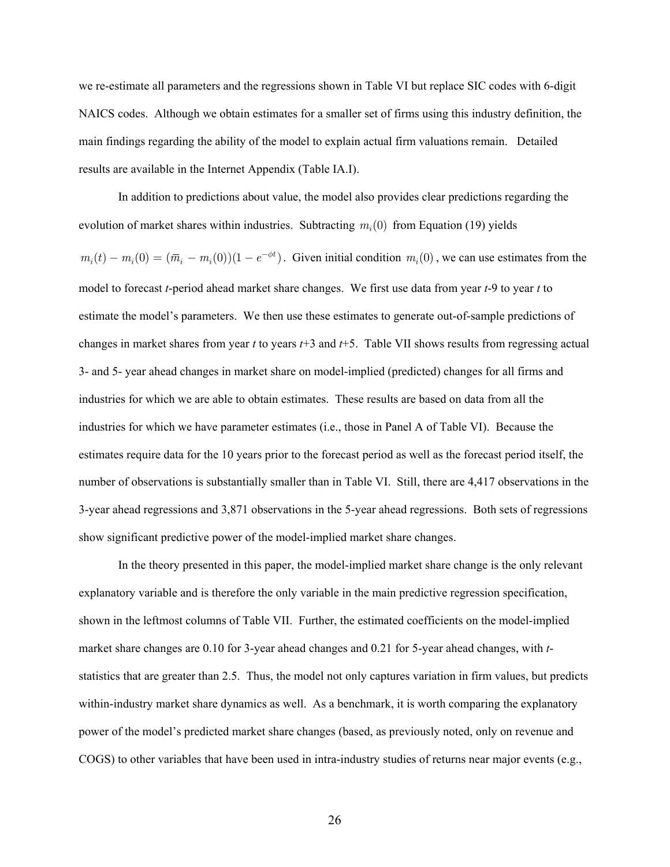we re-estimate all parameters and the regressions shown in Table VI but replace SIC codes with 6-digit NAICS codes. Although we obtain estimates for a smaller set of firms using this industry definition, the main findings regarding the ability of the model to explain actual firm valuations remain. Detailed results are available in the Internet Appendix (Table IA.I).

In addition to predictions about value, the model also provides clear predictions regarding the evolution of market shares within industries. Subtracting  $m_i(0)$  from Equation (19) yields  $m_i(t) - m_i(0) = (\overline{m}_i - m_i(0))(1 - e^{-\phi t})$ . Given initial condition  $m_i(0)$ , we can use estimates from the model to forecast *t*-period ahead market share changes. We first use data from year *t*-9 to year *t* to estimate the model's parameters. We then use these estimates to generate out-of-sample predictions of changes in market shares from year *t* to years *t*+3 and *t*+5. Table VII shows results from regressing actual 3- and 5- year ahead changes in market share on model-implied (predicted) changes for all firms and industries for which we are able to obtain estimates. These results are based on data from all the industries for which we have parameter estimates (i.e., those in Panel A of Table VI). Because the estimates require data for the 10 years prior to the forecast period as well as the forecast period itself, the number of observations is substantially smaller than in Table VI. Still, there are 4,417 observations in the 3-year ahead regressions and 3,871 observations in the 5-year ahead regressions. Both sets of regressions show significant predictive power of the model-implied market share changes.

In the theory presented in this paper, the model-implied market share change is the only relevant explanatory variable and is therefore the only variable in the main predictive regression specification, shown in the leftmost columns of Table VII. Further, the estimated coefficients on the model-implied market share changes are 0.10 for 3-year ahead changes and 0.21 for 5-year ahead changes, with *t*statistics that are greater than 2.5. Thus, the model not only captures variation in firm values, but predicts within-industry market share dynamics as well. As a benchmark, it is worth comparing the explanatory power of the model's predicted market share changes (based, as previously noted, only on revenue and COGS) to other variables that have been used in intra-industry studies of returns near major events (e.g.,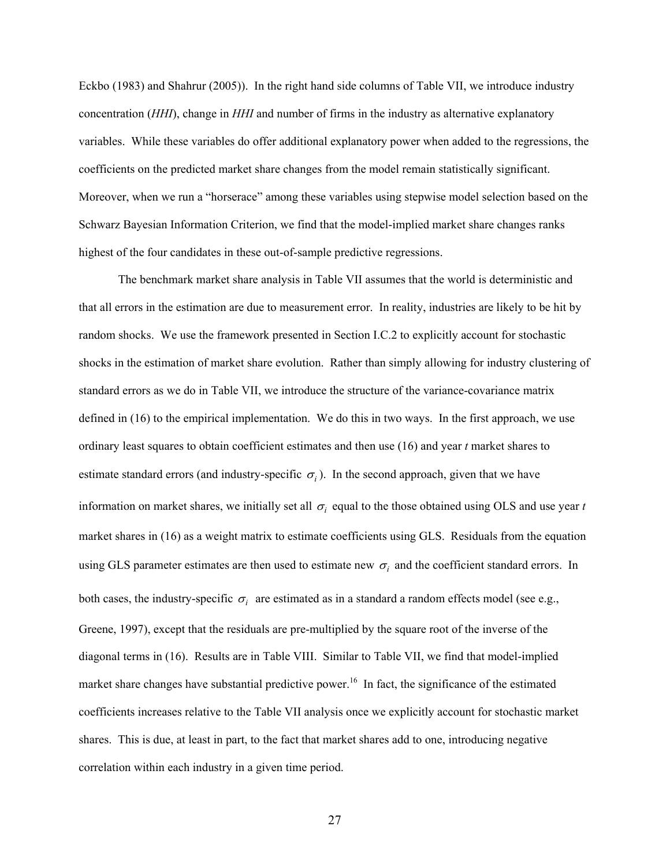Eckbo (1983) and Shahrur (2005)). In the right hand side columns of Table VII, we introduce industry concentration (*HHI*), change in *HHI* and number of firms in the industry as alternative explanatory variables. While these variables do offer additional explanatory power when added to the regressions, the coefficients on the predicted market share changes from the model remain statistically significant. Moreover, when we run a "horserace" among these variables using stepwise model selection based on the Schwarz Bayesian Information Criterion, we find that the model-implied market share changes ranks highest of the four candidates in these out-of-sample predictive regressions.

The benchmark market share analysis in Table VII assumes that the world is deterministic and that all errors in the estimation are due to measurement error. In reality, industries are likely to be hit by random shocks. We use the framework presented in Section I.C.2 to explicitly account for stochastic shocks in the estimation of market share evolution. Rather than simply allowing for industry clustering of standard errors as we do in Table VII, we introduce the structure of the variance-covariance matrix defined in (16) to the empirical implementation. We do this in two ways. In the first approach, we use ordinary least squares to obtain coefficient estimates and then use (16) and year *t* market shares to estimate standard errors (and industry-specific  $\sigma_i$ ). In the second approach, given that we have information on market shares, we initially set all  $\sigma_i$  equal to the those obtained using OLS and use year *t* market shares in (16) as a weight matrix to estimate coefficients using GLS. Residuals from the equation using GLS parameter estimates are then used to estimate new  $\sigma_i$  and the coefficient standard errors. In both cases, the industry-specific  $\sigma_i$  are estimated as in a standard a random effects model (see e.g., Greene, 1997), except that the residuals are pre-multiplied by the square root of the inverse of the diagonal terms in (16). Results are in Table VIII. Similar to Table VII, we find that model-implied market share changes have substantial predictive power.<sup>16</sup> In fact, the significance of the estimated coefficients increases relative to the Table VII analysis once we explicitly account for stochastic market shares. This is due, at least in part, to the fact that market shares add to one, introducing negative correlation within each industry in a given time period.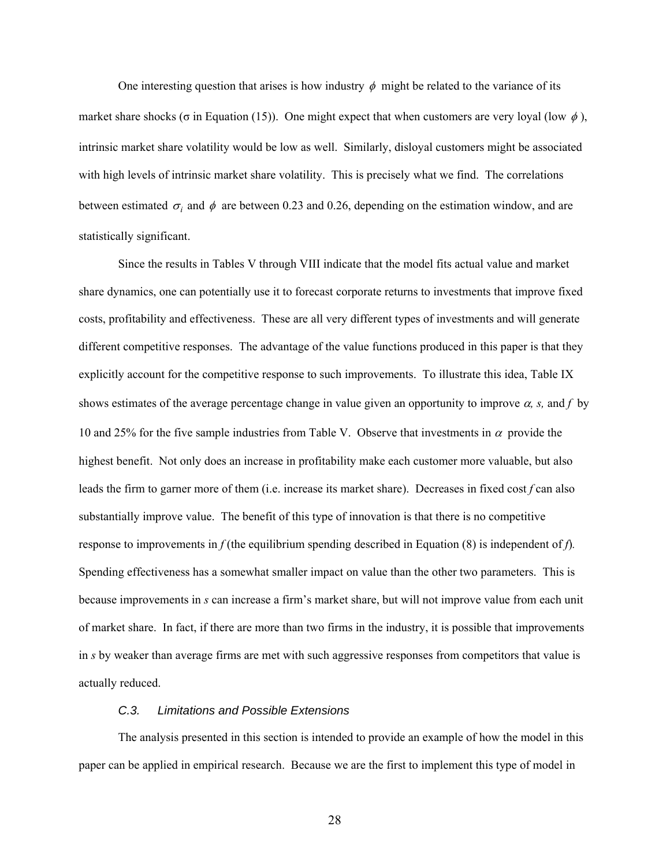One interesting question that arises is how industry  $\phi$  might be related to the variance of its market share shocks ( $\sigma$  in Equation (15)). One might expect that when customers are very loyal (low  $\phi$ ), intrinsic market share volatility would be low as well. Similarly, disloyal customers might be associated with high levels of intrinsic market share volatility. This is precisely what we find. The correlations between estimated  $\sigma_i$  and  $\phi$  are between 0.23 and 0.26, depending on the estimation window, and are statistically significant.

Since the results in Tables V through VIII indicate that the model fits actual value and market share dynamics, one can potentially use it to forecast corporate returns to investments that improve fixed costs, profitability and effectiveness. These are all very different types of investments and will generate different competitive responses. The advantage of the value functions produced in this paper is that they explicitly account for the competitive response to such improvements. To illustrate this idea, Table IX shows estimates of the average percentage change in value given an opportunity to improve  $\alpha$ , s, and  $f$  by 10 and 25% for the five sample industries from Table V. Observe that investments in  $\alpha$  provide the highest benefit. Not only does an increase in profitability make each customer more valuable, but also leads the firm to garner more of them (i.e. increase its market share). Decreases in fixed cost *f* can also substantially improve value. The benefit of this type of innovation is that there is no competitive response to improvements in *f* (the equilibrium spending described in Equation (8) is independent of *f*)*.*  Spending effectiveness has a somewhat smaller impact on value than the other two parameters. This is because improvements in *s* can increase a firm's market share, but will not improve value from each unit of market share. In fact, if there are more than two firms in the industry, it is possible that improvements in *s* by weaker than average firms are met with such aggressive responses from competitors that value is actually reduced.

# *C.3. Limitations and Possible Extensions*

 The analysis presented in this section is intended to provide an example of how the model in this paper can be applied in empirical research. Because we are the first to implement this type of model in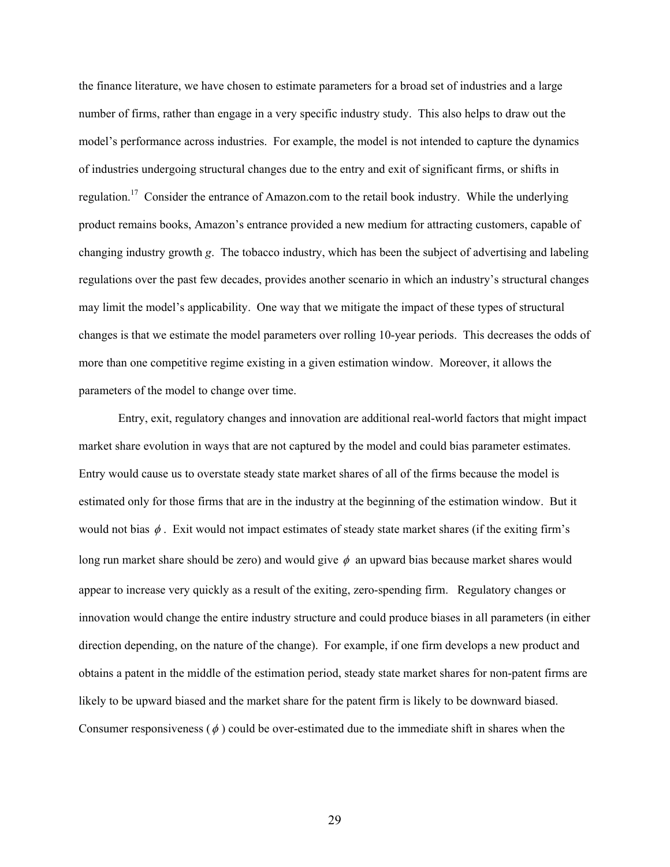the finance literature, we have chosen to estimate parameters for a broad set of industries and a large number of firms, rather than engage in a very specific industry study. This also helps to draw out the model's performance across industries. For example, the model is not intended to capture the dynamics of industries undergoing structural changes due to the entry and exit of significant firms, or shifts in regulation.17 Consider the entrance of Amazon.com to the retail book industry. While the underlying product remains books, Amazon's entrance provided a new medium for attracting customers, capable of changing industry growth *g*. The tobacco industry, which has been the subject of advertising and labeling regulations over the past few decades, provides another scenario in which an industry's structural changes may limit the model's applicability. One way that we mitigate the impact of these types of structural changes is that we estimate the model parameters over rolling 10-year periods. This decreases the odds of more than one competitive regime existing in a given estimation window. Moreover, it allows the parameters of the model to change over time.

 Entry, exit, regulatory changes and innovation are additional real-world factors that might impact market share evolution in ways that are not captured by the model and could bias parameter estimates. Entry would cause us to overstate steady state market shares of all of the firms because the model is estimated only for those firms that are in the industry at the beginning of the estimation window. But it would not bias  $\phi$ . Exit would not impact estimates of steady state market shares (if the exiting firm's long run market share should be zero) and would give  $\phi$  an upward bias because market shares would appear to increase very quickly as a result of the exiting, zero-spending firm. Regulatory changes or innovation would change the entire industry structure and could produce biases in all parameters (in either direction depending, on the nature of the change). For example, if one firm develops a new product and obtains a patent in the middle of the estimation period, steady state market shares for non-patent firms are likely to be upward biased and the market share for the patent firm is likely to be downward biased. Consumer responsiveness ( $\phi$ ) could be over-estimated due to the immediate shift in shares when the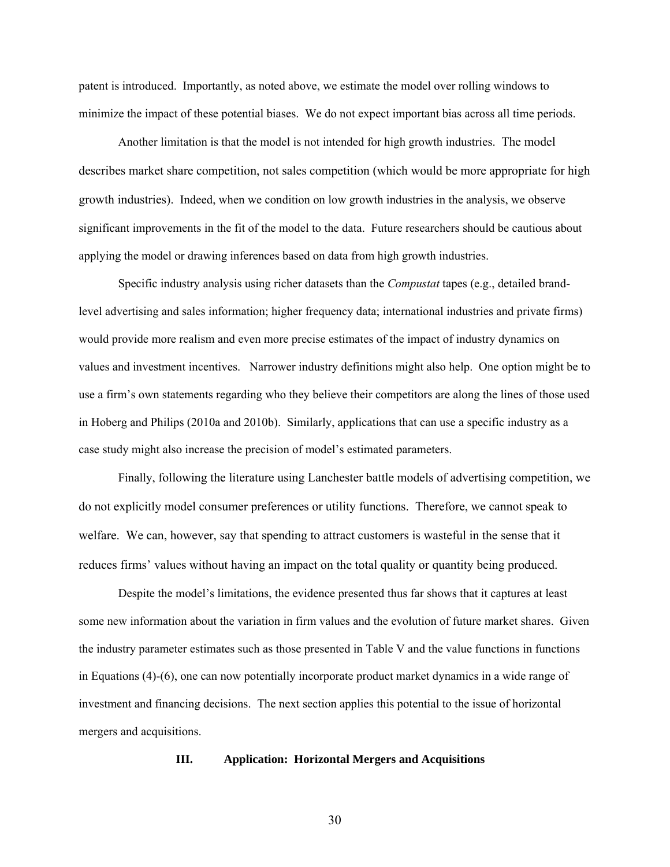patent is introduced. Importantly, as noted above, we estimate the model over rolling windows to minimize the impact of these potential biases. We do not expect important bias across all time periods.

 Another limitation is that the model is not intended for high growth industries. The model describes market share competition, not sales competition (which would be more appropriate for high growth industries). Indeed, when we condition on low growth industries in the analysis, we observe significant improvements in the fit of the model to the data. Future researchers should be cautious about applying the model or drawing inferences based on data from high growth industries.

Specific industry analysis using richer datasets than the *Compustat* tapes (e.g., detailed brandlevel advertising and sales information; higher frequency data; international industries and private firms) would provide more realism and even more precise estimates of the impact of industry dynamics on values and investment incentives. Narrower industry definitions might also help. One option might be to use a firm's own statements regarding who they believe their competitors are along the lines of those used in Hoberg and Philips (2010a and 2010b). Similarly, applications that can use a specific industry as a case study might also increase the precision of model's estimated parameters.

Finally, following the literature using Lanchester battle models of advertising competition, we do not explicitly model consumer preferences or utility functions. Therefore, we cannot speak to welfare. We can, however, say that spending to attract customers is wasteful in the sense that it reduces firms' values without having an impact on the total quality or quantity being produced.

Despite the model's limitations, the evidence presented thus far shows that it captures at least some new information about the variation in firm values and the evolution of future market shares. Given the industry parameter estimates such as those presented in Table V and the value functions in functions in Equations (4)-(6), one can now potentially incorporate product market dynamics in a wide range of investment and financing decisions. The next section applies this potential to the issue of horizontal mergers and acquisitions.

### **III. Application: Horizontal Mergers and Acquisitions**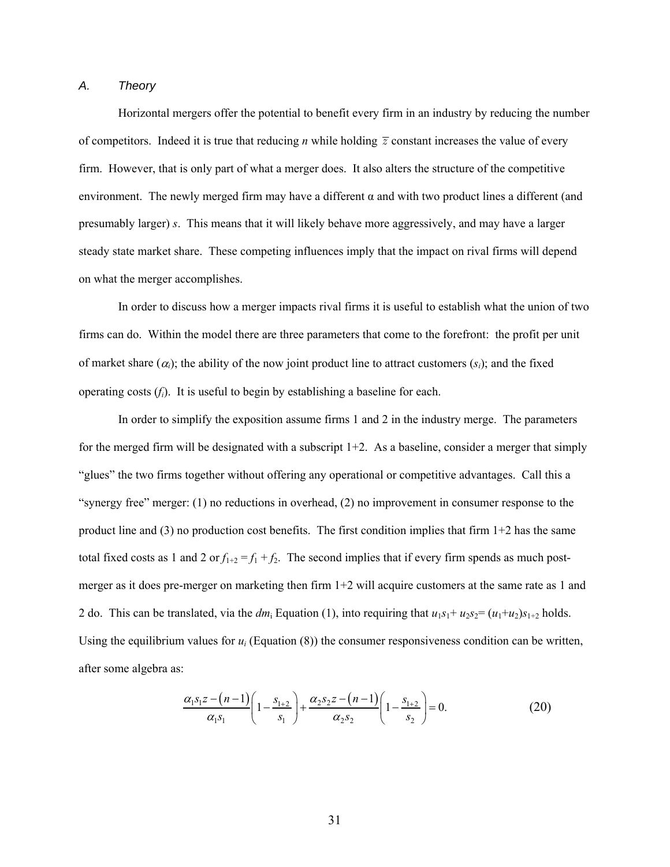# *A. Theory*

Horizontal mergers offer the potential to benefit every firm in an industry by reducing the number of competitors. Indeed it is true that reducing *n* while holding  $\bar{z}$  constant increases the value of every firm. However, that is only part of what a merger does. It also alters the structure of the competitive environment. The newly merged firm may have a different  $\alpha$  and with two product lines a different (and presumably larger) *s*. This means that it will likely behave more aggressively, and may have a larger steady state market share. These competing influences imply that the impact on rival firms will depend on what the merger accomplishes.

In order to discuss how a merger impacts rival firms it is useful to establish what the union of two firms can do. Within the model there are three parameters that come to the forefront: the profit per unit of market share  $(\alpha_i)$ ; the ability of the now joint product line to attract customers  $(s_i)$ ; and the fixed operating costs (*fi*). It is useful to begin by establishing a baseline for each.

In order to simplify the exposition assume firms 1 and 2 in the industry merge. The parameters for the merged firm will be designated with a subscript 1+2. As a baseline, consider a merger that simply "glues" the two firms together without offering any operational or competitive advantages. Call this a "synergy free" merger: (1) no reductions in overhead, (2) no improvement in consumer response to the product line and (3) no production cost benefits. The first condition implies that firm  $1+2$  has the same total fixed costs as 1 and 2 or  $f_{1+2} = f_1 + f_2$ . The second implies that if every firm spends as much postmerger as it does pre-merger on marketing then firm 1+2 will acquire customers at the same rate as 1 and 2 do. This can be translated, via the  $dm_i$  Equation (1), into requiring that  $u_1s_1 + u_2s_2 = (u_1 + u_2)s_{1+2}$  holds. Using the equilibrium values for  $u_i$  (Equation (8)) the consumer responsiveness condition can be written, after some algebra as:

$$
\frac{\alpha_1 s_1 z - (n-1)}{\alpha_1 s_1} \left( 1 - \frac{s_{1+2}}{s_1} \right) + \frac{\alpha_2 s_2 z - (n-1)}{\alpha_2 s_2} \left( 1 - \frac{s_{1+2}}{s_2} \right) = 0. \tag{20}
$$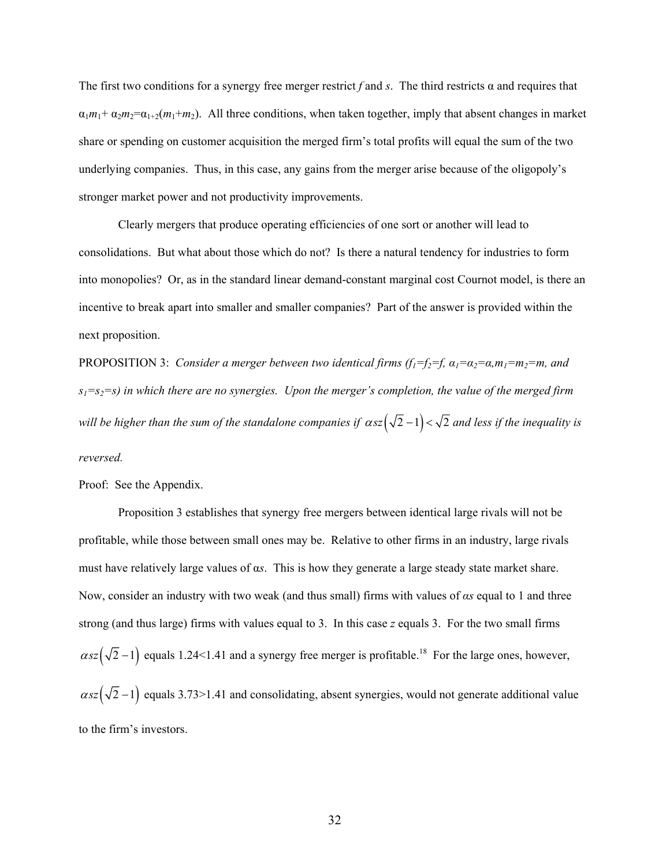The first two conditions for a synergy free merger restrict f and s. The third restricts  $\alpha$  and requires that  $\alpha_1 m_1 + \alpha_2 m_2 = \alpha_{1+2}(m_1 + m_2)$ . All three conditions, when taken together, imply that absent changes in market share or spending on customer acquisition the merged firm's total profits will equal the sum of the two underlying companies. Thus, in this case, any gains from the merger arise because of the oligopoly's stronger market power and not productivity improvements.

Clearly mergers that produce operating efficiencies of one sort or another will lead to consolidations. But what about those which do not? Is there a natural tendency for industries to form into monopolies? Or, as in the standard linear demand-constant marginal cost Cournot model, is there an incentive to break apart into smaller and smaller companies? Part of the answer is provided within the next proposition.

PROPOSITION 3: *Consider a merger between two identical firms (f<sub>1</sub>=f<sub>2</sub>=f,*  $\alpha_1$ *=* $\alpha_2$ *=* $\alpha$ *,* $m_1$ *=* $m_2$ *=* $m$ *, and*  $s_1 = s_2 = s$ ) in which there are no synergies. Upon the merger's completion, the value of the merged firm *will be higher than the sum of the standalone companies if*  $\alpha sz(\sqrt{2}-1) < \sqrt{2}$  *and less if the inequality is reversed.* 

Proof: See the Appendix.

Proposition 3 establishes that synergy free mergers between identical large rivals will not be profitable, while those between small ones may be. Relative to other firms in an industry, large rivals must have relatively large values of α*s*. This is how they generate a large steady state market share. Now, consider an industry with two weak (and thus small) firms with values of *αs* equal to 1 and three strong (and thus large) firms with values equal to 3. In this case *z* equals 3. For the two small firms  $\alpha$ *sz*( $\sqrt{2}$  -1) equals 1.24<1.41 and a synergy free merger is profitable.<sup>18</sup> For the large ones, however,  $\alpha$ *sz*( $\sqrt{2}$  -1) equals 3.73>1.41 and consolidating, absent synergies, would not generate additional value to the firm's investors.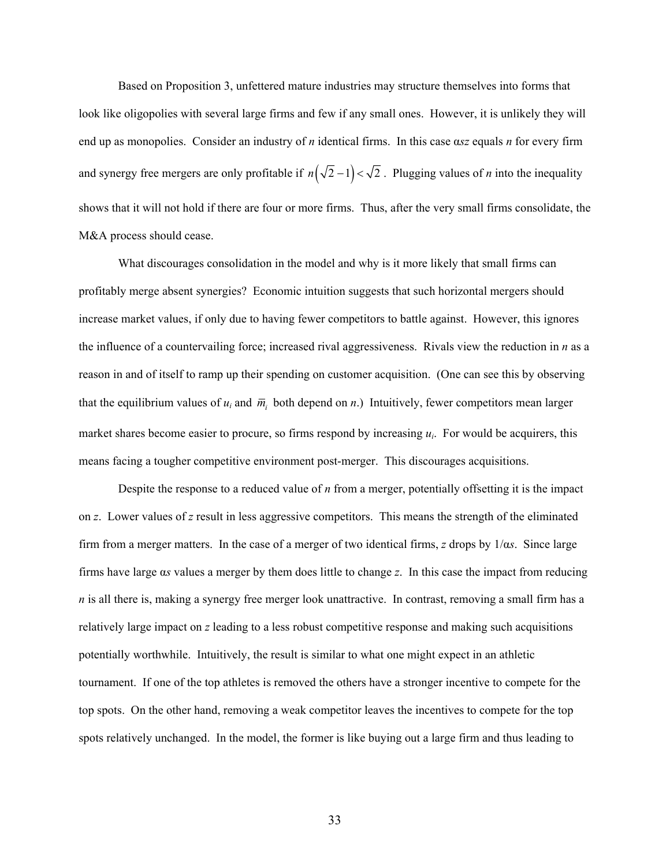Based on Proposition 3, unfettered mature industries may structure themselves into forms that look like oligopolies with several large firms and few if any small ones. However, it is unlikely they will end up as monopolies. Consider an industry of *n* identical firms. In this case α*sz* equals *n* for every firm and synergy free mergers are only profitable if  $n(\sqrt{2}-1) < \sqrt{2}$ . Plugging values of *n* into the inequality shows that it will not hold if there are four or more firms. Thus, after the very small firms consolidate, the M&A process should cease.

What discourages consolidation in the model and why is it more likely that small firms can profitably merge absent synergies? Economic intuition suggests that such horizontal mergers should increase market values, if only due to having fewer competitors to battle against. However, this ignores the influence of a countervailing force; increased rival aggressiveness. Rivals view the reduction in *n* as a reason in and of itself to ramp up their spending on customer acquisition. (One can see this by observing that the equilibrium values of  $u_i$  and  $\overline{m}_i$  both depend on *n*.) Intuitively, fewer competitors mean larger market shares become easier to procure, so firms respond by increasing *ui*. For would be acquirers, this means facing a tougher competitive environment post-merger. This discourages acquisitions.

Despite the response to a reduced value of *n* from a merger, potentially offsetting it is the impact on *z*. Lower values of *z* result in less aggressive competitors. This means the strength of the eliminated firm from a merger matters. In the case of a merger of two identical firms, *z* drops by 1/α*s*. Since large firms have large α*s* values a merger by them does little to change *z*. In this case the impact from reducing *n* is all there is, making a synergy free merger look unattractive. In contrast, removing a small firm has a relatively large impact on *z* leading to a less robust competitive response and making such acquisitions potentially worthwhile. Intuitively, the result is similar to what one might expect in an athletic tournament. If one of the top athletes is removed the others have a stronger incentive to compete for the top spots. On the other hand, removing a weak competitor leaves the incentives to compete for the top spots relatively unchanged. In the model, the former is like buying out a large firm and thus leading to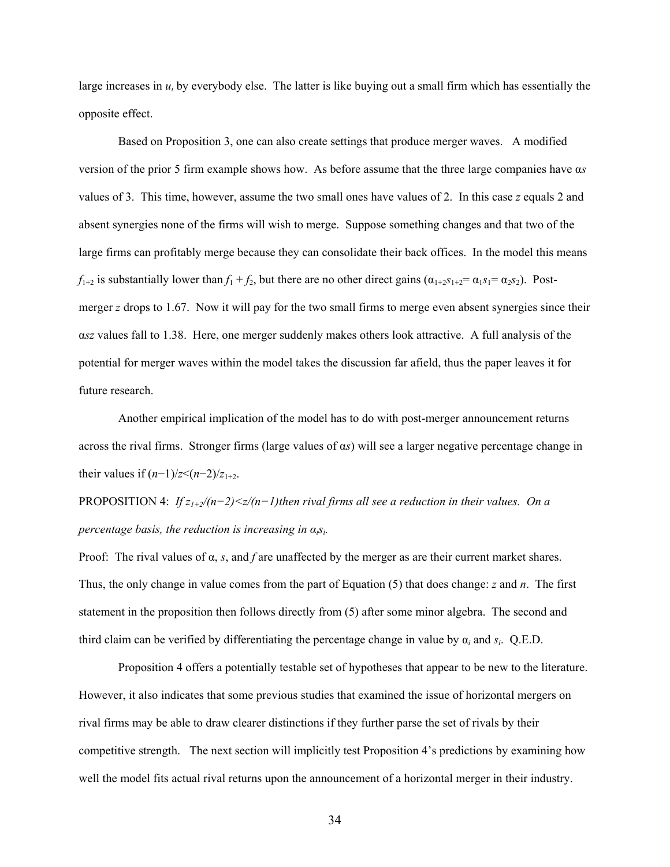large increases in  $u_i$  by everybody else. The latter is like buying out a small firm which has essentially the opposite effect.

Based on Proposition 3, one can also create settings that produce merger waves. A modified version of the prior 5 firm example shows how. As before assume that the three large companies have α*s* values of 3. This time, however, assume the two small ones have values of 2. In this case *z* equals 2 and absent synergies none of the firms will wish to merge. Suppose something changes and that two of the large firms can profitably merge because they can consolidate their back offices. In the model this means  $f_{1+2}$  is substantially lower than  $f_1 + f_2$ , but there are no other direct gains  $(\alpha_{1+2}s_{1+2} = \alpha_1s_1 = \alpha_2s_2)$ . Postmerger *z* drops to 1.67. Now it will pay for the two small firms to merge even absent synergies since their α*sz* values fall to 1.38. Here, one merger suddenly makes others look attractive. A full analysis of the potential for merger waves within the model takes the discussion far afield, thus the paper leaves it for future research.

 Another empirical implication of the model has to do with post-merger announcement returns across the rival firms. Stronger firms (large values of α*s*) will see a larger negative percentage change in their values if  $(n-1)/z$ < $(n-2)/z$ <sub>1+2</sub>.

PROPOSITION 4: *If z1+2/(n−2)<z/(n−1)then rival firms all see a reduction in their values. On a percentage basis, the reduction is increasing in*  $a_i s_i$ *.* 

Proof: The rival values of α, *s*, and *f* are unaffected by the merger as are their current market shares. Thus, the only change in value comes from the part of Equation (5) that does change: *z* and *n*. The first statement in the proposition then follows directly from (5) after some minor algebra. The second and third claim can be verified by differentiating the percentage change in value by  $\alpha_i$  and  $s_i$ . Q.E.D.

Proposition 4 offers a potentially testable set of hypotheses that appear to be new to the literature. However, it also indicates that some previous studies that examined the issue of horizontal mergers on rival firms may be able to draw clearer distinctions if they further parse the set of rivals by their competitive strength. The next section will implicitly test Proposition 4's predictions by examining how well the model fits actual rival returns upon the announcement of a horizontal merger in their industry.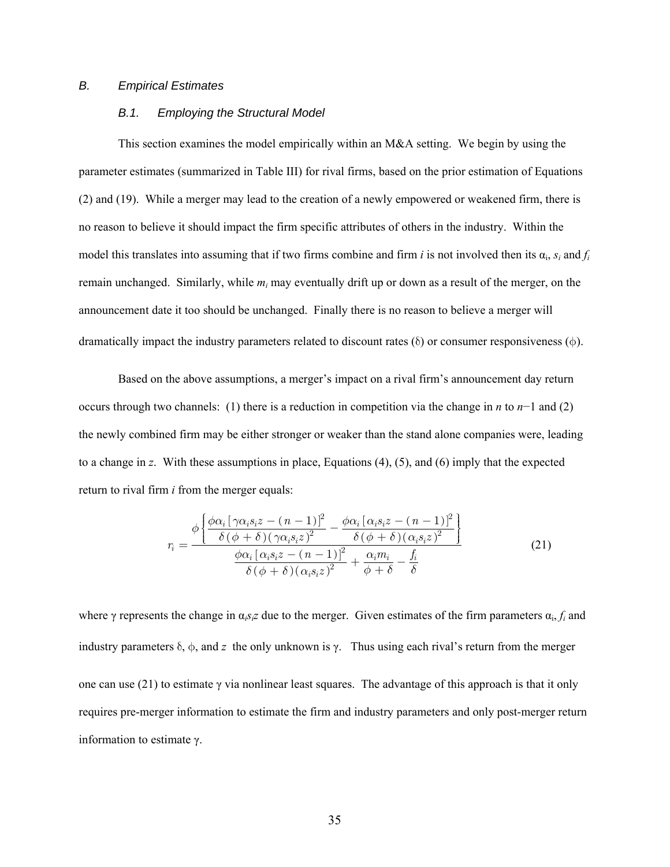# *B. Empirical Estimates*

#### *B.1. Employing the Structural Model*

This section examines the model empirically within an M&A setting. We begin by using the parameter estimates (summarized in Table III) for rival firms, based on the prior estimation of Equations (2) and (19). While a merger may lead to the creation of a newly empowered or weakened firm, there is no reason to believe it should impact the firm specific attributes of others in the industry. Within the model this translates into assuming that if two firms combine and firm *i* is not involved then its  $\alpha_i$ ,  $s_i$  and  $f_i$ remain unchanged. Similarly, while  $m_i$  may eventually drift up or down as a result of the merger, on the announcement date it too should be unchanged. Finally there is no reason to believe a merger will dramatically impact the industry parameters related to discount rates  $(\delta)$  or consumer responsiveness  $(\phi)$ .

Based on the above assumptions, a merger's impact on a rival firm's announcement day return occurs through two channels: (1) there is a reduction in competition via the change in *n* to *n*−1 and (2) the newly combined firm may be either stronger or weaker than the stand alone companies were, leading to a change in *z*. With these assumptions in place, Equations (4), (5), and (6) imply that the expected return to rival firm *i* from the merger equals:

$$
r_{i} = \frac{\phi \left\{ \frac{\phi \alpha_{i} \left[ \gamma \alpha_{i} s_{i} z - (n-1) \right]^{2}}{\delta \left( \phi + \delta \right) \left( \gamma \alpha_{i} s_{i} z \right)^{2}} - \frac{\phi \alpha_{i} \left[ \alpha_{i} s_{i} z - (n-1) \right]^{2}}{\delta \left( \phi + \delta \right) \left( \alpha_{i} s_{i} z \right)^{2}} \right\}}{\phi \alpha_{i} \left[ \alpha_{i} s_{i} z - (n-1) \right]^{2}} + \frac{\alpha_{i} m_{i}}{\phi + \delta} - \frac{f_{i}}{\delta}}{\delta}
$$
(21)

where  $\gamma$  represents the change in  $\alpha_i s_i z$  due to the merger. Given estimates of the firm parameters  $\alpha_i$ ,  $f_i$  and industry parameters δ, φ, and *z* the only unknown is γ. Thus using each rival's return from the merger one can use (21) to estimate  $\gamma$  via nonlinear least squares. The advantage of this approach is that it only requires pre-merger information to estimate the firm and industry parameters and only post-merger return information to estimate γ.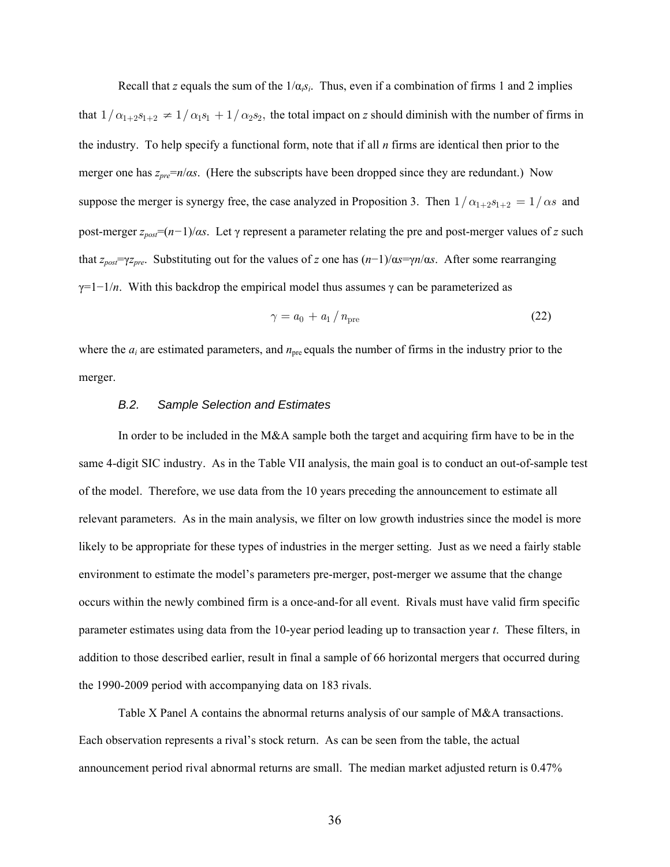Recall that *z* equals the sum of the  $1/\alpha_{\delta i}$ . Thus, even if a combination of firms 1 and 2 implies that  $1/\alpha_{1+2}s_{1+2} \neq 1/\alpha_1s_1 + 1/\alpha_2s_2$ , the total impact on *z* should diminish with the number of firms in the industry. To help specify a functional form, note that if all *n* firms are identical then prior to the merger one has *zpre*=*n*/*αs*. (Here the subscripts have been dropped since they are redundant.) Now suppose the merger is synergy free, the case analyzed in Proposition 3. Then  $1/\alpha_{1+2}s_{1+2} = 1/\alpha s$  and post-merger *zpost*=(*n−*1)/*αs*. Let γ represent a parameter relating the pre and post-merger values of *z* such that *zpost*=γ*zpre*. Substituting out for the values of *z* one has (*n*−1)/α*s*=γ*n*/α*s*. After some rearranging  $\gamma=1-1/n$ . With this backdrop the empirical model thus assumes  $\gamma$  can be parameterized as

$$
\gamma = a_0 + a_1 / n_{\text{pre}} \tag{22}
$$

where the  $a_i$  are estimated parameters, and  $n_{pre}$  equals the number of firms in the industry prior to the merger.

#### *B.2. Sample Selection and Estimates*

In order to be included in the M&A sample both the target and acquiring firm have to be in the same 4-digit SIC industry. As in the Table VII analysis, the main goal is to conduct an out-of-sample test of the model. Therefore, we use data from the 10 years preceding the announcement to estimate all relevant parameters. As in the main analysis, we filter on low growth industries since the model is more likely to be appropriate for these types of industries in the merger setting. Just as we need a fairly stable environment to estimate the model's parameters pre-merger, post-merger we assume that the change occurs within the newly combined firm is a once-and-for all event. Rivals must have valid firm specific parameter estimates using data from the 10-year period leading up to transaction year *t*. These filters, in addition to those described earlier, result in final a sample of 66 horizontal mergers that occurred during the 1990-2009 period with accompanying data on 183 rivals.

Table X Panel A contains the abnormal returns analysis of our sample of M&A transactions. Each observation represents a rival's stock return. As can be seen from the table, the actual announcement period rival abnormal returns are small. The median market adjusted return is 0.47%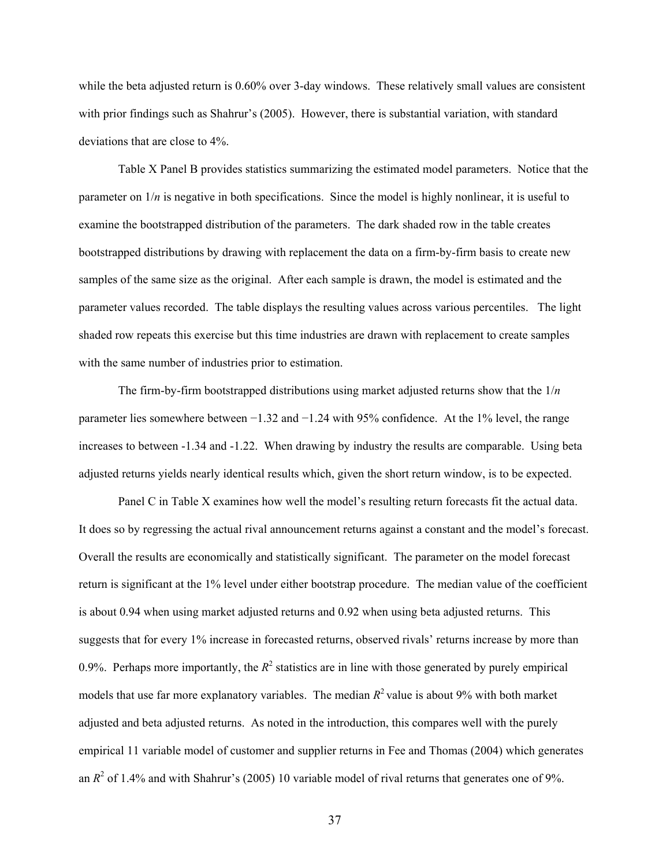while the beta adjusted return is 0.60% over 3-day windows. These relatively small values are consistent with prior findings such as Shahrur's (2005). However, there is substantial variation, with standard deviations that are close to 4%.

Table X Panel B provides statistics summarizing the estimated model parameters. Notice that the parameter on 1/*n* is negative in both specifications. Since the model is highly nonlinear, it is useful to examine the bootstrapped distribution of the parameters. The dark shaded row in the table creates bootstrapped distributions by drawing with replacement the data on a firm-by-firm basis to create new samples of the same size as the original. After each sample is drawn, the model is estimated and the parameter values recorded. The table displays the resulting values across various percentiles. The light shaded row repeats this exercise but this time industries are drawn with replacement to create samples with the same number of industries prior to estimation.

The firm-by-firm bootstrapped distributions using market adjusted returns show that the 1/*n* parameter lies somewhere between −1.32 and −1.24 with 95% confidence. At the 1% level, the range increases to between -1.34 and -1.22. When drawing by industry the results are comparable. Using beta adjusted returns yields nearly identical results which, given the short return window, is to be expected.

Panel C in Table X examines how well the model's resulting return forecasts fit the actual data. It does so by regressing the actual rival announcement returns against a constant and the model's forecast. Overall the results are economically and statistically significant. The parameter on the model forecast return is significant at the 1% level under either bootstrap procedure. The median value of the coefficient is about 0.94 when using market adjusted returns and 0.92 when using beta adjusted returns. This suggests that for every 1% increase in forecasted returns, observed rivals' returns increase by more than 0.9%. Perhaps more importantly, the  $R^2$  statistics are in line with those generated by purely empirical models that use far more explanatory variables. The median  $R^2$  value is about 9% with both market adjusted and beta adjusted returns. As noted in the introduction, this compares well with the purely empirical 11 variable model of customer and supplier returns in Fee and Thomas (2004) which generates an  $R^2$  of 1.4% and with Shahrur's (2005) 10 variable model of rival returns that generates one of 9%.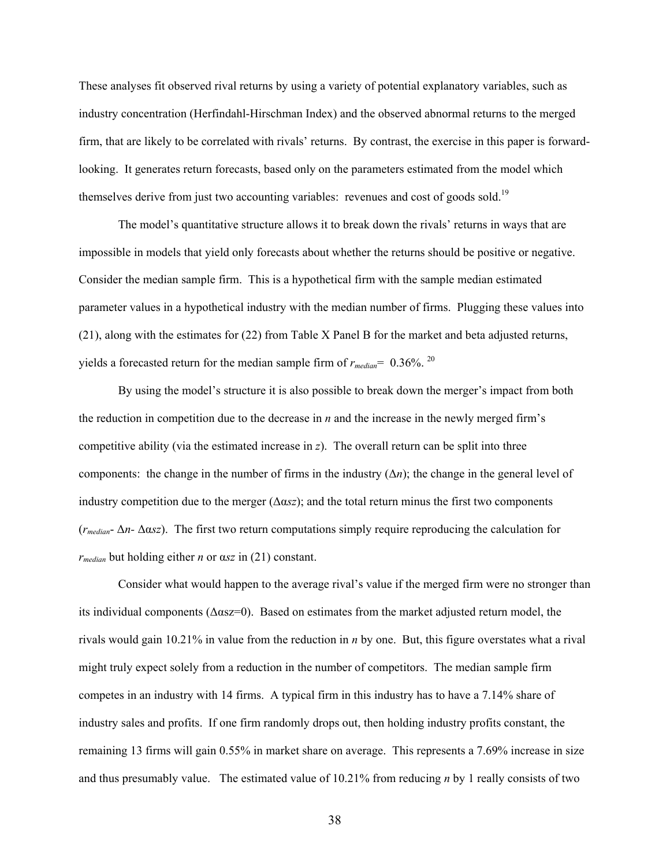These analyses fit observed rival returns by using a variety of potential explanatory variables, such as industry concentration (Herfindahl-Hirschman Index) and the observed abnormal returns to the merged firm, that are likely to be correlated with rivals' returns. By contrast, the exercise in this paper is forwardlooking. It generates return forecasts, based only on the parameters estimated from the model which themselves derive from just two accounting variables: revenues and cost of goods sold.<sup>19</sup>

 The model's quantitative structure allows it to break down the rivals' returns in ways that are impossible in models that yield only forecasts about whether the returns should be positive or negative. Consider the median sample firm. This is a hypothetical firm with the sample median estimated parameter values in a hypothetical industry with the median number of firms. Plugging these values into (21), along with the estimates for (22) from Table X Panel B for the market and beta adjusted returns, yields a forecasted return for the median sample firm of  $r_{\text{median}}$  = 0.36%. <sup>20</sup>

By using the model's structure it is also possible to break down the merger's impact from both the reduction in competition due to the decrease in *n* and the increase in the newly merged firm's competitive ability (via the estimated increase in *z*). The overall return can be split into three components: the change in the number of firms in the industry  $(\Delta n)$ ; the change in the general level of industry competition due to the merger  $(\Delta \alpha sz)$ ; and the total return minus the first two components (*rmedian*- Δ*n-* Δα*sz*). The first two return computations simply require reproducing the calculation for *rmedian* but holding either *n* or α*sz* in (21) constant.

Consider what would happen to the average rival's value if the merged firm were no stronger than its individual components ( $\Delta \alpha$ sz=0). Based on estimates from the market adjusted return model, the rivals would gain 10.21% in value from the reduction in *n* by one. But, this figure overstates what a rival might truly expect solely from a reduction in the number of competitors. The median sample firm competes in an industry with 14 firms. A typical firm in this industry has to have a 7.14% share of industry sales and profits. If one firm randomly drops out, then holding industry profits constant, the remaining 13 firms will gain 0.55% in market share on average. This represents a 7.69% increase in size and thus presumably value. The estimated value of 10.21% from reducing *n* by 1 really consists of two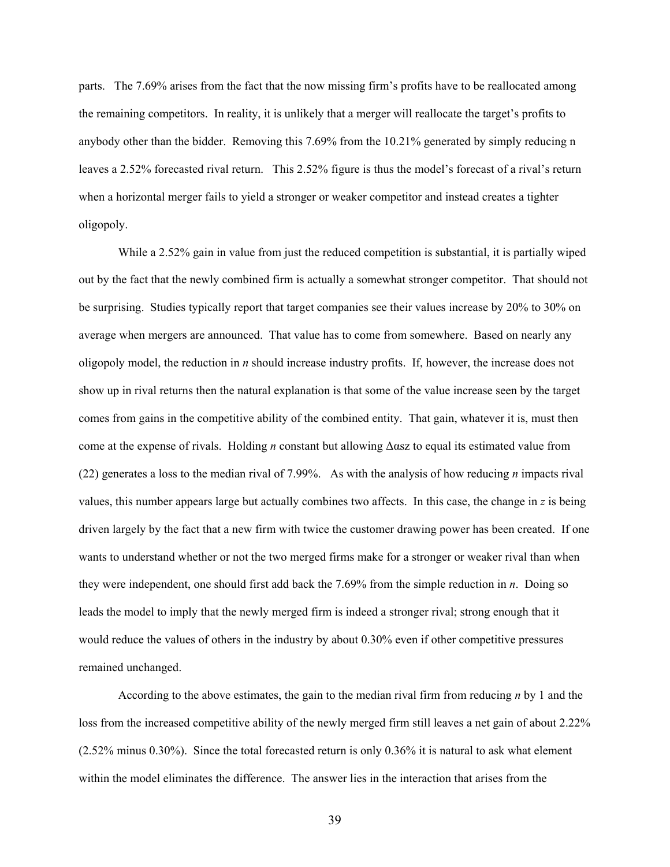parts. The 7.69% arises from the fact that the now missing firm's profits have to be reallocated among the remaining competitors. In reality, it is unlikely that a merger will reallocate the target's profits to anybody other than the bidder. Removing this 7.69% from the 10.21% generated by simply reducing n leaves a 2.52% forecasted rival return. This 2.52% figure is thus the model's forecast of a rival's return when a horizontal merger fails to yield a stronger or weaker competitor and instead creates a tighter oligopoly.

While a 2.52% gain in value from just the reduced competition is substantial, it is partially wiped out by the fact that the newly combined firm is actually a somewhat stronger competitor. That should not be surprising. Studies typically report that target companies see their values increase by 20% to 30% on average when mergers are announced. That value has to come from somewhere. Based on nearly any oligopoly model, the reduction in *n* should increase industry profits. If, however, the increase does not show up in rival returns then the natural explanation is that some of the value increase seen by the target comes from gains in the competitive ability of the combined entity. That gain, whatever it is, must then come at the expense of rivals. Holding *n* constant but allowing Δαsz to equal its estimated value from (22) generates a loss to the median rival of 7.99%. As with the analysis of how reducing *n* impacts rival values, this number appears large but actually combines two affects. In this case, the change in *z* is being driven largely by the fact that a new firm with twice the customer drawing power has been created. If one wants to understand whether or not the two merged firms make for a stronger or weaker rival than when they were independent, one should first add back the 7.69% from the simple reduction in *n*. Doing so leads the model to imply that the newly merged firm is indeed a stronger rival; strong enough that it would reduce the values of others in the industry by about 0.30% even if other competitive pressures remained unchanged.

According to the above estimates, the gain to the median rival firm from reducing *n* by 1 and the loss from the increased competitive ability of the newly merged firm still leaves a net gain of about 2.22% (2.52% minus 0.30%). Since the total forecasted return is only 0.36% it is natural to ask what element within the model eliminates the difference. The answer lies in the interaction that arises from the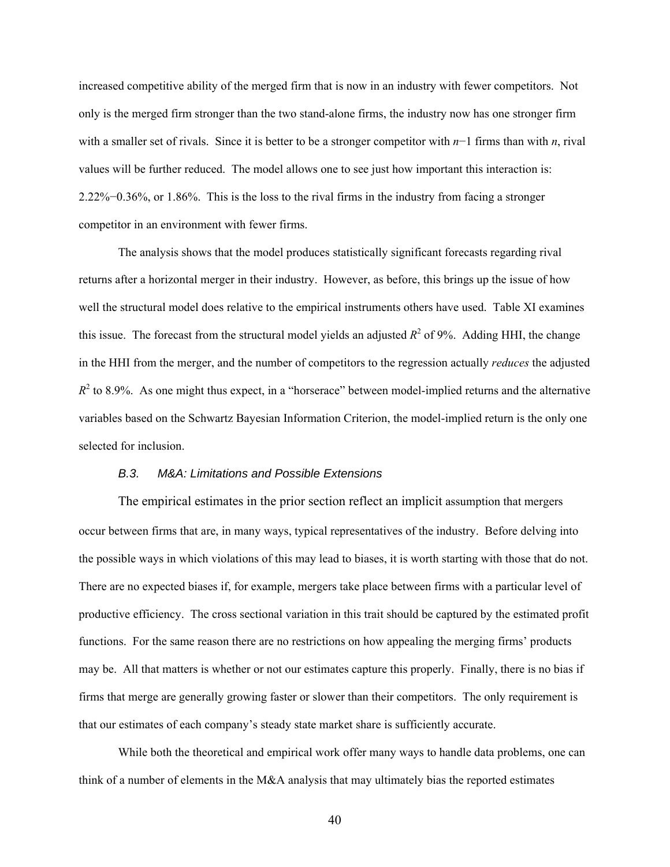increased competitive ability of the merged firm that is now in an industry with fewer competitors. Not only is the merged firm stronger than the two stand-alone firms, the industry now has one stronger firm with a smaller set of rivals. Since it is better to be a stronger competitor with *n*−1 firms than with *n*, rival values will be further reduced. The model allows one to see just how important this interaction is: 2.22%−0.36%, or 1.86%. This is the loss to the rival firms in the industry from facing a stronger competitor in an environment with fewer firms.

The analysis shows that the model produces statistically significant forecasts regarding rival returns after a horizontal merger in their industry. However, as before, this brings up the issue of how well the structural model does relative to the empirical instruments others have used. Table XI examines this issue. The forecast from the structural model yields an adjusted  $R^2$  of 9%. Adding HHI, the change in the HHI from the merger, and the number of competitors to the regression actually *reduces* the adjusted  $R<sup>2</sup>$  to 8.9%. As one might thus expect, in a "horserace" between model-implied returns and the alternative variables based on the Schwartz Bayesian Information Criterion, the model-implied return is the only one selected for inclusion.

#### *B.3. M&A: Limitations and Possible Extensions*

 The empirical estimates in the prior section reflect an implicit assumption that mergers occur between firms that are, in many ways, typical representatives of the industry. Before delving into the possible ways in which violations of this may lead to biases, it is worth starting with those that do not. There are no expected biases if, for example, mergers take place between firms with a particular level of productive efficiency. The cross sectional variation in this trait should be captured by the estimated profit functions. For the same reason there are no restrictions on how appealing the merging firms' products may be. All that matters is whether or not our estimates capture this properly. Finally, there is no bias if firms that merge are generally growing faster or slower than their competitors. The only requirement is that our estimates of each company's steady state market share is sufficiently accurate.

While both the theoretical and empirical work offer many ways to handle data problems, one can think of a number of elements in the M&A analysis that may ultimately bias the reported estimates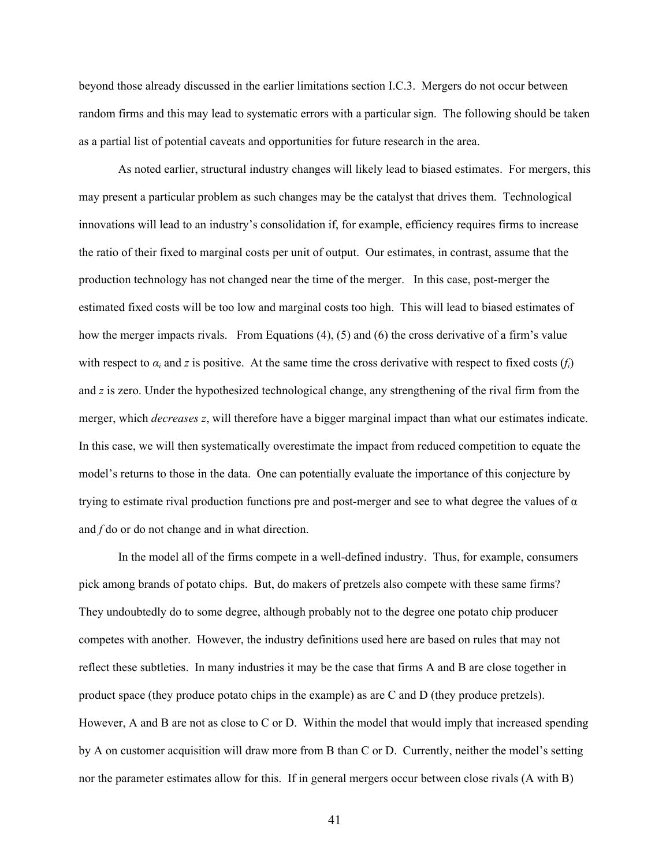beyond those already discussed in the earlier limitations section I.C.3. Mergers do not occur between random firms and this may lead to systematic errors with a particular sign. The following should be taken as a partial list of potential caveats and opportunities for future research in the area.

As noted earlier, structural industry changes will likely lead to biased estimates. For mergers, this may present a particular problem as such changes may be the catalyst that drives them. Technological innovations will lead to an industry's consolidation if, for example, efficiency requires firms to increase the ratio of their fixed to marginal costs per unit of output. Our estimates, in contrast, assume that the production technology has not changed near the time of the merger. In this case, post-merger the estimated fixed costs will be too low and marginal costs too high. This will lead to biased estimates of how the merger impacts rivals. From Equations (4), (5) and (6) the cross derivative of a firm's value with respect to  $\alpha_i$  and *z* is positive. At the same time the cross derivative with respect to fixed costs  $(f_i)$ and *z* is zero. Under the hypothesized technological change, any strengthening of the rival firm from the merger, which *decreases z*, will therefore have a bigger marginal impact than what our estimates indicate. In this case, we will then systematically overestimate the impact from reduced competition to equate the model's returns to those in the data. One can potentially evaluate the importance of this conjecture by trying to estimate rival production functions pre and post-merger and see to what degree the values of  $\alpha$ and *f* do or do not change and in what direction.

In the model all of the firms compete in a well-defined industry. Thus, for example, consumers pick among brands of potato chips. But, do makers of pretzels also compete with these same firms? They undoubtedly do to some degree, although probably not to the degree one potato chip producer competes with another. However, the industry definitions used here are based on rules that may not reflect these subtleties. In many industries it may be the case that firms A and B are close together in product space (they produce potato chips in the example) as are C and D (they produce pretzels). However, A and B are not as close to C or D. Within the model that would imply that increased spending by A on customer acquisition will draw more from B than C or D. Currently, neither the model's setting nor the parameter estimates allow for this. If in general mergers occur between close rivals (A with B)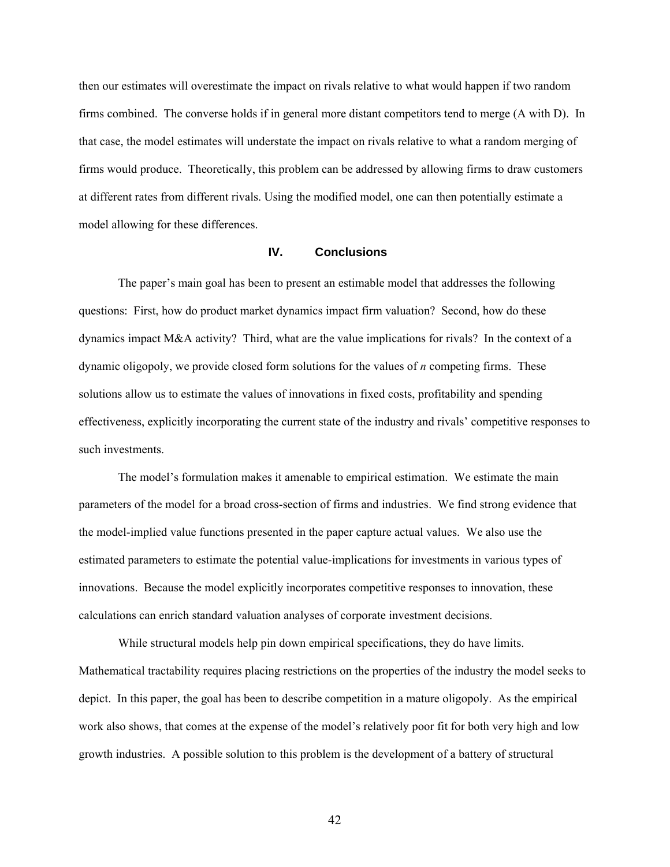then our estimates will overestimate the impact on rivals relative to what would happen if two random firms combined. The converse holds if in general more distant competitors tend to merge (A with D). In that case, the model estimates will understate the impact on rivals relative to what a random merging of firms would produce. Theoretically, this problem can be addressed by allowing firms to draw customers at different rates from different rivals. Using the modified model, one can then potentially estimate a model allowing for these differences.

#### **IV. Conclusions**

The paper's main goal has been to present an estimable model that addresses the following questions: First, how do product market dynamics impact firm valuation? Second, how do these dynamics impact M&A activity? Third, what are the value implications for rivals? In the context of a dynamic oligopoly, we provide closed form solutions for the values of *n* competing firms. These solutions allow us to estimate the values of innovations in fixed costs, profitability and spending effectiveness, explicitly incorporating the current state of the industry and rivals' competitive responses to such investments.

 The model's formulation makes it amenable to empirical estimation. We estimate the main parameters of the model for a broad cross-section of firms and industries. We find strong evidence that the model-implied value functions presented in the paper capture actual values. We also use the estimated parameters to estimate the potential value-implications for investments in various types of innovations. Because the model explicitly incorporates competitive responses to innovation, these calculations can enrich standard valuation analyses of corporate investment decisions.

 While structural models help pin down empirical specifications, they do have limits. Mathematical tractability requires placing restrictions on the properties of the industry the model seeks to depict. In this paper, the goal has been to describe competition in a mature oligopoly. As the empirical work also shows, that comes at the expense of the model's relatively poor fit for both very high and low growth industries. A possible solution to this problem is the development of a battery of structural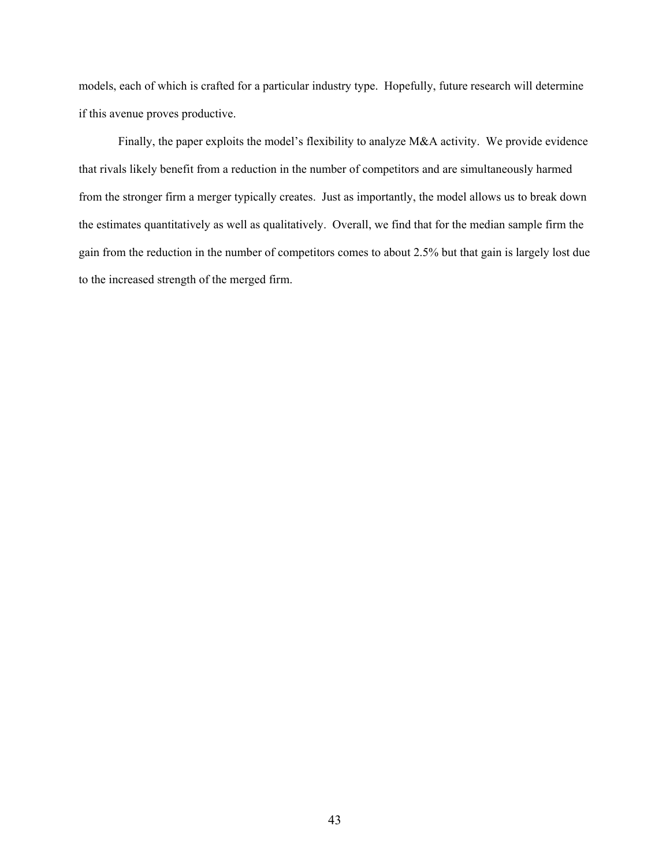models, each of which is crafted for a particular industry type. Hopefully, future research will determine if this avenue proves productive.

Finally, the paper exploits the model's flexibility to analyze M&A activity. We provide evidence that rivals likely benefit from a reduction in the number of competitors and are simultaneously harmed from the stronger firm a merger typically creates. Just as importantly, the model allows us to break down the estimates quantitatively as well as qualitatively. Overall, we find that for the median sample firm the gain from the reduction in the number of competitors comes to about 2.5% but that gain is largely lost due to the increased strength of the merged firm.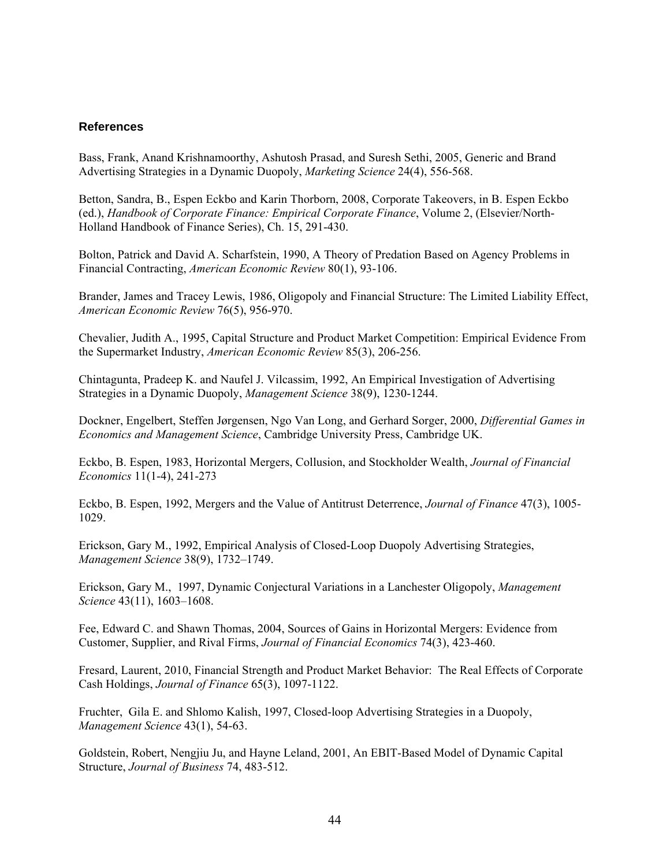# **References**

Bass, Frank, Anand Krishnamoorthy, Ashutosh Prasad, and Suresh Sethi, 2005, Generic and Brand Advertising Strategies in a Dynamic Duopoly, *Marketing Science* 24(4), 556-568.

Betton, Sandra, B., Espen Eckbo and Karin Thorborn, 2008, Corporate Takeovers, in B. Espen Eckbo (ed.), *Handbook of Corporate Finance: Empirical Corporate Finance*, Volume 2, (Elsevier/North-Holland Handbook of Finance Series), Ch. 15, 291-430.

Bolton, Patrick and David A. Scharfstein, 1990, A Theory of Predation Based on Agency Problems in Financial Contracting, *American Economic Review* 80(1), 93-106.

Brander, James and Tracey Lewis, 1986, Oligopoly and Financial Structure: The Limited Liability Effect, *American Economic Review* 76(5), 956-970.

Chevalier, Judith A., 1995, Capital Structure and Product Market Competition: Empirical Evidence From the Supermarket Industry, *American Economic Review* 85(3), 206-256.

Chintagunta, Pradeep K. and Naufel J. Vilcassim, 1992, An Empirical Investigation of Advertising Strategies in a Dynamic Duopoly, *Management Science* 38(9), 1230-1244.

Dockner, Engelbert, Steffen Jørgensen, Ngo Van Long, and Gerhard Sorger, 2000, *Differential Games in Economics and Management Science*, Cambridge University Press, Cambridge UK.

Eckbo, B. Espen, 1983, Horizontal Mergers, Collusion, and Stockholder Wealth, *Journal of Financial Economics* 11(1-4), 241-273

Eckbo, B. Espen, 1992, Mergers and the Value of Antitrust Deterrence, *Journal of Finance* 47(3), 1005- 1029.

Erickson, Gary M., 1992, Empirical Analysis of Closed-Loop Duopoly Advertising Strategies, *Management Science* 38(9), 1732–1749.

Erickson, Gary M., 1997, Dynamic Conjectural Variations in a Lanchester Oligopoly, *Management Science* 43(11), 1603–1608.

Fee, Edward C. and Shawn Thomas, 2004, Sources of Gains in Horizontal Mergers: Evidence from Customer, Supplier, and Rival Firms, *Journal of Financial Economics* 74(3), 423-460.

Fresard, Laurent, 2010, Financial Strength and Product Market Behavior: The Real Effects of Corporate Cash Holdings, *Journal of Finance* 65(3), 1097-1122.

Fruchter, Gila E. and Shlomo Kalish, 1997, Closed-loop Advertising Strategies in a Duopoly, *Management Science* 43(1), 54-63.

Goldstein, Robert, Nengjiu Ju, and Hayne Leland, 2001, An EBIT-Based Model of Dynamic Capital Structure, *Journal of Business* 74, 483-512.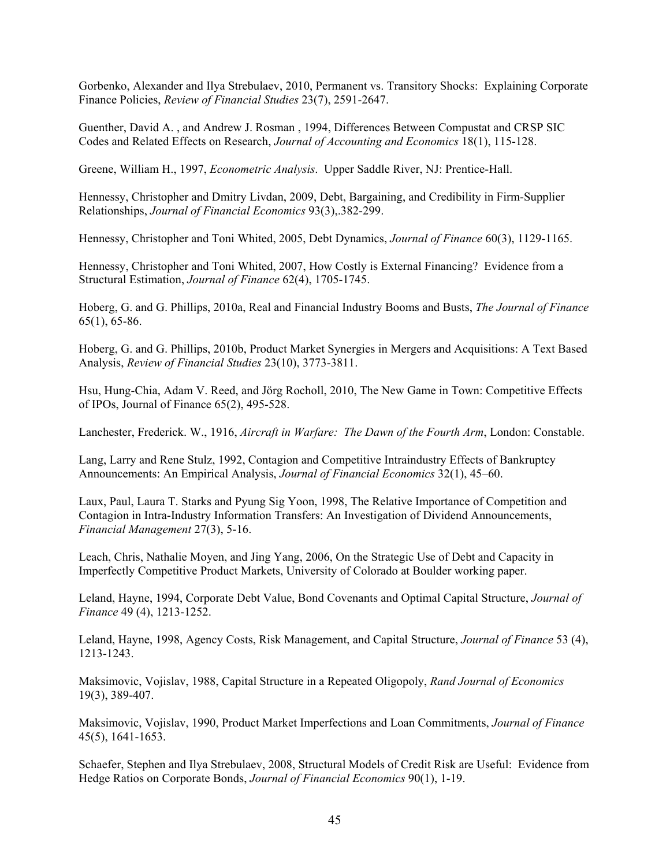Gorbenko, Alexander and Ilya Strebulaev, 2010, Permanent vs. Transitory Shocks: Explaining Corporate Finance Policies, *Review of Financial Studies* 23(7), 2591-2647.

Guenther, David A. , and Andrew J. Rosman , 1994, Differences Between Compustat and CRSP SIC Codes and Related Effects on Research, *Journal of Accounting and Economics* 18(1), 115-128.

Greene, William H., 1997, *Econometric Analysis*. Upper Saddle River, NJ: Prentice-Hall.

Hennessy, Christopher and Dmitry Livdan, 2009, Debt, Bargaining, and Credibility in Firm-Supplier Relationships, *Journal of Financial Economics* 93(3),.382-299.

Hennessy, Christopher and Toni Whited, 2005, Debt Dynamics, *Journal of Finance* 60(3), 1129-1165.

Hennessy, Christopher and Toni Whited, 2007, How Costly is External Financing? Evidence from a Structural Estimation, *Journal of Finance* 62(4), 1705-1745.

Hoberg, G. and G. Phillips, 2010a, Real and Financial Industry Booms and Busts, *The Journal of Finance* 65(1), 65-86.

Hoberg, G. and G. Phillips, 2010b, Product Market Synergies in Mergers and Acquisitions: A Text Based Analysis, *Review of Financial Studies* 23(10), 3773-3811.

Hsu, Hung-Chia, Adam V. Reed, and Jörg Rocholl, 2010, The New Game in Town: Competitive Effects of IPOs, Journal of Finance 65(2), 495-528.

Lanchester, Frederick. W., 1916, *Aircraft in Warfare: The Dawn of the Fourth Arm*, London: Constable.

Lang, Larry and Rene Stulz, 1992, Contagion and Competitive Intraindustry Effects of Bankruptcy Announcements: An Empirical Analysis, *Journal of Financial Economics* 32(1), 45–60.

Laux, Paul, Laura T. Starks and Pyung Sig Yoon, 1998, The Relative Importance of Competition and Contagion in Intra-Industry Information Transfers: An Investigation of Dividend Announcements, *Financial Management* 27(3), 5-16.

Leach, Chris, Nathalie Moyen, and Jing Yang, 2006, On the Strategic Use of Debt and Capacity in Imperfectly Competitive Product Markets, University of Colorado at Boulder working paper.

Leland, Hayne, 1994, Corporate Debt Value, Bond Covenants and Optimal Capital Structure, *Journal of Finance* 49 (4), 1213-1252.

Leland, Hayne, 1998, Agency Costs, Risk Management, and Capital Structure, *Journal of Finance* 53 (4), 1213-1243.

Maksimovic, Vojislav, 1988, Capital Structure in a Repeated Oligopoly, *Rand Journal of Economics*  19(3), 389-407.

Maksimovic, Vojislav, 1990, Product Market Imperfections and Loan Commitments, *Journal of Finance* 45(5), 1641-1653.

Schaefer, Stephen and Ilya Strebulaev, 2008, Structural Models of Credit Risk are Useful: Evidence from Hedge Ratios on Corporate Bonds, *Journal of Financial Economics* 90(1), 1-19.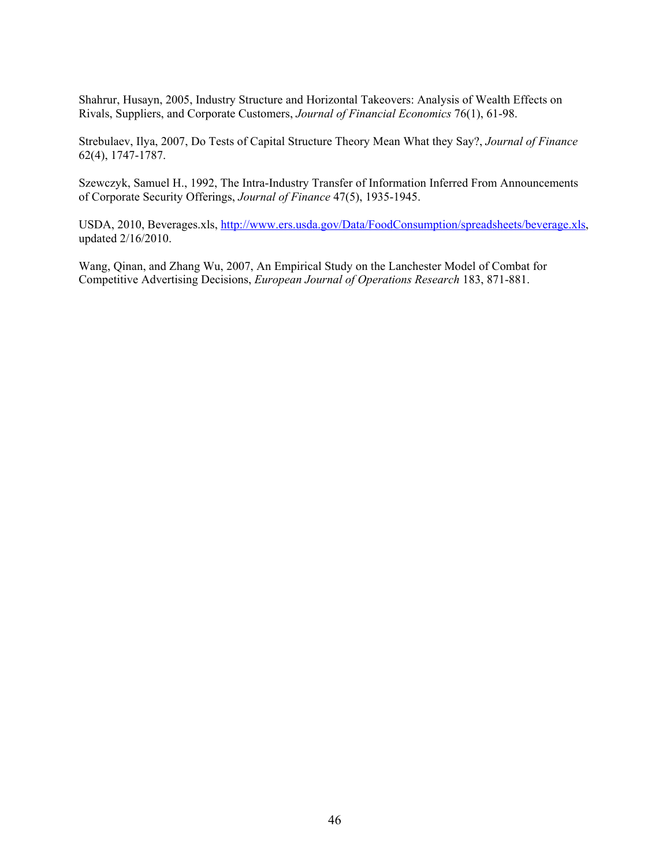Shahrur, Husayn, 2005, Industry Structure and Horizontal Takeovers: Analysis of Wealth Effects on Rivals, Suppliers, and Corporate Customers, *Journal of Financial Economics* 76(1), 61-98.

Strebulaev, Ilya, 2007, Do Tests of Capital Structure Theory Mean What they Say?, *Journal of Finance* 62(4), 1747-1787.

Szewczyk, Samuel H., 1992, The Intra-Industry Transfer of Information Inferred From Announcements of Corporate Security Offerings, *Journal of Finance* 47(5), 1935-1945.

USDA, 2010, Beverages.xls, http://www.ers.usda.gov/Data/FoodConsumption/spreadsheets/beverage.xls, updated 2/16/2010.

Wang, Qinan, and Zhang Wu, 2007, An Empirical Study on the Lanchester Model of Combat for Competitive Advertising Decisions, *European Journal of Operations Research* 183, 871-881.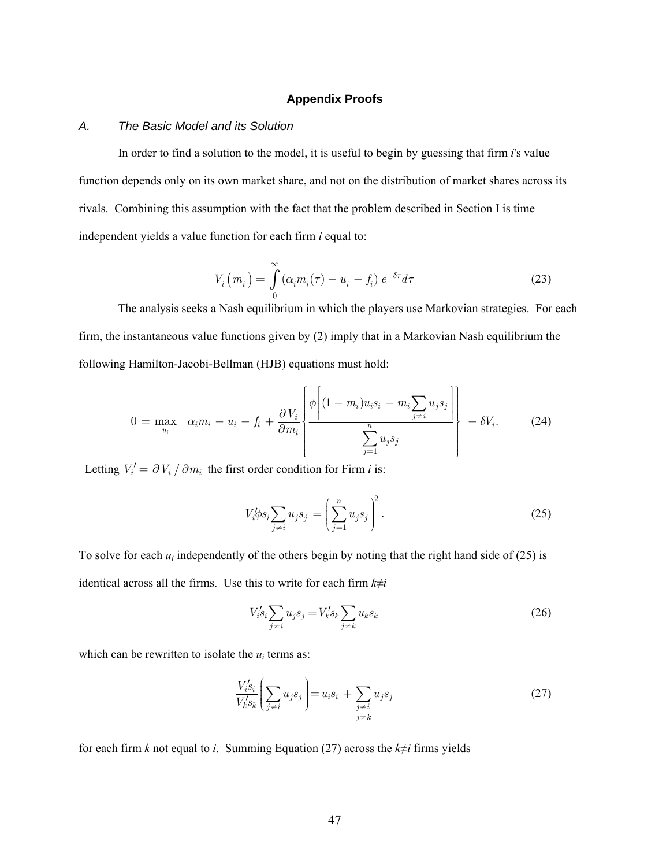## **Appendix Proofs**

# *A. The Basic Model and its Solution*

 In order to find a solution to the model, it is useful to begin by guessing that firm *i*'s value function depends only on its own market share, and not on the distribution of market shares across its rivals. Combining this assumption with the fact that the problem described in Section I is time independent yields a value function for each firm *i* equal to:

$$
V_i\left(m_i\right) = \int\limits_0^\infty \left(\alpha_i m_i(\tau) - u_i - f_i\right) e^{-\delta \tau} d\tau \tag{23}
$$

The analysis seeks a Nash equilibrium in which the players use Markovian strategies. For each firm, the instantaneous value functions given by (2) imply that in a Markovian Nash equilibrium the following Hamilton-Jacobi-Bellman (HJB) equations must hold:

$$
0 = \max_{u_i} \alpha_i m_i - u_i - f_i + \frac{\partial V_i}{\partial m_i} \left\{ \frac{\phi \left[ (1 - m_i) u_i s_i - m_i \sum_{j \neq i} u_j s_j \right]}{\sum_{j=1}^n u_j s_j} \right\} - \delta V_i.
$$
 (24)

Letting  $V_i' = \partial V_i / \partial m_i$  the first order condition for Firm *i* is:

$$
V_i \phi s_i \sum_{j \neq i} u_j s_j = \left( \sum_{j=1}^n u_j s_j \right)^2.
$$
 (25)

To solve for each  $u_i$  independently of the others begin by noting that the right hand side of (25) is identical across all the firms. Use this to write for each firm  $k \neq i$ 

$$
V_i's_i \sum_{j \neq i} u_j s_j = V_k's_k \sum_{j \neq k} u_k s_k \tag{26}
$$

which can be rewritten to isolate the  $u_i$  terms as:

$$
\frac{V_i's_i}{V_k's_k} \left( \sum_{j \neq i} u_j s_j \right) = u_i s_i + \sum_{\substack{j \neq i \\ j \neq k}} u_j s_j \tag{27}
$$

for each firm *k* not equal to *i*. Summing Equation (27) across the  $k \neq i$  firms yields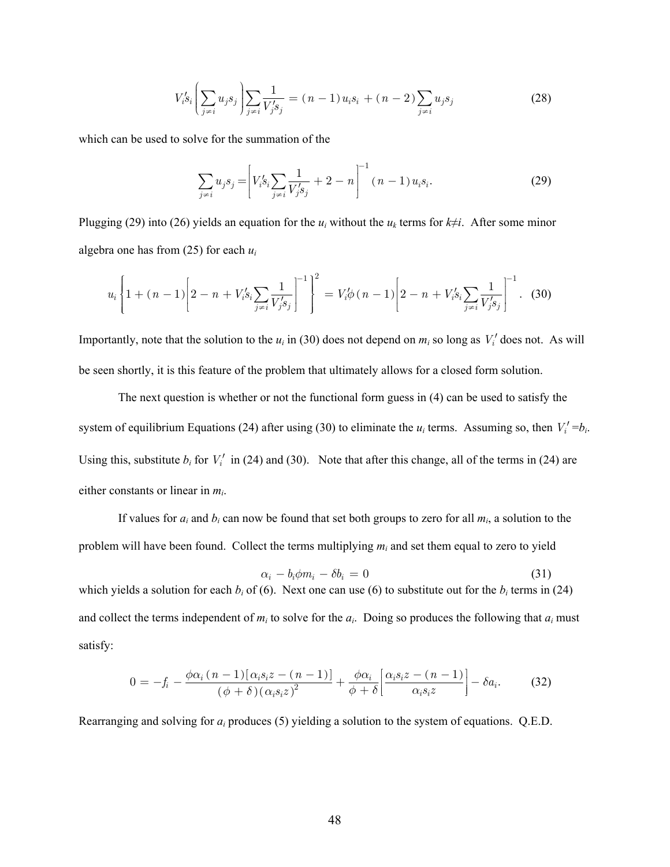$$
V'_{i}s_{i}\left(\sum_{j\neq i}u_{j}s_{j}\right)\sum_{j\neq i}\frac{1}{V'_{j}s_{j}} = (n-1)u_{i}s_{i} + (n-2)\sum_{j\neq i}u_{j}s_{j}
$$
(28)

which can be used to solve for the summation of the

$$
\sum_{j \neq i} u_j s_j = \left[ V_i' s_i \sum_{j \neq i} \frac{1}{V_j' s_j} + 2 - n \right]^{-1} (n - 1) u_i s_i.
$$
 (29)

Plugging (29) into (26) yields an equation for the  $u_i$  without the  $u_k$  terms for  $k \neq i$ . After some minor algebra one has from (25) for each *ui*

$$
u_i \left\{ 1 + (n-1) \left[ 2 - n + V_i' s_i \sum_{j \neq i} \frac{1}{V_j' s_j} \right]^{-1} \right\}^2 = V_i' \phi(n-1) \left[ 2 - n + V_i' s_i \sum_{j \neq i} \frac{1}{V_j' s_j} \right]^{-1} .
$$
 (30)

Importantly, note that the solution to the  $u_i$  in (30) does not depend on  $m_i$  so long as  $V'_i$  does not. As will be seen shortly, it is this feature of the problem that ultimately allows for a closed form solution.

 The next question is whether or not the functional form guess in (4) can be used to satisfy the system of equilibrium Equations (24) after using (30) to eliminate the  $u_i$  terms. Assuming so, then  $V_i' = b_i$ . Using this, substitute  $b_i$  for  $V_i'$  in (24) and (30). Note that after this change, all of the terms in (24) are either constants or linear in *mi*.

If values for  $a_i$  and  $b_i$  can now be found that set both groups to zero for all  $m_i$ , a solution to the problem will have been found. Collect the terms multiplying *mi* and set them equal to zero to yield

$$
\alpha_i - b_i \phi m_i - \delta b_i = 0 \tag{31}
$$

which yields a solution for each  $b_i$  of (6). Next one can use (6) to substitute out for the  $b_i$  terms in (24) and collect the terms independent of  $m_i$  to solve for the  $a_i$ . Doing so produces the following that  $a_i$  must satisfy:

$$
0 = -f_i - \frac{\phi \alpha_i (n-1) [\alpha_i s_i z - (n-1)]}{(\phi + \delta) (\alpha_i s_i z)^2} + \frac{\phi \alpha_i}{\phi + \delta} \left[ \frac{\alpha_i s_i z - (n-1)}{\alpha_i s_i z} \right] - \delta a_i.
$$
 (32)

Rearranging and solving for *ai* produces (5) yielding a solution to the system of equations. Q.E.D.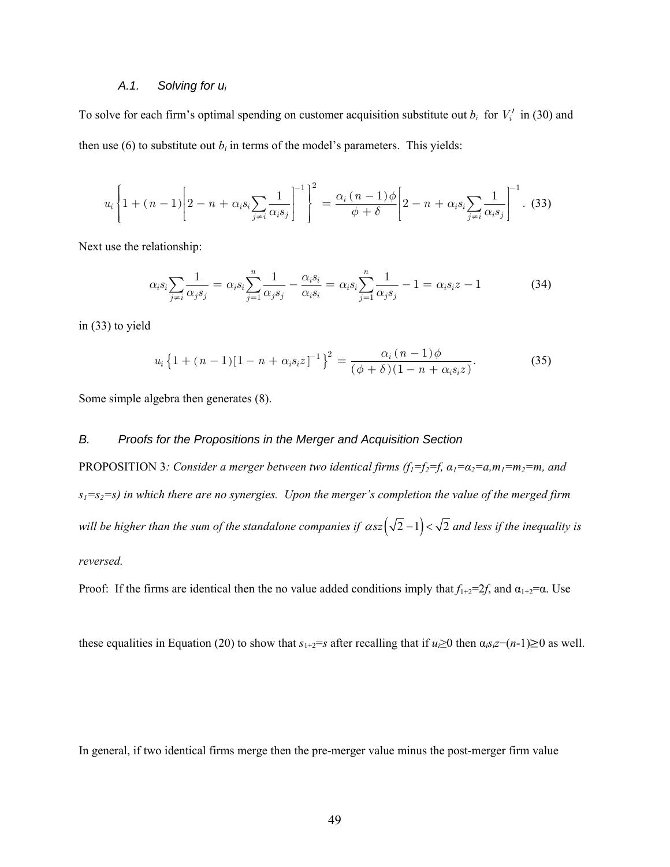#### *A.1. Solving for ui*

To solve for each firm's optimal spending on customer acquisition substitute out  $b_i$  for  $V'_i$  in (30) and then use (6) to substitute out  $b_i$  in terms of the model's parameters. This yields:

$$
u_i\left\{1+(n-1)\left[2-n+\alpha_i s_i\sum_{j\neq i}\frac{1}{\alpha_i s_j}\right]^{-1}\right\}^2=\frac{\alpha_i\left(n-1\right)\phi}{\phi+\delta}\left[2-n+\alpha_i s_i\sum_{j\neq i}\frac{1}{\alpha_i s_j}\right]^{-1}.\tag{33}
$$

Next use the relationship:

$$
\alpha_i s_i \sum_{j \neq i} \frac{1}{\alpha_j s_j} = \alpha_i s_i \sum_{j=1}^n \frac{1}{\alpha_j s_j} - \frac{\alpha_i s_i}{\alpha_i s_i} = \alpha_i s_i \sum_{j=1}^n \frac{1}{\alpha_j s_j} - 1 = \alpha_i s_i z - 1 \tag{34}
$$

in (33) to yield

$$
u_i\left\{1+(n-1)[1-n+\alpha_i s_i z]^{-1}\right\}^2 = \frac{\alpha_i(n-1)\phi}{(\phi+\delta)(1-n+\alpha_i s_i z)}.
$$
 (35)

Some simple algebra then generates (8).

#### *B. Proofs for the Propositions in the Merger and Acquisition Section*

PROPOSITION 3*: Consider a merger between two identical firms (f<sub>1</sub>=f<sub>2</sub>=f,*  $\alpha_1$ *=* $\alpha_2$ *=a,* $m_1$ *=* $m_2$ *=m, and*  $s_1=s_2=s$ ) in which there are no synergies. Upon the merger's completion the value of the merged firm *will be higher than the sum of the standalone companies if*  $\alpha sz(\sqrt{2}-1) < \sqrt{2}$  *and less if the inequality is reversed.* 

Proof: If the firms are identical then the no value added conditions imply that  $f_{1+2}=2f$ , and  $\alpha_{1+2}=\alpha$ . Use

these equalities in Equation (20) to show that  $s_{1+2}=s$  after recalling that if  $u_i\geq 0$  then  $\alpha_i s_i z-(n-1)\geq 0$  as well.

In general, if two identical firms merge then the pre-merger value minus the post-merger firm value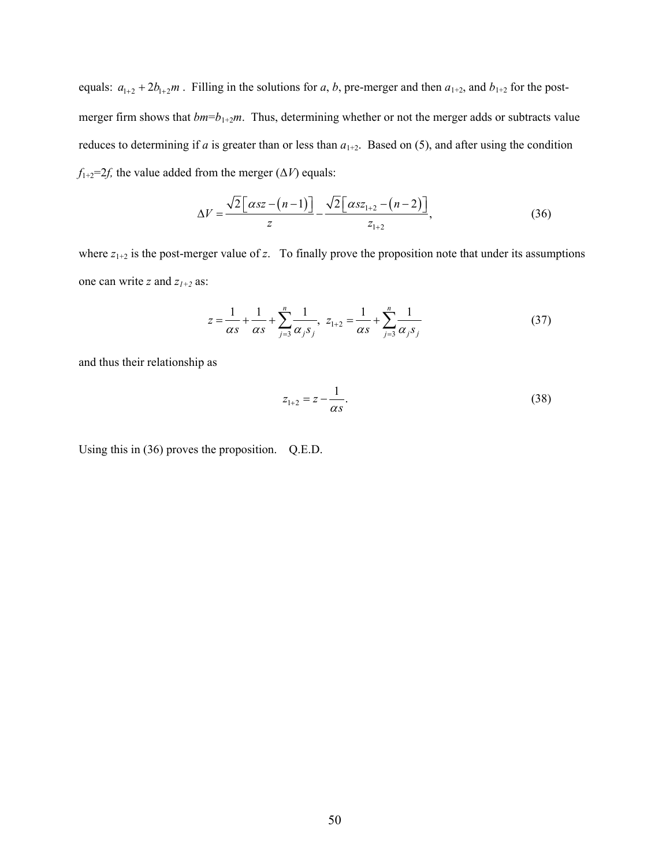equals:  $a_{1+2} + 2b_{1+2}m$ . Filling in the solutions for *a*, *b*, pre-merger and then  $a_{1+2}$ , and  $b_{1+2}$  for the postmerger firm shows that  $bm=b_{1+2}m$ . Thus, determining whether or not the merger adds or subtracts value reduces to determining if *a* is greater than or less than  $a_{1+2}$ . Based on (5), and after using the condition  $f_{1+2}=2f$ , the value added from the merger ( $\Delta V$ ) equals:

$$
\Delta V = \frac{\sqrt{2} \left[ \alpha s z - (n-1) \right]}{z} - \frac{\sqrt{2} \left[ \alpha s z_{1+2} - (n-2) \right]}{z_{1+2}},
$$
(36)

where  $z_{1+2}$  is the post-merger value of  $z$ . To finally prove the proposition note that under its assumptions one can write *z* and *z1+2* as:

$$
z = \frac{1}{\alpha s} + \frac{1}{\alpha s} + \sum_{j=3}^{n} \frac{1}{\alpha_j s_j}, \ z_{1+2} = \frac{1}{\alpha s} + \sum_{j=3}^{n} \frac{1}{\alpha_j s_j}
$$
(37)

and thus their relationship as

$$
z_{1+2} = z - \frac{1}{\alpha s}.\tag{38}
$$

Using this in (36) proves the proposition. Q.E.D.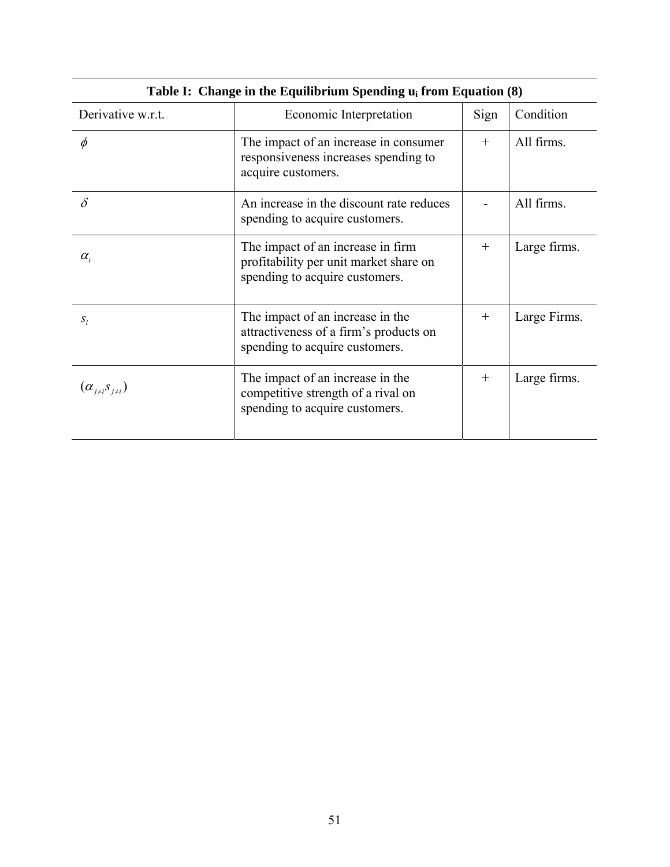|                                 | raoic recuming in the Equinorium openuing up from Equation (0)                                                |        |              |  |  |  |  |  |
|---------------------------------|---------------------------------------------------------------------------------------------------------------|--------|--------------|--|--|--|--|--|
| Derivative w.r.t.               | Economic Interpretation                                                                                       | Sign   | Condition    |  |  |  |  |  |
| $\phi$                          | The impact of an increase in consumer<br>responsiveness increases spending to<br>acquire customers.           | $+$    | All firms.   |  |  |  |  |  |
| $\delta$                        | An increase in the discount rate reduces<br>spending to acquire customers.                                    |        | All firms.   |  |  |  |  |  |
| $\alpha_{i}$                    | The impact of an increase in firm<br>profitability per unit market share on<br>spending to acquire customers. | $+$    | Large firms. |  |  |  |  |  |
| $S_i$                           | The impact of an increase in the<br>attractiveness of a firm's products on<br>spending to acquire customers.  | $^{+}$ | Large Firms. |  |  |  |  |  |
| $(\alpha_{i\neq i}S_{i\neq i})$ | The impact of an increase in the<br>competitive strength of a rival on<br>spending to acquire customers.      | $^{+}$ | Large firms. |  |  |  |  |  |

# **Table I: Change in the Equilibrium Spending u<sub>i</sub> from Equation (8)**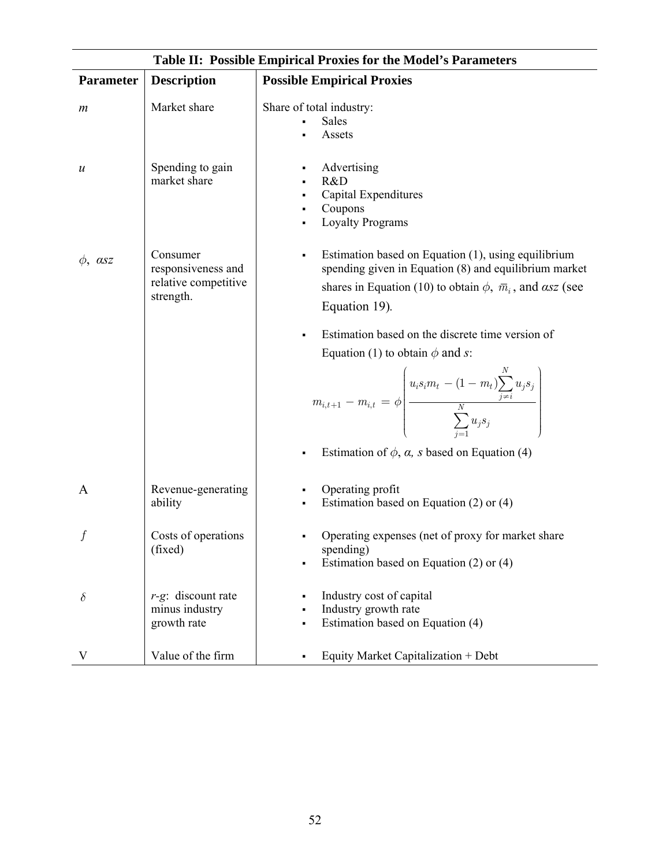|                            |                                                                     | Table II: Possible Empirical Proxies for the Model's Parameters                                                                                                                                                     |
|----------------------------|---------------------------------------------------------------------|---------------------------------------------------------------------------------------------------------------------------------------------------------------------------------------------------------------------|
| <b>Parameter</b>           | <b>Description</b>                                                  | <b>Possible Empirical Proxies</b>                                                                                                                                                                                   |
| m                          | Market share                                                        | Share of total industry:<br>Sales<br>Assets                                                                                                                                                                         |
| $\boldsymbol{\mathcal{u}}$ | Spending to gain<br>market share                                    | Advertising<br>٠<br>R&D<br>٠<br>Capital Expenditures<br>Coupons<br>٠<br><b>Loyalty Programs</b>                                                                                                                     |
| $\phi$ , $\alpha$ sz       | Consumer<br>responsiveness and<br>relative competitive<br>strength. | Estimation based on Equation (1), using equilibrium<br>٠<br>spending given in Equation (8) and equilibrium market<br>shares in Equation (10) to obtain $\phi$ , $\bar{m}_i$ , and $\alpha$ sz (see<br>Equation 19). |
|                            |                                                                     | Estimation based on the discrete time version of<br>Equation (1) to obtain $\phi$ and <i>s</i> :                                                                                                                    |
|                            |                                                                     | $m_{i,t+1} - m_{i,t} = \phi \left( \frac{u_i s_i m_t - (1 - m_t) \sum_{j \neq i}^{N} u_j s_j}{\sum_{j \neq i}^{N} u_j s_j} \right)$                                                                                 |
|                            |                                                                     | Estimation of $\phi$ , $\alpha$ , s based on Equation (4)                                                                                                                                                           |
| A                          | Revenue-generating<br>ability                                       | Operating profit<br>Estimation based on Equation $(2)$ or $(4)$                                                                                                                                                     |
|                            | Costs of operations<br>(fixed)                                      | Operating expenses (net of proxy for market share<br>spending)<br>Estimation based on Equation $(2)$ or $(4)$                                                                                                       |
| $\delta$                   | $r-g$ : discount rate<br>minus industry<br>growth rate              | Industry cost of capital<br>Industry growth rate<br>Estimation based on Equation (4)                                                                                                                                |
| V                          | Value of the firm                                                   | Equity Market Capitalization + Debt                                                                                                                                                                                 |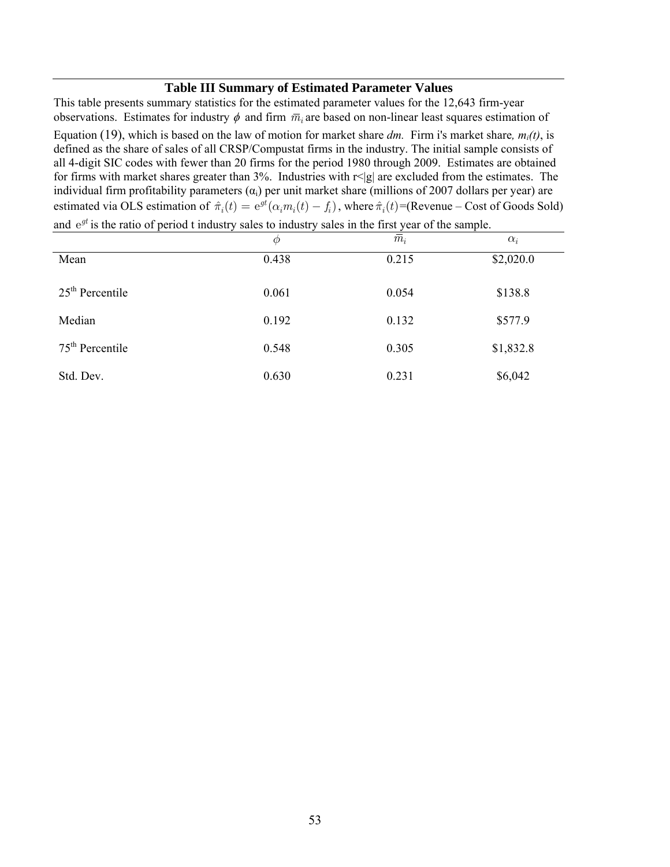## **Table III Summary of Estimated Parameter Values**

This table presents summary statistics for the estimated parameter values for the 12,643 firm-year observations. Estimates for industry  $\phi$  and firm  $\bar{m}_i$  are based on non-linear least squares estimation of Equation (19), which is based on the law of motion for market share *dm*. Firm i's market share,  $m_i(t)$ , is defined as the share of sales of all CRSP/Compustat firms in the industry. The initial sample consists of all 4-digit SIC codes with fewer than 20 firms for the period 1980 through 2009. Estimates are obtained for firms with market shares greater than  $3\%$ . Industries with  $r<|g|$  are excluded from the estimates. The individual firm profitability parameters  $(\alpha_i)$  per unit market share (millions of 2007 dollars per year) are estimated via OLS estimation of  $\hat{\pi}_i(t) = e^{gt} (\alpha_i m_i(t) - f_i)$ , where  $\hat{\pi}_i(t) =$ (Revenue – Cost of Goods Sold) and e*gt* is the ratio of period t industry sales to industry sales in the first year of the sample.

|                   | $\phi$ | $\bar{m}_i$ | $\alpha_i$ |
|-------------------|--------|-------------|------------|
| Mean              | 0.438  | 0.215       | \$2,020.0  |
| $25th$ Percentile | 0.061  | 0.054       | \$138.8    |
| Median            | 0.192  | 0.132       | \$577.9    |
| $75th$ Percentile | 0.548  | 0.305       | \$1,832.8  |
| Std. Dev.         | 0.630  | 0.231       | \$6,042    |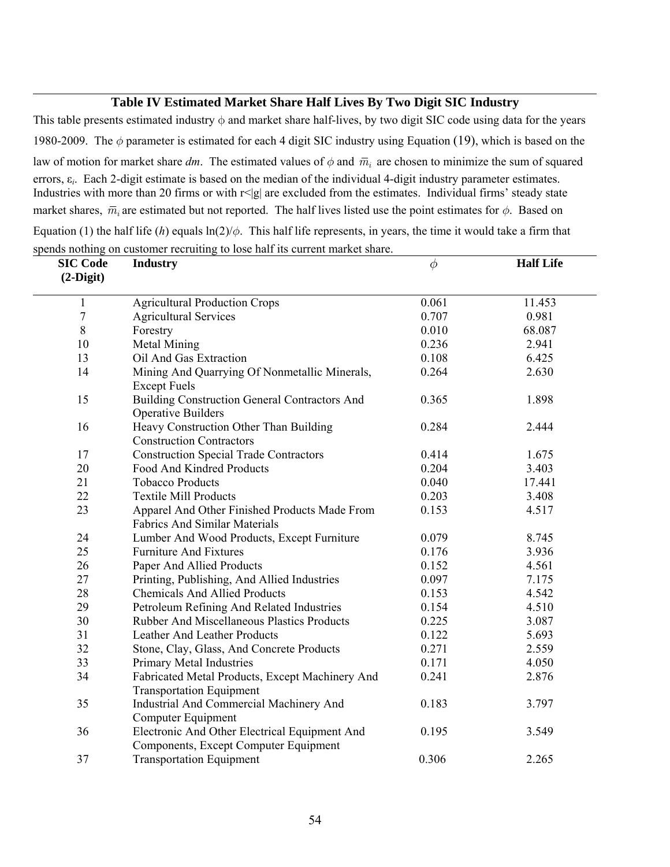# **Table IV Estimated Market Share Half Lives By Two Digit SIC Industry**

This table presents estimated industry  $\phi$  and market share half-lives, by two digit SIC code using data for the years 1980-2009. The *φ* parameter is estimated for each 4 digit SIC industry using Equation (19), which is based on the law of motion for market share *dm*. The estimated values of  $\phi$  and  $\bar{m}_i$  are chosen to minimize the sum of squared errors, ε*i*. Each 2-digit estimate is based on the median of the individual 4-digit industry parameter estimates. Industries with more than 20 firms or with  $r<|g|$  are excluded from the estimates. Individual firms' steady state market shares,  $\bar{m}_i$  are estimated but not reported. The half lives listed use the point estimates for  $\phi$ . Based on

| <b>SIC Code</b><br>$(2-Digit)$ | <b>Industry</b>                                                                        | $\phi$ | <b>Half Life</b> |
|--------------------------------|----------------------------------------------------------------------------------------|--------|------------------|
| $\mathbf{1}$                   | <b>Agricultural Production Crops</b>                                                   | 0.061  | 11.453           |
| $\boldsymbol{7}$               | <b>Agricultural Services</b>                                                           | 0.707  | 0.981            |
| $\,8\,$                        | Forestry                                                                               | 0.010  | 68.087           |
| 10                             | Metal Mining                                                                           | 0.236  | 2.941            |
| 13                             | Oil And Gas Extraction                                                                 | 0.108  | 6.425            |
| 14                             | Mining And Quarrying Of Nonmetallic Minerals,<br><b>Except Fuels</b>                   | 0.264  | 2.630            |
| 15                             | Building Construction General Contractors And<br><b>Operative Builders</b>             | 0.365  | 1.898            |
| 16                             | Heavy Construction Other Than Building<br><b>Construction Contractors</b>              | 0.284  | 2.444            |
| 17                             | <b>Construction Special Trade Contractors</b>                                          | 0.414  | 1.675            |
| 20                             | Food And Kindred Products                                                              | 0.204  | 3.403            |
| 21                             | <b>Tobacco Products</b>                                                                | 0.040  | 17.441           |
| 22                             | <b>Textile Mill Products</b>                                                           | 0.203  | 3.408            |
| 23                             | Apparel And Other Finished Products Made From<br><b>Fabrics And Similar Materials</b>  | 0.153  | 4.517            |
| 24                             | Lumber And Wood Products, Except Furniture                                             | 0.079  | 8.745            |
| 25                             | <b>Furniture And Fixtures</b>                                                          | 0.176  | 3.936            |
| 26                             | Paper And Allied Products                                                              | 0.152  | 4.561            |
| 27                             | Printing, Publishing, And Allied Industries                                            | 0.097  | 7.175            |
| 28                             | <b>Chemicals And Allied Products</b>                                                   | 0.153  | 4.542            |
| 29                             | Petroleum Refining And Related Industries                                              | 0.154  | 4.510            |
| 30                             | <b>Rubber And Miscellaneous Plastics Products</b>                                      | 0.225  | 3.087            |
| 31                             | <b>Leather And Leather Products</b>                                                    | 0.122  | 5.693            |
| 32                             | Stone, Clay, Glass, And Concrete Products                                              | 0.271  | 2.559            |
| 33                             | Primary Metal Industries                                                               | 0.171  | 4.050            |
| 34                             | Fabricated Metal Products, Except Machinery And<br><b>Transportation Equipment</b>     | 0.241  | 2.876            |
| 35                             | Industrial And Commercial Machinery And<br>Computer Equipment                          | 0.183  | 3.797            |
| 36                             | Electronic And Other Electrical Equipment And<br>Components, Except Computer Equipment | 0.195  | 3.549            |
| 37                             | <b>Transportation Equipment</b>                                                        | 0.306  | 2.265            |

Equation (1) the half life (*h*) equals  $\ln(2)/\phi$ . This half life represents, in years, the time it would take a firm that spends nothing on customer recruiting to lose half its current market share.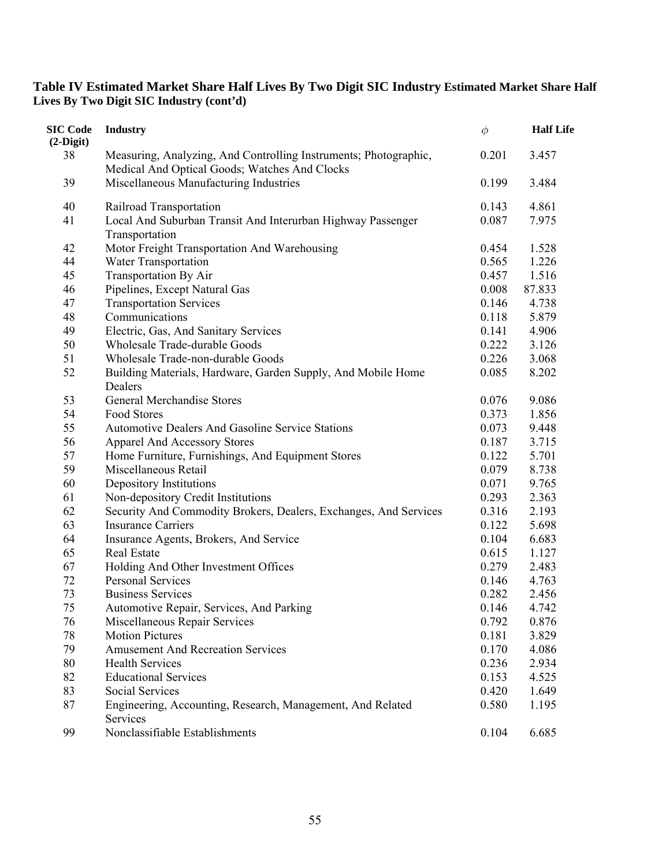# **Table IV Estimated Market Share Half Lives By Two Digit SIC Industry Estimated Market Share Half Lives By Two Digit SIC Industry (cont'd)**

| <b>SIC Code</b><br>$(2-Digit)$ | <b>Industry</b>                                                                                                   | $\phi$ | <b>Half Life</b> |
|--------------------------------|-------------------------------------------------------------------------------------------------------------------|--------|------------------|
| 38                             | Measuring, Analyzing, And Controlling Instruments; Photographic,<br>Medical And Optical Goods; Watches And Clocks | 0.201  | 3.457            |
| 39                             | Miscellaneous Manufacturing Industries                                                                            | 0.199  | 3.484            |
| 40                             | Railroad Transportation                                                                                           | 0.143  | 4.861            |
| 41                             | Local And Suburban Transit And Interurban Highway Passenger<br>Transportation                                     | 0.087  | 7.975            |
| 42                             | Motor Freight Transportation And Warehousing                                                                      | 0.454  | 1.528            |
| 44                             | Water Transportation                                                                                              | 0.565  | 1.226            |
| 45                             | <b>Transportation By Air</b>                                                                                      | 0.457  | 1.516            |
| 46                             | Pipelines, Except Natural Gas                                                                                     | 0.008  | 87.833           |
| 47                             | <b>Transportation Services</b>                                                                                    | 0.146  | 4.738            |
| 48                             | Communications                                                                                                    | 0.118  | 5.879            |
| 49                             | Electric, Gas, And Sanitary Services                                                                              | 0.141  | 4.906            |
| 50                             | Wholesale Trade-durable Goods                                                                                     | 0.222  | 3.126            |
| 51                             | Wholesale Trade-non-durable Goods                                                                                 | 0.226  | 3.068            |
| 52                             | Building Materials, Hardware, Garden Supply, And Mobile Home<br>Dealers                                           | 0.085  | 8.202            |
| 53                             | <b>General Merchandise Stores</b>                                                                                 | 0.076  | 9.086            |
| 54                             | Food Stores                                                                                                       | 0.373  | 1.856            |
| 55                             | <b>Automotive Dealers And Gasoline Service Stations</b>                                                           | 0.073  | 9.448            |
| 56                             | <b>Apparel And Accessory Stores</b>                                                                               | 0.187  | 3.715            |
| 57                             | Home Furniture, Furnishings, And Equipment Stores                                                                 | 0.122  | 5.701            |
| 59                             | Miscellaneous Retail                                                                                              | 0.079  | 8.738            |
| 60                             | Depository Institutions                                                                                           | 0.071  | 9.765            |
| 61                             | Non-depository Credit Institutions                                                                                | 0.293  | 2.363            |
| 62                             | Security And Commodity Brokers, Dealers, Exchanges, And Services                                                  | 0.316  | 2.193            |
| 63                             | <b>Insurance Carriers</b>                                                                                         | 0.122  | 5.698            |
| 64                             | Insurance Agents, Brokers, And Service                                                                            | 0.104  | 6.683            |
| 65                             | <b>Real Estate</b>                                                                                                | 0.615  | 1.127            |
| 67                             | Holding And Other Investment Offices                                                                              | 0.279  | 2.483            |
| 72                             | <b>Personal Services</b>                                                                                          | 0.146  | 4.763            |
| 73                             | <b>Business Services</b>                                                                                          | 0.282  | 2.456            |
| 75                             | Automotive Repair, Services, And Parking                                                                          | 0.146  | 4.742            |
| 76                             | Miscellaneous Repair Services                                                                                     | 0.792  | 0.876            |
| 78                             | <b>Motion Pictures</b>                                                                                            | 0.181  | 3.829            |
| 79                             | <b>Amusement And Recreation Services</b>                                                                          | 0.170  | 4.086            |
| 80                             | <b>Health Services</b>                                                                                            | 0.236  | 2.934            |
| 82                             | <b>Educational Services</b>                                                                                       | 0.153  | 4.525            |
| 83                             | Social Services                                                                                                   | 0.420  | 1.649            |
| 87                             | Engineering, Accounting, Research, Management, And Related<br>Services                                            | 0.580  | 1.195            |
| 99                             | Nonclassifiable Establishments                                                                                    | 0.104  | 6.685            |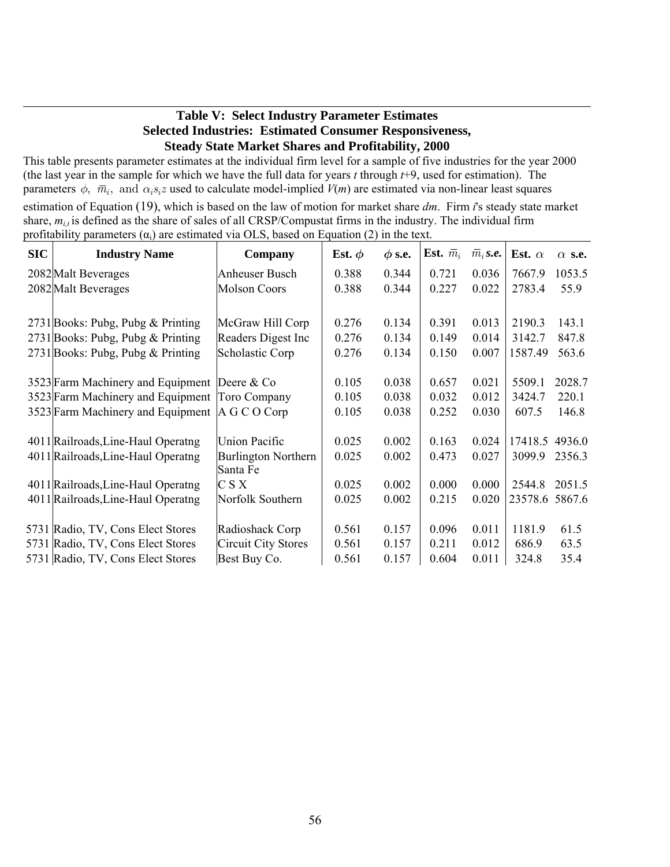# **Table V: Select Industry Parameter Estimates Selected Industries: Estimated Consumer Responsiveness, Steady State Market Shares and Profitability, 2000**

This table presents parameter estimates at the individual firm level for a sample of five industries for the year 2000 (the last year in the sample for which we have the full data for years *t* through *t*+9, used for estimation). The parameters  $\phi$ ,  $\bar{m}_i$ , and  $\alpha_i s_i z$  used to calculate model-implied  $V(m)$  are estimated via non-linear least squares estimation of Equation (19), which is based on the law of motion for market share *dm*. Firm *i*'s steady state market share,  $m_{i,t}$  is defined as the share of sales of all CRSP/Compustat firms in the industry. The individual firm profitability parameters  $(\alpha_i)$  are estimated via OLS, based on Equation (2) in the text.

| <b>SIC</b> | <b>Industry Name</b>                             | Company                    | Est. $\phi$ | $\phi$ s.e. | Est. $\bar{m}_i$ | $\bar{m}_i$ s.e. | Est. $\alpha$  | $\alpha$ s.e. |
|------------|--------------------------------------------------|----------------------------|-------------|-------------|------------------|------------------|----------------|---------------|
|            | 2082 Malt Beverages                              | Anheuser Busch             | 0.388       | 0.344       | 0.721            | 0.036            | 7667.9         | 1053.5        |
|            | 2082 Malt Beverages                              | <b>Molson Coors</b>        | 0.388       | 0.344       | 0.227            | 0.022            | 2783.4         | 55.9          |
|            |                                                  |                            |             |             |                  |                  |                |               |
|            | 2731 Books: Pubg, Pubg & Printing                | McGraw Hill Corp           | 0.276       | 0.134       | 0.391            | 0.013            | 2190.3         | 143.1         |
|            | 2731 Books: Pubg, Pubg & Printing                | Readers Digest Inc         | 0.276       | 0.134       | 0.149            | 0.014            | 3142.7         | 847.8         |
|            | 2731 Books: Pubg, Pubg & Printing                | Scholastic Corp            | 0.276       | 0.134       | 0.150            | 0.007            | 1587.49        | 563.6         |
|            |                                                  |                            |             |             |                  |                  |                |               |
|            | 3523 Farm Machinery and Equipment Deere & Co     |                            | 0.105       | 0.038       | 0.657            | 0.021            | 5509.1         | 2028.7        |
|            | 3523 Farm Machinery and Equipment Toro Company   |                            | 0.105       | 0.038       | 0.032            | 0.012            | 3424.7         | 220.1         |
|            | 3523 Farm Machinery and Equipment   A G C O Corp |                            | 0.105       | 0.038       | 0.252            | 0.030            | 607.5          | 146.8         |
|            |                                                  |                            |             |             |                  |                  |                |               |
|            | 4011 Railroads, Line-Haul Operatng               | <b>Union Pacific</b>       | 0.025       | 0.002       | 0.163            | 0.024            | 17418.5        | 4936.0        |
|            | 4011 Railroads, Line-Haul Operatng               | <b>Burlington Northern</b> | 0.025       | 0.002       | 0.473            | 0.027            | 3099.9         | 2356.3        |
|            |                                                  | Santa Fe                   |             |             |                  |                  |                |               |
|            | 4011 Railroads, Line-Haul Operatng               | C S X                      | 0.025       | 0.002       | 0.000            | 0.000            | 2544.8         | 2051.5        |
|            | 4011 Railroads, Line-Haul Operatng               | Norfolk Southern           | 0.025       | 0.002       | 0.215            | 0.020            | 23578.6 5867.6 |               |
|            |                                                  |                            |             |             |                  |                  |                |               |
|            | 5731 Radio, TV, Cons Elect Stores                | Radioshack Corp            | 0.561       | 0.157       | 0.096            | 0.011            | 1181.9         | 61.5          |
|            | 5731 Radio, TV, Cons Elect Stores                | <b>Circuit City Stores</b> | 0.561       | 0.157       | 0.211            | 0.012            | 686.9          | 63.5          |
|            | 5731 Radio, TV, Cons Elect Stores                | Best Buy Co.               | 0.561       | 0.157       | 0.604            | 0.011            | 324.8          | 35.4          |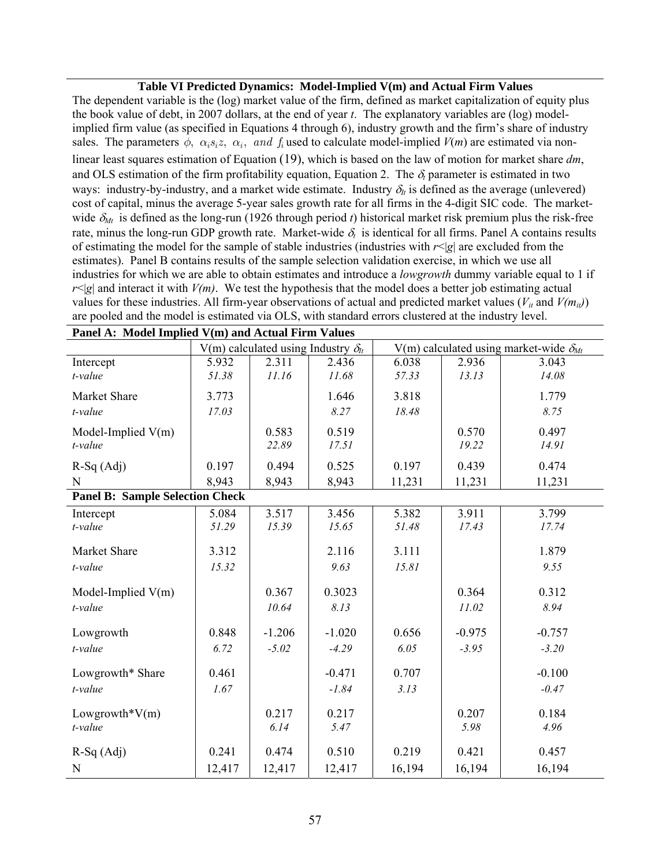# **Table VI Predicted Dynamics: Model-Implied V(m) and Actual Firm Values**

The dependent variable is the (log) market value of the firm, defined as market capitalization of equity plus the book value of debt, in 2007 dollars, at the end of year *t*. The explanatory variables are (log) modelimplied firm value (as specified in Equations 4 through 6), industry growth and the firm's share of industry sales. The parameters  $\phi$ ,  $\alpha_i s_i z$ ,  $\alpha_i$ , and  $f_i$  used to calculate model-implied  $V(m)$  are estimated via nonlinear least squares estimation of Equation (19), which is based on the law of motion for market share *dm*, and OLS estimation of the firm profitability equation, Equation 2. The  $\delta_t$  parameter is estimated in two ways: industry-by-industry, and a market wide estimate. Industry  $\delta_{lt}$  is defined as the average (unlevered) cost of capital, minus the average 5-year sales growth rate for all firms in the 4-digit SIC code. The marketwide  $\delta_{Mt}$  is defined as the long-run (1926 through period *t*) historical market risk premium plus the risk-free rate, minus the long-run GDP growth rate. Market-wide  $\delta_t$  is identical for all firms. Panel A contains results of estimating the model for the sample of stable industries (industries with *r*<|*g*| are excluded from the estimates). Panel B contains results of the sample selection validation exercise, in which we use all industries for which we are able to obtain estimates and introduce a *lowgrowth* dummy variable equal to 1 if  $r<|g|$  and interact it with  $V(m)$ . We test the hypothesis that the model does a better job estimating actual values for these industries. All firm-year observations of actual and predicted market values ( $V_{it}$  and  $V(m_{it})$ ) are pooled and the model is estimated via OLS, with standard errors clustered at the industry level.

| Panel A: Model Implied $V(m)$ and Actual Firm Values |        |                                              |          |        |          |                                                 |  |  |  |  |
|------------------------------------------------------|--------|----------------------------------------------|----------|--------|----------|-------------------------------------------------|--|--|--|--|
|                                                      |        | V(m) calculated using Industry $\delta_{lt}$ |          |        |          | V(m) calculated using market-wide $\delta_{Mt}$ |  |  |  |  |
| Intercept                                            | 5.932  | 2.311                                        | 2.436    | 6.038  | 2.936    | 3.043                                           |  |  |  |  |
| t-value                                              | 51.38  | 11.16                                        | 11.68    | 57.33  | 13.13    | 14.08                                           |  |  |  |  |
| Market Share                                         | 3.773  |                                              | 1.646    | 3.818  |          | 1.779                                           |  |  |  |  |
| t-value                                              | 17.03  |                                              | 8.27     | 18.48  |          | 8.75                                            |  |  |  |  |
| Model-Implied $V(m)$                                 |        | 0.583                                        | 0.519    |        | 0.570    | 0.497                                           |  |  |  |  |
| t-value                                              |        | 22.89                                        | 17.51    |        | 19.22    | 14.91                                           |  |  |  |  |
| $R-Sq$ (Adj)                                         | 0.197  | 0.494                                        | 0.525    | 0.197  | 0.439    | 0.474                                           |  |  |  |  |
| N                                                    | 8,943  | 8,943                                        | 8,943    | 11,231 | 11,231   | 11,231                                          |  |  |  |  |
| <b>Panel B: Sample Selection Check</b>               |        |                                              |          |        |          |                                                 |  |  |  |  |
| Intercept                                            | 5.084  | 3.517                                        | 3.456    | 5.382  | 3.911    | 3.799                                           |  |  |  |  |
| t-value                                              | 51.29  | 15.39                                        | 15.65    | 51.48  | 17.43    | 17.74                                           |  |  |  |  |
| <b>Market Share</b>                                  | 3.312  |                                              | 2.116    | 3.111  |          | 1.879                                           |  |  |  |  |
| t-value                                              | 15.32  |                                              | 9.63     | 15.81  |          | 9.55                                            |  |  |  |  |
| Model-Implied $V(m)$                                 |        | 0.367                                        | 0.3023   |        | 0.364    | 0.312                                           |  |  |  |  |
| t-value                                              |        | 10.64                                        | 8.13     |        | 11.02    | 8.94                                            |  |  |  |  |
| Lowgrowth                                            | 0.848  | $-1.206$                                     | $-1.020$ | 0.656  | $-0.975$ | $-0.757$                                        |  |  |  |  |
| t-value                                              | 6.72   | $-5.02$                                      | $-4.29$  | 6.05   | $-3.95$  | $-3.20$                                         |  |  |  |  |
| Lowgrowth* Share                                     | 0.461  |                                              | $-0.471$ | 0.707  |          | $-0.100$                                        |  |  |  |  |
| t-value                                              | 1.67   |                                              | $-1.84$  | 3.13   |          | $-0.47$                                         |  |  |  |  |
| Lowgrowth* $V(m)$                                    |        | 0.217                                        | 0.217    |        | 0.207    | 0.184                                           |  |  |  |  |
| t-value                                              |        | 6.14                                         | 5.47     |        | 5.98     | 4.96                                            |  |  |  |  |
| $R-Sq (Adj)$                                         | 0.241  | 0.474                                        | 0.510    | 0.219  | 0.421    | 0.457                                           |  |  |  |  |
| N                                                    | 12,417 | 12,417                                       | 12,417   | 16,194 | 16,194   | 16,194                                          |  |  |  |  |

**Panel A: Model Implied V(m) and Actual Firm Values**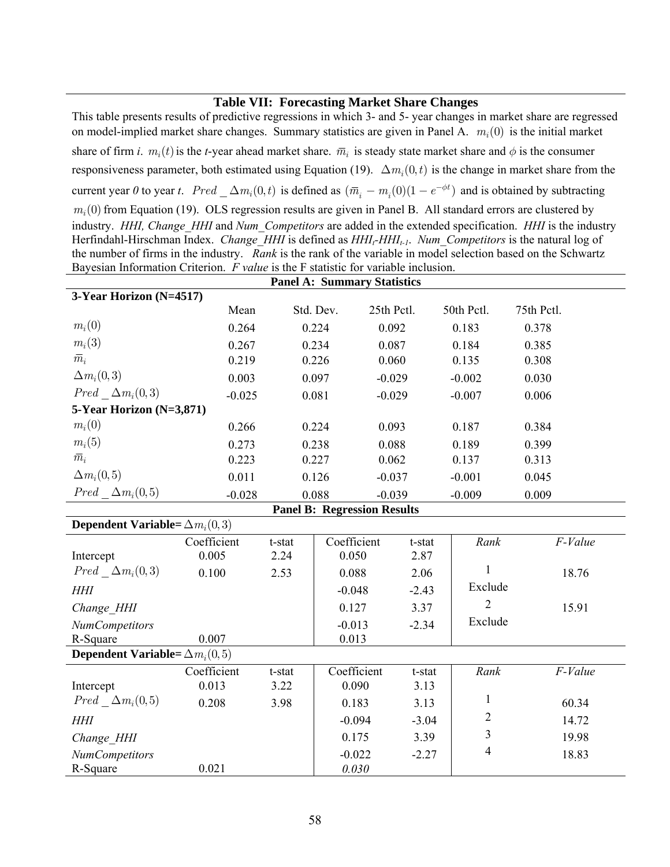# **Table VII: Forecasting Market Share Changes**

This table presents results of predictive regressions in which 3- and 5- year changes in market share are regressed on model-implied market share changes. Summary statistics are given in Panel A.  $m_i(0)$  is the initial market share of firm *i*.  $m_i(t)$  is the *t*-year ahead market share.  $\overline{m}_i$  is steady state market share and  $\phi$  is the consumer responsiveness parameter, both estimated using Equation (19).  $\Delta m_i(0, t)$  is the change in market share from the current year *0* to year *t*.  $Pred \_\Delta m_i(0, t)$  is defined as  $(\overline{m}_i - m_i(0)(1 - e^{-\phi t})$  and is obtained by subtracting  $m<sub>i</sub>(0)$  from Equation (19). OLS regression results are given in Panel B. All standard errors are clustered by industry. *HHI, Change\_HHI* and *Num\_Competitors* are added in the extended specification. *HHI* is the industry Herfindahl-Hirschman Index. *Change\_HHI* is defined as *HHIt-HHIt-1*. *Num\_Competitors* is the natural log of the number of firms in the industry. *Rank* is the rank of the variable in model selection based on the Schwartz Bayesian Information Criterion. *F value* is the F statistic for variable inclusion.

| <b>Panel A: Summary Statistics</b>            |             |        |             |            |                         |            |  |  |  |  |  |
|-----------------------------------------------|-------------|--------|-------------|------------|-------------------------|------------|--|--|--|--|--|
| 3-Year Horizon (N=4517)                       |             |        |             |            |                         |            |  |  |  |  |  |
|                                               | Mean        |        | Std. Dev.   | 25th Pctl. | 50th Pctl.              | 75th Pctl. |  |  |  |  |  |
| $m_i(0)$                                      | 0.264       |        | 0.224       | 0.092      | 0.183                   | 0.378      |  |  |  |  |  |
| $m_i(3)$                                      | 0.267       |        | 0.234       | 0.087      | 0.184                   | 0.385      |  |  |  |  |  |
| $\bar{m}_i$                                   | 0.219       |        | 0.226       | 0.060      | 0.135                   | 0.308      |  |  |  |  |  |
| $\Delta m_i(0,3)$                             | 0.003       |        | 0.097       | $-0.029$   | $-0.002$                | 0.030      |  |  |  |  |  |
| <i>Pred</i> $\Delta m_i(0,3)$                 | $-0.025$    |        | 0.081       | $-0.029$   | $-0.007$                | 0.006      |  |  |  |  |  |
| 5-Year Horizon (N=3,871)                      |             |        |             |            |                         |            |  |  |  |  |  |
| $m_i(0)$                                      | 0.266       |        | 0.224       | 0.093      | 0.187                   | 0.384      |  |  |  |  |  |
| $m_i(5)$                                      | 0.273       |        | 0.238       | 0.088      | 0.189                   | 0.399      |  |  |  |  |  |
| $\bar{m}_i$                                   | 0.223       |        | 0.227       | 0.062      | 0.137                   | 0.313      |  |  |  |  |  |
| $\Delta m_i(0,5)$                             | 0.011       |        | 0.126       | $-0.037$   | $-0.001$                | 0.045      |  |  |  |  |  |
| $Pred_{\_}\Delta m_i(0,5)$                    | $-0.028$    |        | 0.088       | $-0.039$   | $-0.009$                | 0.009      |  |  |  |  |  |
| <b>Panel B: Regression Results</b>            |             |        |             |            |                         |            |  |  |  |  |  |
| <b>Dependent Variable</b> = $\Delta m_i(0,3)$ |             |        |             |            |                         |            |  |  |  |  |  |
|                                               | Coefficient | t-stat | Coefficient | t-stat     | Rank                    | F-Value    |  |  |  |  |  |
| Intercept                                     | 0.005       | 2.24   | 0.050       | 2.87       |                         |            |  |  |  |  |  |
| <i>Pred</i> $\Delta m_i(0,3)$                 | 0.100       | 2.53   | 0.088       | 2.06       | $\mathbf{1}$            | 18.76      |  |  |  |  |  |
| <b>HHI</b>                                    |             |        | $-0.048$    | $-2.43$    | Exclude                 |            |  |  |  |  |  |
| Change HHI                                    |             |        | 0.127       | 3.37       | $\overline{2}$          | 15.91      |  |  |  |  |  |
| <b>NumCompetitors</b>                         |             |        | $-0.013$    | $-2.34$    | Exclude                 |            |  |  |  |  |  |
| R-Square                                      | 0.007       |        | 0.013       |            |                         |            |  |  |  |  |  |
| <b>Dependent Variable</b> = $\Delta m_i(0,5)$ |             |        |             |            |                         |            |  |  |  |  |  |
|                                               | Coefficient | t-stat | Coefficient | t-stat     | Rank                    | F-Value    |  |  |  |  |  |
| Intercept                                     | 0.013       | 3.22   | 0.090       | 3.13       |                         |            |  |  |  |  |  |
| <i>Pred</i> $\Delta m_i(0,5)$                 | 0.208       | 3.98   | 0.183       | 3.13       | $\mathbf{1}$            | 60.34      |  |  |  |  |  |
| <b>HHI</b>                                    |             |        | $-0.094$    | $-3.04$    | $\overline{2}$          | 14.72      |  |  |  |  |  |
| Change HHI                                    |             |        | 0.175       | 3.39       | $\overline{\mathbf{3}}$ | 19.98      |  |  |  |  |  |
| <b>NumCompetitors</b>                         |             |        | $-0.022$    | $-2.27$    | $\overline{4}$          | 18.83      |  |  |  |  |  |
| R-Square                                      | 0.021       |        | 0.030       |            |                         |            |  |  |  |  |  |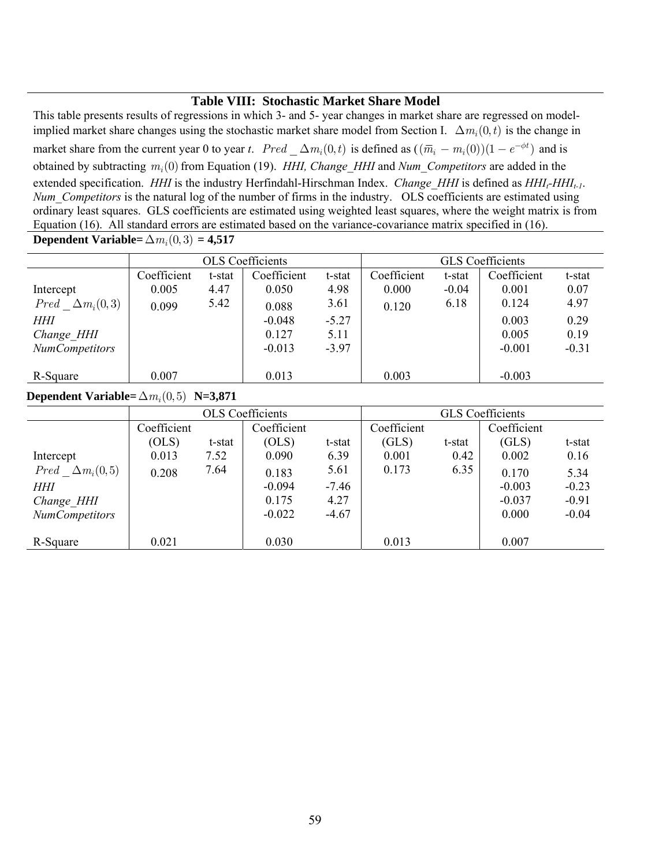# **Table VIII: Stochastic Market Share Model**

This table presents results of regressions in which 3- and 5- year changes in market share are regressed on modelimplied market share changes using the stochastic market share model from Section I.  $\Delta m_i(0, t)$  is the change in market share from the current year 0 to year *t*.  $Pred \_\Delta m_i(0, t)$  is defined as  $((\overline{m}_i - m_i(0))(1 - e^{-\phi t})$  and is obtained by subtracting  $m_i(0)$  from Equation (19). *HHI, Change HHI* and *Num Competitors* are added in the extended specification. *HHI* is the industry Herfindahl-Hirschman Index. *Change HHI* is defined as *HHI<sub>t</sub>-HHI<sub>t-1</sub>*. *Num\_Competitors* is the natural log of the number of firms in the industry. OLS coefficients are estimated using ordinary least squares. GLS coefficients are estimated using weighted least squares, where the weight matrix is from Equation (16). All standard errors are estimated based on the variance-covariance matrix specified in (16).

**Dependent Variable=**  $\Delta m_i(0,3) = 4,517$ 

|                               |             |        | <b>OLS</b> Coefficients |         | <b>GLS</b> Coefficients |         |             |         |
|-------------------------------|-------------|--------|-------------------------|---------|-------------------------|---------|-------------|---------|
|                               | Coefficient | t-stat | Coefficient             | t-stat  | Coefficient             | t-stat  | Coefficient | t-stat  |
| Intercept                     | 0.005       | 4.47   | 0.050                   | 4.98    | 0.000                   | $-0.04$ | 0.001       | 0.07    |
| <i>Pred</i> $\Delta m_i(0,3)$ | 0.099       | 5.42   | 0.088                   | 3.61    | 0.120                   | 6.18    | 0.124       | 4.97    |
| HHI                           |             |        | $-0.048$                | $-5.27$ |                         |         | 0.003       | 0.29    |
| Change_HHI                    |             |        | 0.127                   | 5.11    |                         |         | 0.005       | 0.19    |
| <b>NumCompetitors</b>         |             |        | $-0.013$                | $-3.97$ |                         |         | $-0.001$    | $-0.31$ |
| R-Square                      | 0.007       |        | 0.013                   |         | 0.003                   |         | $-0.003$    |         |

**Dependent Variable=**  $\Delta m_i(0,5)$  **N=3,871** 

|                               |             |             | <b>OLS</b> Coefficients |         | <b>GLS</b> Coefficients |        |             |         |
|-------------------------------|-------------|-------------|-------------------------|---------|-------------------------|--------|-------------|---------|
|                               | Coefficient | Coefficient |                         |         | Coefficient             |        | Coefficient |         |
|                               | (OLS)       | t-stat      | (OLS)                   | t-stat  | (GLS)                   | t-stat | (GLS)       | t-stat  |
| Intercept                     | 0.013       | 7.52        | 0.090                   | 6.39    | 0.001                   | 0.42   | 0.002       | 0.16    |
| <i>Pred</i> $\Delta m_i(0,5)$ | 0.208       | 7.64        | 0.183                   | 5.61    | 0.173                   | 6.35   | 0.170       | 5.34    |
| HHI                           |             |             | $-0.094$                | $-7.46$ |                         |        | $-0.003$    | $-0.23$ |
| Change HHI                    |             |             | 0.175                   | 4.27    |                         |        | $-0.037$    | $-0.91$ |
| <b>NumCompetitors</b>         |             |             | $-0.022$                | $-4.67$ |                         |        | 0.000       | $-0.04$ |
|                               |             |             |                         |         |                         |        |             |         |
| R-Square                      | 0.021       |             | 0.030                   |         | 0.013                   |        | 0.007       |         |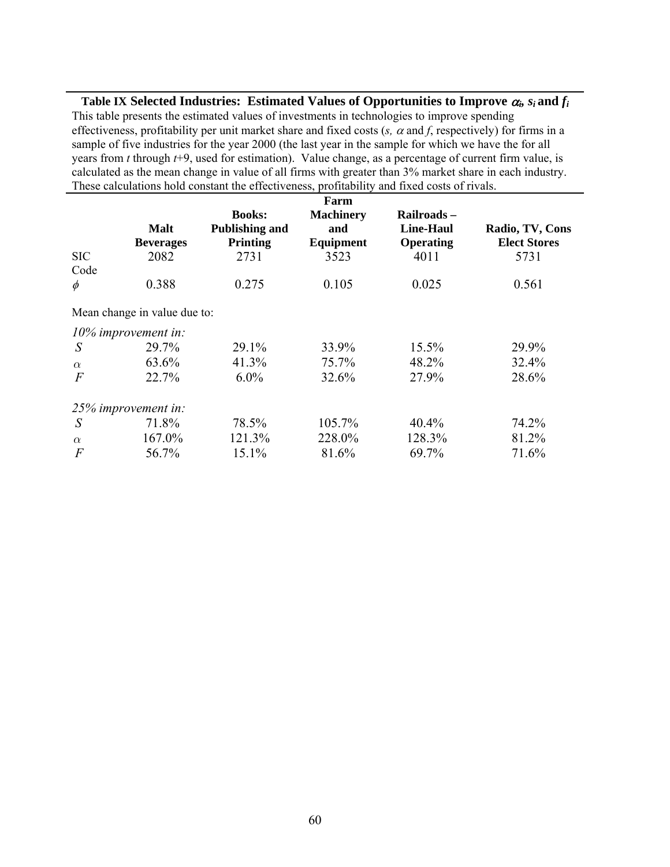# **Table IX Selected Industries: Estimated Values of Opportunities to Improve**  $\alpha_i$ **,**  $s_i$  **and**  $f_i$

This table presents the estimated values of investments in technologies to improve spending effectiveness, profitability per unit market share and fixed costs (*s,* α and *f*, respectively) for firms in a sample of five industries for the year 2000 (the last year in the sample for which we have the for all years from *t* through *t*+9, used for estimation). Value change, as a percentage of current firm value, is calculated as the mean change in value of all firms with greater than 3% market share in each industry. These calculations hold constant the effectiveness, profitability and fixed costs of rivals.

|                  |                              |                                        | Farm                    |                          |                     |
|------------------|------------------------------|----------------------------------------|-------------------------|--------------------------|---------------------|
|                  | <b>Malt</b>                  | <b>Books:</b><br><b>Publishing and</b> | <b>Machinery</b><br>and | Railroads –<br>Line-Haul | Radio, TV, Cons     |
|                  | <b>Beverages</b>             | <b>Printing</b>                        | Equipment               | <b>Operating</b>         | <b>Elect Stores</b> |
| <b>SIC</b>       | 2082                         | 2731                                   | 3523                    | 4011                     | 5731                |
| Code             |                              |                                        |                         |                          |                     |
| $\phi$           | 0.388                        | 0.275                                  | 0.105                   | 0.025                    | 0.561               |
|                  | Mean change in value due to: |                                        |                         |                          |                     |
|                  | 10% improvement in:          |                                        |                         |                          |                     |
| S                | 29.7%                        | 29.1%                                  | 33.9%                   | 15.5%                    | 29.9%               |
| $\alpha$         | 63.6%                        | 41.3%                                  | 75.7%                   | 48.2%                    | 32.4%               |
| $\overline{F}$   | 22.7%                        | $6.0\%$                                | 32.6%                   | 27.9%                    | 28.6%               |
|                  | $25\%$ improvement in:       |                                        |                         |                          |                     |
| S                | 71.8%                        | 78.5%                                  | 105.7%                  | $40.4\%$                 | 74.2%               |
| $\alpha$         | 167.0%                       | 121.3%                                 | 228.0%                  | 128.3%                   | 81.2%               |
| $\boldsymbol{F}$ | 56.7%                        | 15.1%                                  | 81.6%                   | 69.7%                    | 71.6%               |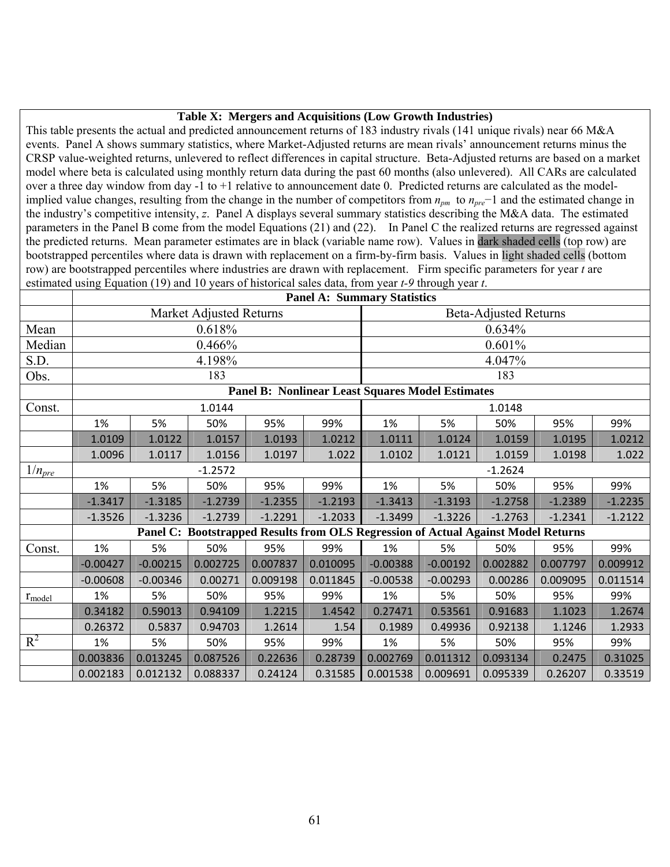## **Table X: Mergers and Acquisitions (Low Growth Industries)**

This table presents the actual and predicted announcement returns of 183 industry rivals (141 unique rivals) near 66 M&A events. Panel A shows summary statistics, where Market-Adjusted returns are mean rivals' announcement returns minus the CRSP value-weighted returns, unlevered to reflect differences in capital structure. Beta-Adjusted returns are based on a market model where beta is calculated using monthly return data during the past 60 months (also unlevered). All CARs are calculated over a three day window from day -1 to +1 relative to announcement date 0. Predicted returns are calculated as the modelimplied value changes, resulting from the change in the number of competitors from *npm* to *npre*−1 and the estimated change in the industry's competitive intensity, *z*. Panel A displays several summary statistics describing the M&A data. The estimated parameters in the Panel B come from the model Equations (21) and (22). In Panel C the realized returns are regressed against the predicted returns. Mean parameter estimates are in black (variable name row). Values in dark shaded cells (top row) are bootstrapped percentiles where data is drawn with replacement on a firm-by-firm basis. Values in light shaded cells (bottom row) are bootstrapped percentiles where industries are drawn with replacement. Firm specific parameters for year *t* are estimated using Equation (19) and 10 years of historical sales data, from year *t-9* through year *t*.

|             | <b>Panel A: Summary Statistics</b> |            |                         |           |                                                         |            |                       |                                                                                   |           |           |  |
|-------------|------------------------------------|------------|-------------------------|-----------|---------------------------------------------------------|------------|-----------------------|-----------------------------------------------------------------------------------|-----------|-----------|--|
|             |                                    |            | Market Adjusted Returns |           |                                                         |            | Beta-Adjusted Returns |                                                                                   |           |           |  |
| Mean        |                                    |            | 0.618%                  |           |                                                         |            | 0.634%                |                                                                                   |           |           |  |
| Median      |                                    |            | 0.466%                  |           |                                                         |            |                       | 0.601%                                                                            |           |           |  |
| S.D.        |                                    |            | 4.198%                  |           |                                                         |            |                       | 4.047%                                                                            |           |           |  |
| Obs.        |                                    |            | 183                     |           |                                                         |            |                       | 183                                                                               |           |           |  |
|             |                                    |            |                         |           | <b>Panel B: Nonlinear Least Squares Model Estimates</b> |            |                       |                                                                                   |           |           |  |
| Const.      |                                    |            | 1.0144                  |           |                                                         |            |                       | 1.0148                                                                            |           |           |  |
|             | 5%<br>99%<br>1%<br>50%<br>95%      |            |                         |           | 1%                                                      | 5%         | 50%                   | 95%                                                                               | 99%       |           |  |
|             | 1.0109                             | 1.0122     | 1.0157                  | 1.0193    | 1.0212                                                  | 1.0111     | 1.0124                | 1.0159                                                                            | 1.0195    | 1.0212    |  |
|             | 1.0096                             | 1.0117     | 1.0156                  | 1.0197    | 1.022                                                   | 1.0102     | 1.0121                | 1.0159                                                                            | 1.0198    | 1.022     |  |
| $1/n_{pre}$ |                                    |            | $-1.2572$               |           |                                                         |            |                       | $-1.2624$                                                                         |           |           |  |
|             | 1%                                 | 5%         | 50%                     | 95%       | 99%                                                     | 1%         | 5%                    | 50%                                                                               | 95%       | 99%       |  |
|             | $-1.3417$                          | $-1.3185$  | $-1.2739$               | $-1.2355$ | $-1.2193$                                               | $-1.3413$  | $-1.3193$             | $-1.2758$                                                                         | $-1.2389$ | $-1.2235$ |  |
|             | $-1.3526$                          | $-1.3236$  | $-1.2739$               | $-1.2291$ | $-1.2033$                                               | $-1.3499$  | $-1.3226$             | $-1.2763$                                                                         | $-1.2341$ | $-1.2122$ |  |
|             |                                    |            |                         |           |                                                         |            |                       | Panel C: Bootstrapped Results from OLS Regression of Actual Against Model Returns |           |           |  |
| Const.      | 1%                                 | 5%         | 50%                     | 95%       | 99%                                                     | 1%         | 5%                    | 50%                                                                               | 95%       | 99%       |  |
|             | $-0.00427$                         | $-0.00215$ | 0.002725                | 0.007837  | 0.010095                                                | $-0.00388$ | $-0.00192$            | 0.002882                                                                          | 0.007797  | 0.009912  |  |
|             | $-0.00608$                         | $-0.00346$ | 0.00271                 | 0.009198  | 0.011845                                                | $-0.00538$ | $-0.00293$            | 0.00286                                                                           | 0.009095  | 0.011514  |  |
| $r_{model}$ | 1%                                 | 5%         | 50%                     | 95%       | 99%                                                     | 1%         | 5%                    | 50%                                                                               | 95%       | 99%       |  |
|             | 0.34182                            | 0.59013    | 0.94109                 | 1.2215    | 1.4542                                                  | 0.27471    | 0.53561               | 0.91683                                                                           | 1.1023    | 1.2674    |  |
|             | 0.26372                            | 0.5837     | 0.94703                 | 1.2614    | 1.54                                                    | 0.1989     | 0.49936               | 0.92138                                                                           | 1.1246    | 1.2933    |  |
| $R^2$       | 1%                                 | 5%         | 50%                     | 95%       | 99%                                                     | 1%         | 5%                    | 50%                                                                               | 95%       | 99%       |  |
|             | 0.003836                           | 0.013245   | 0.087526                | 0.22636   | 0.28739                                                 | 0.002769   | 0.011312              | 0.093134                                                                          | 0.2475    | 0.31025   |  |
|             | 0.002183                           | 0.012132   | 0.088337                | 0.24124   | 0.31585                                                 | 0.001538   | 0.009691              | 0.095339                                                                          | 0.26207   | 0.33519   |  |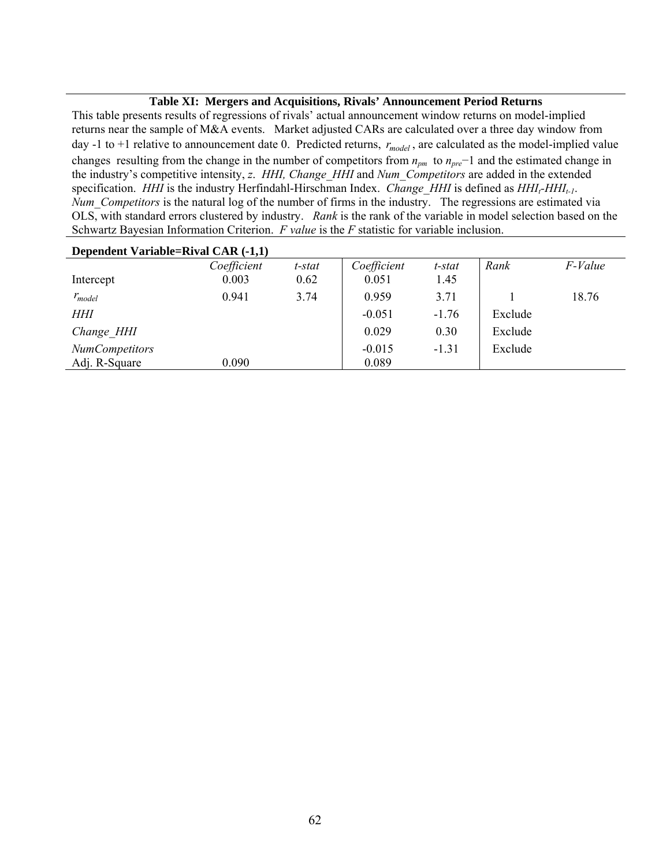# **Table XI: Mergers and Acquisitions, Rivals' Announcement Period Returns**

This table presents results of regressions of rivals' actual announcement window returns on model-implied returns near the sample of M&A events. Market adjusted CARs are calculated over a three day window from day -1 to +1 relative to announcement date 0. Predicted returns,  $r_{model}$ , are calculated as the model-implied value changes resulting from the change in the number of competitors from *npm* to *npre*−1 and the estimated change in the industry's competitive intensity, *z*. *HHI, Change\_HHI* and *Num\_Competitors* are added in the extended specification. *HHI* is the industry Herfindahl-Hirschman Index. *Change\_HHI* is defined as *HHI*<sub>t</sub>-HHI<sub>t-1</sub>. *Num\_Competitors* is the natural log of the number of firms in the industry. The regressions are estimated via OLS, with standard errors clustered by industry. *Rank* is the rank of the variable in model selection based on the Schwartz Bayesian Information Criterion. *F value* is the *F* statistic for variable inclusion.

| Dependent Variable=Rival CAR (-1,1) |             |        |             |         |         |                |
|-------------------------------------|-------------|--------|-------------|---------|---------|----------------|
|                                     | Coefficient | t-stat | Coefficient | t-stat  | Rank    | <i>F-Value</i> |
| Intercept                           | 0.003       | 0.62   | 0.051       | 1.45    |         |                |
| $r_{model}$                         | 0.941       | 3.74   | 0.959       | 3.71    |         | 18.76          |
| HHI                                 |             |        | $-0.051$    | $-1.76$ | Exclude |                |
| Change HHI                          |             |        | 0.029       | 0.30    | Exclude |                |
| <b>NumCompetitors</b>               |             |        | $-0.015$    | $-1.31$ | Exclude |                |
| Adj. R-Square                       | 0.090       |        | 0.089       |         |         |                |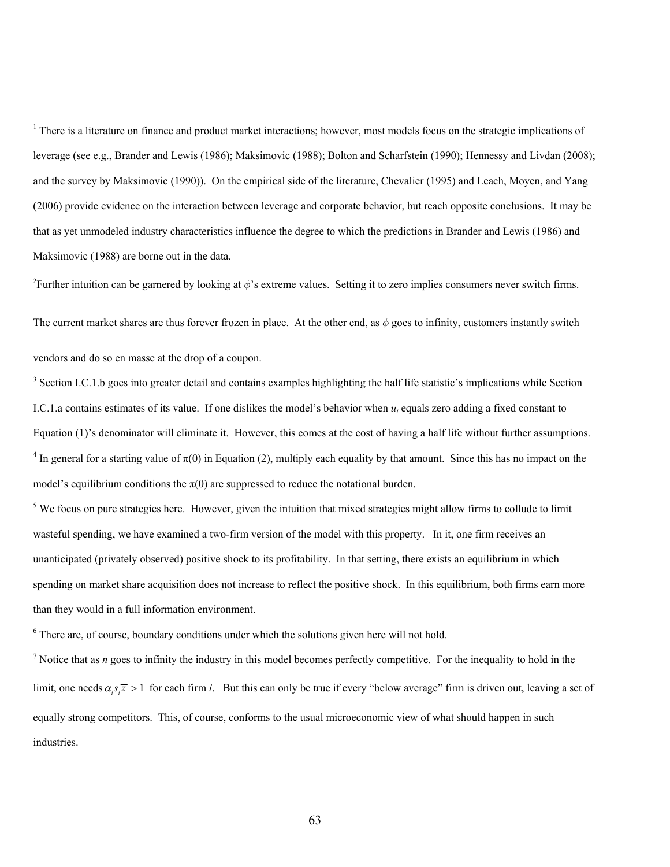1

<sup>2</sup>Further intuition can be garnered by looking at  $\phi$ 's extreme values. Setting it to zero implies consumers never switch firms.

The current market shares are thus forever frozen in place. At the other end, as *φ* goes to infinity, customers instantly switch vendors and do so en masse at the drop of a coupon.

 $3$  Section I.C.1.b goes into greater detail and contains examples highlighting the half life statistic's implications while Section I.C.1.a contains estimates of its value. If one dislikes the model's behavior when *ui* equals zero adding a fixed constant to Equation (1)'s denominator will eliminate it. However, this comes at the cost of having a half life without further assumptions. <sup>4</sup> In general for a starting value of  $\pi(0)$  in Equation (2), multiply each equality by that amount. Since this has no impact on the model's equilibrium conditions the  $\pi(0)$  are suppressed to reduce the notational burden.

 $5$  We focus on pure strategies here. However, given the intuition that mixed strategies might allow firms to collude to limit wasteful spending, we have examined a two-firm version of the model with this property. In it, one firm receives an unanticipated (privately observed) positive shock to its profitability. In that setting, there exists an equilibrium in which spending on market share acquisition does not increase to reflect the positive shock. In this equilibrium, both firms earn more than they would in a full information environment.

<sup>6</sup> There are, of course, boundary conditions under which the solutions given here will not hold.

<sup>7</sup> Notice that as *n* goes to infinity the industry in this model becomes perfectly competitive. For the inequality to hold in the limit, one needs  $\alpha_i s_i \overline{s} > 1$  for each firm *i*. But this can only be true if every "below average" firm is driven out, leaving a set of equally strong competitors. This, of course, conforms to the usual microeconomic view of what should happen in such industries.

<sup>&</sup>lt;sup>1</sup> There is a literature on finance and product market interactions; however, most models focus on the strategic implications of leverage (see e.g., Brander and Lewis (1986); Maksimovic (1988); Bolton and Scharfstein (1990); Hennessy and Livdan (2008); and the survey by Maksimovic (1990)). On the empirical side of the literature, Chevalier (1995) and Leach, Moyen, and Yang (2006) provide evidence on the interaction between leverage and corporate behavior, but reach opposite conclusions. It may be that as yet unmodeled industry characteristics influence the degree to which the predictions in Brander and Lewis (1986) and Maksimovic (1988) are borne out in the data.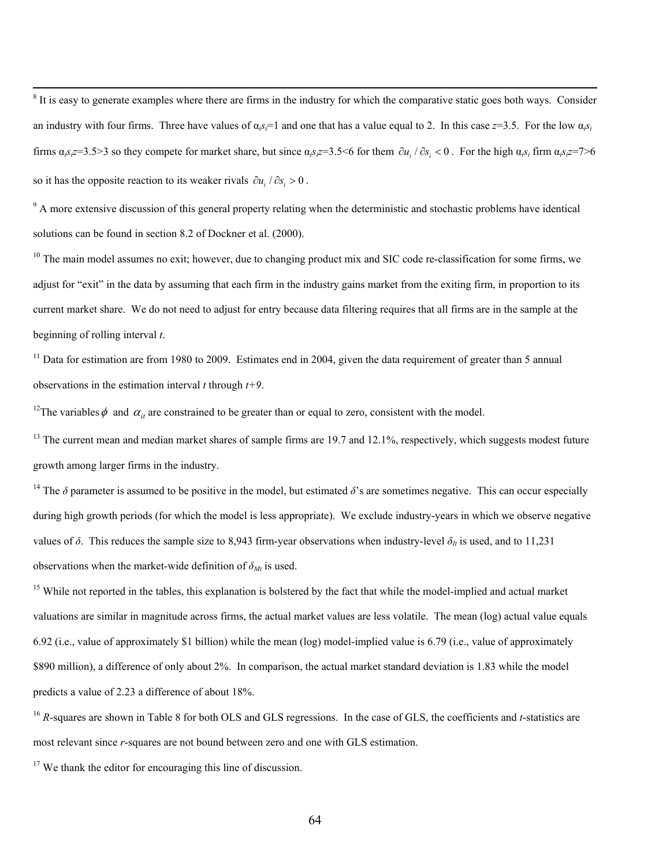$\frac{1}{8}$  $8$  It is easy to generate examples where there are firms in the industry for which the comparative static goes both ways. Consider an industry with four firms. Three have values of  $\alpha_{\beta}$ *i*=1 and one that has a value equal to 2. In this case *z*=3.5. For the low  $\alpha_{\beta}$ *i* firms  $\alpha_i s_i z=3.5>3$  so they compete for market share, but since  $\alpha_i s_i z=3.5<6$  for them  $\partial u_i / \partial s_i < 0$ . For the high  $\alpha_i s_i$  firm  $\alpha_i s_i z=7>6$ so it has the opposite reaction to its weaker rivals  $\partial u_i / \partial s_i > 0$ .

<sup>9</sup> A more extensive discussion of this general property relating when the deterministic and stochastic problems have identical solutions can be found in section 8.2 of Dockner et al. (2000).

 $10$  The main model assumes no exit; however, due to changing product mix and SIC code re-classification for some firms, we adjust for "exit" in the data by assuming that each firm in the industry gains market from the exiting firm, in proportion to its current market share. We do not need to adjust for entry because data filtering requires that all firms are in the sample at the beginning of rolling interval *t*.

 $11$  Data for estimation are from 1980 to 2009. Estimates end in 2004, given the data requirement of greater than 5 annual observations in the estimation interval *t* through *t+9*.

<sup>12</sup>The variables  $\phi$  and  $\alpha_i$  are constrained to be greater than or equal to zero, consistent with the model.

 $13$  The current mean and median market shares of sample firms are 19.7 and 12.1%, respectively, which suggests modest future growth among larger firms in the industry.

<sup>14</sup> The  $\delta$  parameter is assumed to be positive in the model, but estimated  $\delta$ 's are sometimes negative. This can occur especially during high growth periods (for which the model is less appropriate). We exclude industry-years in which we observe negative values of  $\delta$ . This reduces the sample size to 8,943 firm-year observations when industry-level  $\delta_t$  is used, and to 11,231 observations when the market-wide definition of  $\delta_{Mt}$  is used.

<sup>15</sup> While not reported in the tables, this explanation is bolstered by the fact that while the model-implied and actual market valuations are similar in magnitude across firms, the actual market values are less volatile. The mean (log) actual value equals 6.92 (i.e., value of approximately \$1 billion) while the mean (log) model-implied value is 6.79 (i.e., value of approximately \$890 million), a difference of only about 2%. In comparison, the actual market standard deviation is 1.83 while the model predicts a value of 2.23 a difference of about 18%.

<sup>16</sup> *R*-squares are shown in Table 8 for both OLS and GLS regressions. In the case of GLS, the coefficients and *t*-statistics are most relevant since *r*-squares are not bound between zero and one with GLS estimation.

 $17$  We thank the editor for encouraging this line of discussion.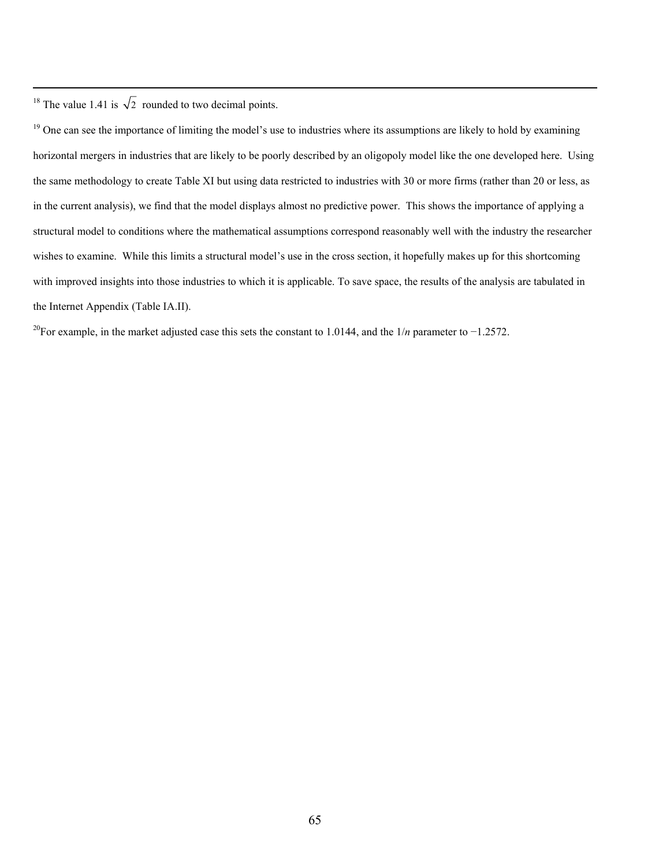<sup>18</sup> The value 1.41 is  $\sqrt{2}$  rounded to two decimal points.

<sup>19</sup> One can see the importance of limiting the model's use to industries where its assumptions are likely to hold by examining horizontal mergers in industries that are likely to be poorly described by an oligopoly model like the one developed here. Using the same methodology to create Table XI but using data restricted to industries with 30 or more firms (rather than 20 or less, as in the current analysis), we find that the model displays almost no predictive power. This shows the importance of applying a structural model to conditions where the mathematical assumptions correspond reasonably well with the industry the researcher wishes to examine. While this limits a structural model's use in the cross section, it hopefully makes up for this shortcoming with improved insights into those industries to which it is applicable. To save space, the results of the analysis are tabulated in the Internet Appendix (Table IA.II).

20For example, in the market adjusted case this sets the constant to 1.0144, and the 1/*n* parameter to −1.2572.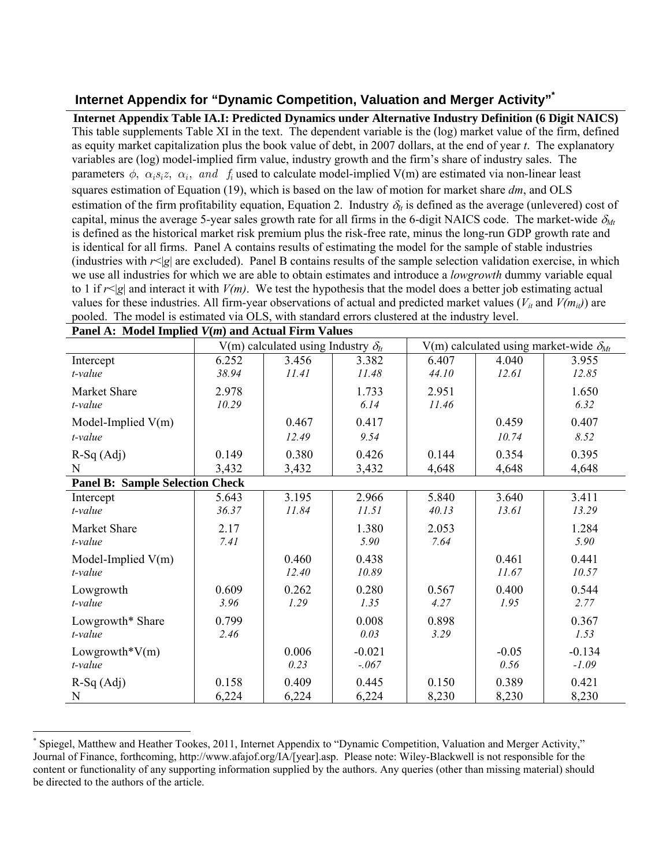# **Internet Appendix for "Dynamic Competition, Valuation and Merger Activity"\***

**Internet Appendix Table IA.I: Predicted Dynamics under Alternative Industry Definition (6 Digit NAICS)**  This table supplements Table XI in the text. The dependent variable is the (log) market value of the firm, defined as equity market capitalization plus the book value of debt, in 2007 dollars, at the end of year *t*. The explanatory variables are (log) model-implied firm value, industry growth and the firm's share of industry sales. The parameters  $\phi$ ,  $\alpha_i s_i z$ ,  $\alpha_i$ , and  $f_i$  used to calculate model-implied V(m) are estimated via non-linear least squares estimation of Equation (19), which is based on the law of motion for market share *dm*, and OLS estimation of the firm profitability equation, Equation 2. Industry  $\delta_l$  is defined as the average (unlevered) cost of capital, minus the average 5-year sales growth rate for all firms in the 6-digit NAICS code. The market-wide  $\delta_{Mt}$ is defined as the historical market risk premium plus the risk-free rate, minus the long-run GDP growth rate and is identical for all firms. Panel A contains results of estimating the model for the sample of stable industries (industries with  $r<|g|$  are excluded). Panel B contains results of the sample selection validation exercise, in which we use all industries for which we are able to obtain estimates and introduce a *lowgrowth* dummy variable equal to 1 if  $r<|g|$  and interact it with  $V(m)$ . We test the hypothesis that the model does a better job estimating actual values for these industries. All firm-year observations of actual and predicted market values ( $V_{it}$  and  $V(m_{it})$ ) are pooled. The model is estimated via OLS, with standard errors clustered at the industry level.

| Panel A: Model Implied $V(m)$ and Actual Firm Values |                                              |                |                     |                                                 |                 |                     |  |
|------------------------------------------------------|----------------------------------------------|----------------|---------------------|-------------------------------------------------|-----------------|---------------------|--|
|                                                      | V(m) calculated using Industry $\delta_{lt}$ |                |                     | V(m) calculated using market-wide $\delta_{Mt}$ |                 |                     |  |
| Intercept<br>t-value                                 | 6.252<br>38.94                               | 3.456<br>11.41 | 3.382<br>11.48      | 6.407<br>44.10                                  | 4.040<br>12.61  | 3.955<br>12.85      |  |
| <b>Market Share</b><br>t-value                       | 2.978<br>10.29                               |                | 1.733<br>6.14       | 2.951<br>11.46                                  |                 | 1.650<br>6.32       |  |
| Model-Implied $V(m)$<br>t-value                      |                                              | 0.467<br>12.49 | 0.417<br>9.54       |                                                 | 0.459<br>10.74  | 0.407<br>8.52       |  |
| $R-Sq (Adj)$<br>N                                    | 0.149<br>3,432                               | 0.380<br>3,432 | 0.426<br>3,432      | 0.144<br>4,648                                  | 0.354<br>4,648  | 0.395<br>4,648      |  |
| <b>Panel B: Sample Selection Check</b>               |                                              |                |                     |                                                 |                 |                     |  |
| Intercept<br>$t$ -value                              | 5.643<br>36.37                               | 3.195<br>11.84 | 2.966<br>11.51      | 5.840<br>40.13                                  | 3.640<br>13.61  | 3.411<br>13.29      |  |
| Market Share<br>t-value                              | 2.17<br>7.41                                 |                | 1.380<br>5.90       | 2.053<br>7.64                                   |                 | 1.284<br>5.90       |  |
| Model-Implied $V(m)$<br>t-value                      |                                              | 0.460<br>12.40 | 0.438<br>10.89      |                                                 | 0.461<br>11.67  | 0.441<br>10.57      |  |
| Lowgrowth<br>t-value                                 | 0.609<br>3.96                                | 0.262<br>1.29  | 0.280<br>1.35       | 0.567<br>4.27                                   | 0.400<br>1.95   | 0.544<br>2.77       |  |
| Lowgrowth <sup>*</sup> Share<br>t-value              | 0.799<br>2.46                                |                | 0.008<br>0.03       | 0.898<br>3.29                                   |                 | 0.367<br>1.53       |  |
| Lowgrowth $V(m)$<br>t-value                          |                                              | 0.006<br>0.23  | $-0.021$<br>$-.067$ |                                                 | $-0.05$<br>0.56 | $-0.134$<br>$-1.09$ |  |
| $R-Sq (Adj)$<br>N                                    | 0.158<br>6,224                               | 0.409<br>6,224 | 0.445<br>6,224      | 0.150<br>8,230                                  | 0.389<br>8,230  | 0.421<br>8,230      |  |

<sup>\*</sup> Spiegel, Matthew and Heather Tookes, 2011, Internet Appendix to "Dynamic Competition, Valuation and Merger Activity," Journal of Finance, forthcoming, http://www.afajof.org/IA/[year].asp. Please note: Wiley-Blackwell is not responsible for the content or functionality of any supporting information supplied by the authors. Any queries (other than missing material) should be directed to the authors of the article.

<u>.</u>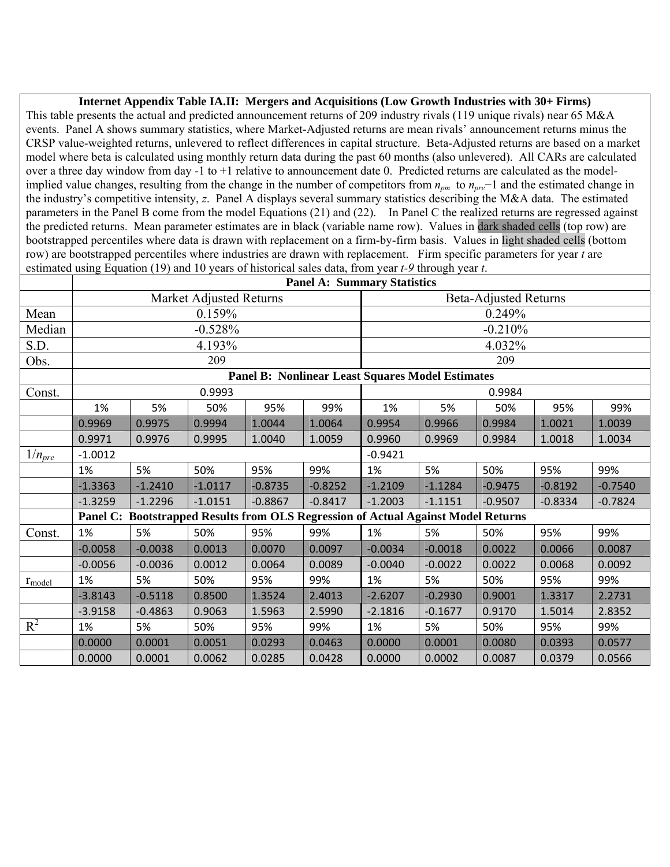# **Internet Appendix Table IA.II: Mergers and Acquisitions (Low Growth Industries with 30+ Firms)**

This table presents the actual and predicted announcement returns of 209 industry rivals (119 unique rivals) near 65 M&A events. Panel A shows summary statistics, where Market-Adjusted returns are mean rivals' announcement returns minus the CRSP value-weighted returns, unlevered to reflect differences in capital structure. Beta-Adjusted returns are based on a market model where beta is calculated using monthly return data during the past 60 months (also unlevered). All CARs are calculated over a three day window from day  $-1$  to  $+1$  relative to announcement date 0. Predicted returns are calculated as the modelimplied value changes, resulting from the change in the number of competitors from *npm* to *npre*−1 and the estimated change in the industry's competitive intensity, *z*. Panel A displays several summary statistics describing the M&A data. The estimated parameters in the Panel B come from the model Equations (21) and (22). In Panel C the realized returns are regressed against the predicted returns. Mean parameter estimates are in black (variable name row). Values in dark shaded cells (top row) are bootstrapped percentiles where data is drawn with replacement on a firm-by-firm basis. Values in light shaded cells (bottom row) are bootstrapped percentiles where industries are drawn with replacement. Firm specific parameters for year *t* are estimated using Equation (19) and 10 years of historical sales data, from year *t-9* through year *t*.

|             | <b>Panel A: Summary Statistics</b>                                                |           |           |           |           |                              |           |           |           |           |  |
|-------------|-----------------------------------------------------------------------------------|-----------|-----------|-----------|-----------|------------------------------|-----------|-----------|-----------|-----------|--|
|             | Market Adjusted Returns                                                           |           |           |           |           | <b>Beta-Adjusted Returns</b> |           |           |           |           |  |
| Mean        | 0.159%                                                                            |           |           |           |           | 0.249%                       |           |           |           |           |  |
| Median      |                                                                                   |           | $-0.528%$ |           |           |                              |           | $-0.210%$ |           |           |  |
| S.D.        |                                                                                   | 4.193%    |           |           |           |                              | 4.032%    |           |           |           |  |
| Obs.        |                                                                                   | 209       |           |           |           |                              | 209       |           |           |           |  |
|             | <b>Panel B: Nonlinear Least Squares Model Estimates</b>                           |           |           |           |           |                              |           |           |           |           |  |
| Const.      | 0.9993                                                                            |           |           |           |           | 0.9984                       |           |           |           |           |  |
|             | 1%                                                                                | 5%        | 50%       | 95%       | 99%       | 1%                           | 5%        | 50%       | 95%       | 99%       |  |
|             | 0.9969                                                                            | 0.9975    | 0.9994    | 1.0044    | 1.0064    | 0.9954                       | 0.9966    | 0.9984    | 1.0021    | 1.0039    |  |
|             | 0.9971                                                                            | 0.9976    | 0.9995    | 1.0040    | 1.0059    | 0.9960                       | 0.9969    | 0.9984    | 1.0018    | 1.0034    |  |
| $1/n_{pre}$ | $-1.0012$                                                                         |           |           |           |           | $-0.9421$                    |           |           |           |           |  |
|             | 1%                                                                                | 5%        | 50%       | 95%       | 99%       | 1%                           | 5%        | 50%       | 95%       | 99%       |  |
|             | $-1.3363$                                                                         | $-1.2410$ | $-1.0117$ | $-0.8735$ | $-0.8252$ | $-1.2109$                    | $-1.1284$ | $-0.9475$ | $-0.8192$ | $-0.7540$ |  |
|             | $-1.3259$                                                                         | $-1.2296$ | $-1.0151$ | $-0.8867$ | $-0.8417$ | $-1.2003$                    | $-1.1151$ | $-0.9507$ | $-0.8334$ | $-0.7824$ |  |
|             | Panel C: Bootstrapped Results from OLS Regression of Actual Against Model Returns |           |           |           |           |                              |           |           |           |           |  |
| Const.      | 1%                                                                                | 5%        | 50%       | 95%       | 99%       | 1%                           | 5%        | 50%       | 95%       | 99%       |  |
|             | $-0.0058$                                                                         | $-0.0038$ | 0.0013    | 0.0070    | 0.0097    | $-0.0034$                    | $-0.0018$ | 0.0022    | 0.0066    | 0.0087    |  |
|             | $-0.0056$                                                                         | $-0.0036$ | 0.0012    | 0.0064    | 0.0089    | $-0.0040$                    | $-0.0022$ | 0.0022    | 0.0068    | 0.0092    |  |
| $r_{model}$ | 1%                                                                                | 5%        | 50%       | 95%       | 99%       | 1%                           | 5%        | 50%       | 95%       | 99%       |  |
|             | $-3.8143$                                                                         | $-0.5118$ | 0.8500    | 1.3524    | 2.4013    | $-2.6207$                    | $-0.2930$ | 0.9001    | 1.3317    | 2.2731    |  |
|             | $-3.9158$                                                                         | $-0.4863$ | 0.9063    | 1.5963    | 2.5990    | $-2.1816$                    | $-0.1677$ | 0.9170    | 1.5014    | 2.8352    |  |
| $R^2$       | 1%                                                                                | 5%        | 50%       | 95%       | 99%       | 1%                           | 5%        | 50%       | 95%       | 99%       |  |
|             | 0.0000                                                                            | 0.0001    | 0.0051    | 0.0293    | 0.0463    | 0.0000                       | 0.0001    | 0.0080    | 0.0393    | 0.0577    |  |
|             | 0.0000                                                                            | 0.0001    | 0.0062    | 0.0285    | 0.0428    | 0.0000                       | 0.0002    | 0.0087    | 0.0379    | 0.0566    |  |